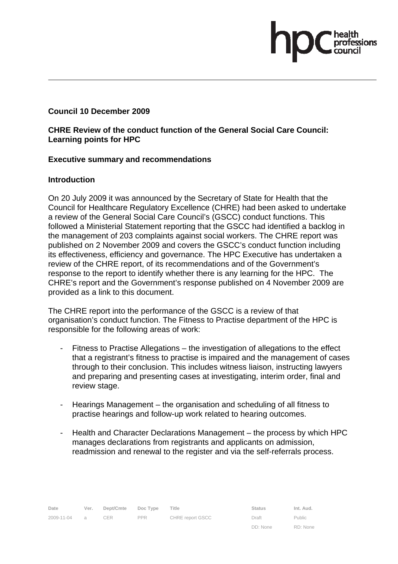### **Council 10 December 2009**

### **CHRE Review of the conduct function of the General Social Care Council: Learning points for HPC**

### **Executive summary and recommendations**

### **Introduction**

On 20 July 2009 it was announced by the Secretary of State for Health that the Council for Healthcare Regulatory Excellence (CHRE) had been asked to undertake a review of the General Social Care Council's (GSCC) conduct functions. This followed a Ministerial Statement reporting that the GSCC had identified a backlog in the management of 203 complaints against social workers. The CHRE report was published on 2 November 2009 and covers the GSCC's conduct function including its effectiveness, efficiency and governance. The HPC Executive has undertaken a review of the CHRE report, of its recommendations and of the Government's response to the report to identify whether there is any learning for the HPC. The CHRE's report and the Government's response published on 4 November 2009 are provided as a link to this document.

The CHRE report into the performance of the GSCC is a review of that organisation's conduct function. The Fitness to Practise department of the HPC is responsible for the following areas of work:

- Fitness to Practise Allegations the investigation of allegations to the effect that a registrant's fitness to practise is impaired and the management of cases through to their conclusion. This includes witness liaison, instructing lawyers and preparing and presenting cases at investigating, interim order, final and review stage.
- Hearings Management the organisation and scheduling of all fitness to practise hearings and follow-up work related to hearing outcomes.
- Health and Character Declarations Management the process by which HPC manages declarations from registrants and applicants on admission, readmission and renewal to the register and via the self-referrals process.

DD: None Public RD: None ssions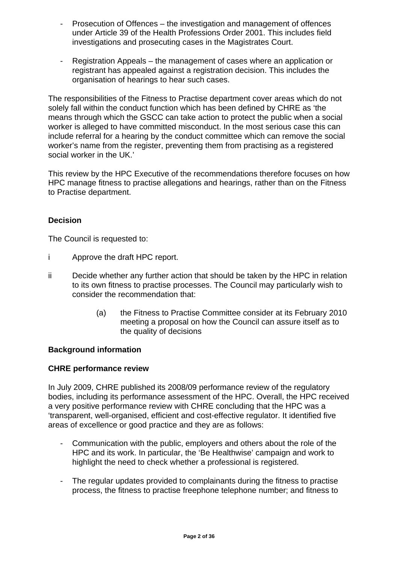- Prosecution of Offences the investigation and management of offences under Article 39 of the Health Professions Order 2001. This includes field investigations and prosecuting cases in the Magistrates Court.
- Registration Appeals the management of cases where an application or registrant has appealed against a registration decision. This includes the organisation of hearings to hear such cases.

The responsibilities of the Fitness to Practise department cover areas which do not solely fall within the conduct function which has been defined by CHRE as 'the means through which the GSCC can take action to protect the public when a social worker is alleged to have committed misconduct. In the most serious case this can include referral for a hearing by the conduct committee which can remove the social worker's name from the register, preventing them from practising as a registered social worker in the UK.'

This review by the HPC Executive of the recommendations therefore focuses on how HPC manage fitness to practise allegations and hearings, rather than on the Fitness to Practise department.

### **Decision**

The Council is requested to:

- i Approve the draft HPC report.
- ii Decide whether any further action that should be taken by the HPC in relation to its own fitness to practise processes. The Council may particularly wish to consider the recommendation that:
	- (a) the Fitness to Practise Committee consider at its February 2010 meeting a proposal on how the Council can assure itself as to the quality of decisions

### **Background information**

### **CHRE performance review**

In July 2009, CHRE published its 2008/09 performance review of the regulatory bodies, including its performance assessment of the HPC. Overall, the HPC received a very positive performance review with CHRE concluding that the HPC was a 'transparent, well-organised, efficient and cost-effective regulator. It identified five areas of excellence or good practice and they are as follows:

- Communication with the public, employers and others about the role of the HPC and its work. In particular, the 'Be Healthwise' campaign and work to highlight the need to check whether a professional is registered.
- The regular updates provided to complainants during the fitness to practise process, the fitness to practise freephone telephone number; and fitness to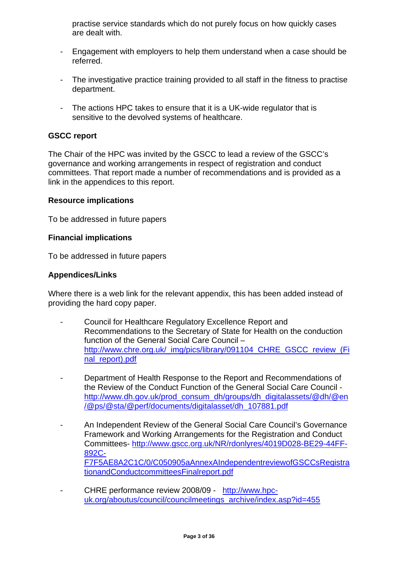practise service standards which do not purely focus on how quickly cases are dealt with.

- Engagement with employers to help them understand when a case should be referred.
- The investigative practice training provided to all staff in the fitness to practise department.
- The actions HPC takes to ensure that it is a UK-wide regulator that is sensitive to the devolved systems of healthcare.

### **GSCC report**

The Chair of the HPC was invited by the GSCC to lead a review of the GSCC's governance and working arrangements in respect of registration and conduct committees. That report made a number of recommendations and is provided as a link in the appendices to this report.

### **Resource implications**

To be addressed in future papers

### **Financial implications**

To be addressed in future papers

### **Appendices/Links**

Where there is a web link for the relevant appendix, this has been added instead of providing the hard copy paper.

- Council for Healthcare Regulatory Excellence Report and Recommendations to the Secretary of State for Health on the conduction function of the General Social Care Council – http://www.chre.org.uk/\_img/pics/library/091104\_CHRE\_GSCC\_review\_(Fi nal\_report).pdf
- Department of Health Response to the Report and Recommendations of the Review of the Conduct Function of the General Social Care Council http://www.dh.gov.uk/prod\_consum\_dh/groups/dh\_digitalassets/@dh/@en /@ps/@sta/@perf/documents/digitalasset/dh\_107881.pdf
- An Independent Review of the General Social Care Council's Governance Framework and Working Arrangements for the Registration and Conduct Committees- http://www.gscc.org.uk/NR/rdonlyres/4019D028-BE29-44FF-892C-F7F5AE8A2C1C/0/C050905aAnnexAIndependentreviewofGSCCsRegistra tionandConductcommitteesFinalreport.pdf
- CHRE performance review 2008/09 http://www.hpcuk.org/aboutus/council/councilmeetings\_archive/index.asp?id=455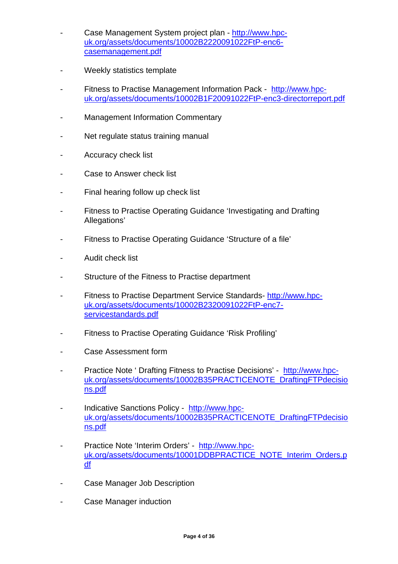- Case Management System project plan http://www.hpcuk.org/assets/documents/10002B2220091022FtP-enc6 casemanagement.pdf
- Weekly statistics template
- Fitness to Practise Management Information Pack http://www.hpcuk.org/assets/documents/10002B1F20091022FtP-enc3-directorreport.pdf
- Management Information Commentary
- Net regulate status training manual
- Accuracy check list
- Case to Answer check list
- Final hearing follow up check list
- Fitness to Practise Operating Guidance 'Investigating and Drafting Allegations'
- Fitness to Practise Operating Guidance 'Structure of a file'
- Audit check list
- Structure of the Fitness to Practise department
- Fitness to Practise Department Service Standards- http://www.hpcuk.org/assets/documents/10002B2320091022FtP-enc7 servicestandards.pdf
- Fitness to Practise Operating Guidance 'Risk Profiling'
- Case Assessment form
- Practice Note ' Drafting Fitness to Practise Decisions' http://www.hpcuk.org/assets/documents/10002B35PRACTICENOTE\_DraftingFTPdecisio ns.pdf
- Indicative Sanctions Policy http://www.hpcuk.org/assets/documents/10002B35PRACTICENOTE\_DraftingFTPdecisio ns.pdf
- Practice Note 'Interim Orders' http://www.hpcuk.org/assets/documents/10001DDBPRACTICE\_NOTE\_Interim\_Orders.p df
- Case Manager Job Description
- Case Manager induction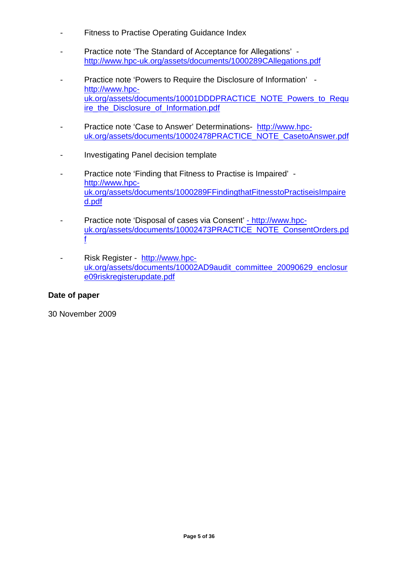- Fitness to Practise Operating Guidance Index
- Practice note 'The Standard of Acceptance for Allegations' http://www.hpc-uk.org/assets/documents/1000289CAllegations.pdf
- Practice note 'Powers to Require the Disclosure of Information' http://www.hpcuk.org/assets/documents/10001DDDPRACTICE\_NOTE\_Powers\_to\_Requ ire\_the\_Disclosure\_of\_Information.pdf
- Practice note 'Case to Answer' Determinations- http://www.hpcuk.org/assets/documents/10002478PRACTICE\_NOTE\_CasetoAnswer.pdf
- Investigating Panel decision template
- Practice note 'Finding that Fitness to Practise is Impaired' http://www.hpcuk.org/assets/documents/1000289FFindingthatFitnesstoPractiseisImpaire d.pdf
- Practice note 'Disposal of cases via Consent' http://www.hpcuk.org/assets/documents/10002473PRACTICE\_NOTE\_ConsentOrders.pd f
- Risk Register http://www.hpcuk.org/assets/documents/10002AD9audit\_committee\_20090629\_enclosur e09riskregisterupdate.pdf

### **Date of paper**

30 November 2009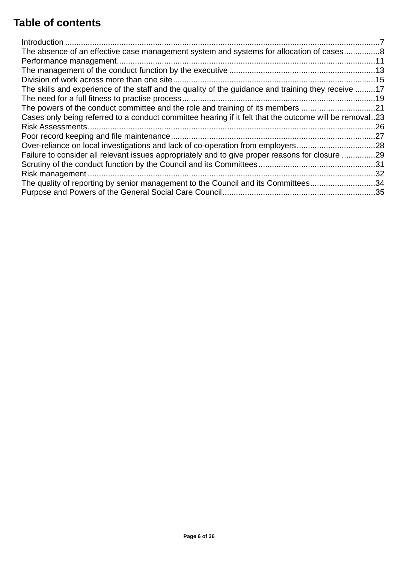# **Table of contents**

| The absence of an effective case management system and systems for allocation of cases8                |     |
|--------------------------------------------------------------------------------------------------------|-----|
|                                                                                                        |     |
|                                                                                                        |     |
|                                                                                                        |     |
| The skills and experience of the staff and the quality of the guidance and training they receive 17    |     |
|                                                                                                        |     |
| The powers of the conduct committee and the role and training of its members 21                        |     |
| Cases only being referred to a conduct committee hearing if it felt that the outcome will be removal23 |     |
|                                                                                                        | .26 |
|                                                                                                        |     |
| Over-reliance on local investigations and lack of co-operation from employers28                        |     |
| Failure to consider all relevant issues appropriately and to give proper reasons for closure 29        |     |
|                                                                                                        |     |
|                                                                                                        |     |
| The quality of reporting by senior management to the Council and its Committees34                      |     |
|                                                                                                        |     |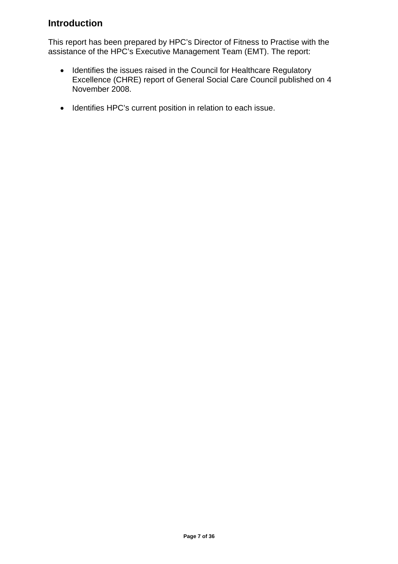# **Introduction**

This report has been prepared by HPC's Director of Fitness to Practise with the assistance of the HPC's Executive Management Team (EMT). The report:

- Identifies the issues raised in the Council for Healthcare Regulatory Excellence (CHRE) report of General Social Care Council published on 4 November 2008.
- Identifies HPC's current position in relation to each issue.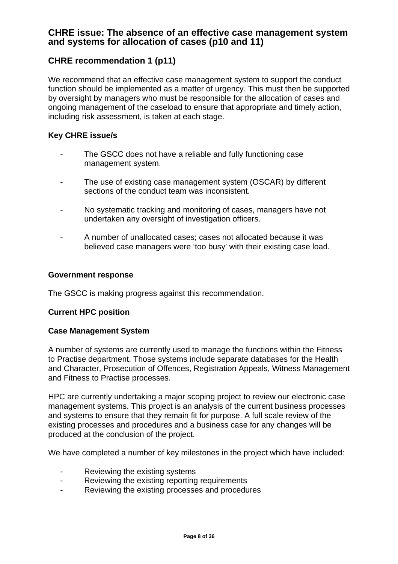# **CHRE issue: The absence of an effective case management system and systems for allocation of cases (p10 and 11)**

# **CHRE recommendation 1 (p11)**

We recommend that an effective case management system to support the conduct function should be implemented as a matter of urgency. This must then be supported by oversight by managers who must be responsible for the allocation of cases and ongoing management of the caseload to ensure that appropriate and timely action, including risk assessment, is taken at each stage.

### **Key CHRE issue/s**

- The GSCC does not have a reliable and fully functioning case management system.
- The use of existing case management system (OSCAR) by different sections of the conduct team was inconsistent.
- No systematic tracking and monitoring of cases, managers have not undertaken any oversight of investigation officers.
- A number of unallocated cases; cases not allocated because it was believed case managers were 'too busy' with their existing case load.

#### **Government response**

The GSCC is making progress against this recommendation.

### **Current HPC position**

### **Case Management System**

A number of systems are currently used to manage the functions within the Fitness to Practise department. Those systems include separate databases for the Health and Character, Prosecution of Offences, Registration Appeals, Witness Management and Fitness to Practise processes.

HPC are currently undertaking a major scoping project to review our electronic case management systems. This project is an analysis of the current business processes and systems to ensure that they remain fit for purpose. A full scale review of the existing processes and procedures and a business case for any changes will be produced at the conclusion of the project.

We have completed a number of key milestones in the project which have included:

- Reviewing the existing systems
- Reviewing the existing reporting requirements
- Reviewing the existing processes and procedures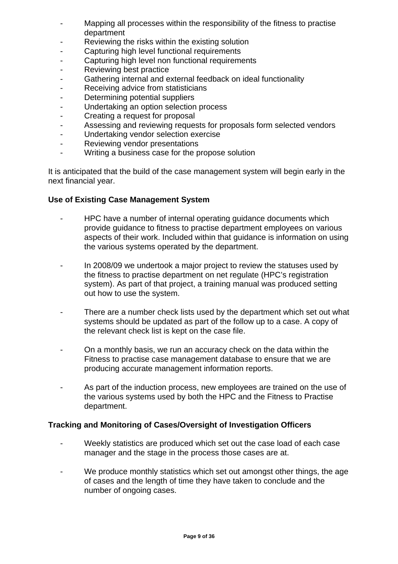- Mapping all processes within the responsibility of the fitness to practise department
- Reviewing the risks within the existing solution
- Capturing high level functional requirements
- Capturing high level non functional requirements
- Reviewing best practice
- Gathering internal and external feedback on ideal functionality
- Receiving advice from statisticians
- Determining potential suppliers
- Undertaking an option selection process
- Creating a request for proposal
- Assessing and reviewing requests for proposals form selected vendors
- Undertaking vendor selection exercise
- Reviewing vendor presentations
- Writing a business case for the propose solution

It is anticipated that the build of the case management system will begin early in the next financial year.

### **Use of Existing Case Management System**

- HPC have a number of internal operating guidance documents which provide guidance to fitness to practise department employees on various aspects of their work. Included within that guidance is information on using the various systems operated by the department.
- In 2008/09 we undertook a major project to review the statuses used by the fitness to practise department on net regulate (HPC's registration system). As part of that project, a training manual was produced setting out how to use the system.
- There are a number check lists used by the department which set out what systems should be updated as part of the follow up to a case. A copy of the relevant check list is kept on the case file.
- On a monthly basis, we run an accuracy check on the data within the Fitness to practise case management database to ensure that we are producing accurate management information reports.
- As part of the induction process, new employees are trained on the use of the various systems used by both the HPC and the Fitness to Practise department.

### **Tracking and Monitoring of Cases/Oversight of Investigation Officers**

- Weekly statistics are produced which set out the case load of each case manager and the stage in the process those cases are at.
- We produce monthly statistics which set out amongst other things, the age of cases and the length of time they have taken to conclude and the number of ongoing cases.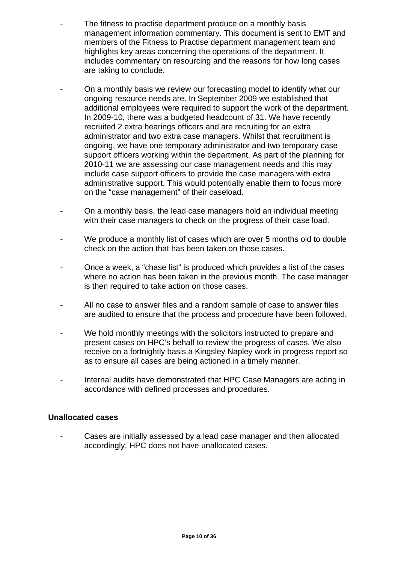- The fitness to practise department produce on a monthly basis management information commentary. This document is sent to EMT and members of the Fitness to Practise department management team and highlights key areas concerning the operations of the department. It includes commentary on resourcing and the reasons for how long cases are taking to conclude.
- On a monthly basis we review our forecasting model to identify what our ongoing resource needs are. In September 2009 we established that additional employees were required to support the work of the department. In 2009-10, there was a budgeted headcount of 31. We have recently recruited 2 extra hearings officers and are recruiting for an extra administrator and two extra case managers. Whilst that recruitment is ongoing, we have one temporary administrator and two temporary case support officers working within the department. As part of the planning for 2010-11 we are assessing our case management needs and this may include case support officers to provide the case managers with extra administrative support. This would potentially enable them to focus more on the "case management" of their caseload.
- On a monthly basis, the lead case managers hold an individual meeting with their case managers to check on the progress of their case load.
- We produce a monthly list of cases which are over 5 months old to double check on the action that has been taken on those cases.
- Once a week, a "chase list" is produced which provides a list of the cases where no action has been taken in the previous month. The case manager is then required to take action on those cases.
- All no case to answer files and a random sample of case to answer files are audited to ensure that the process and procedure have been followed.
- We hold monthly meetings with the solicitors instructed to prepare and present cases on HPC's behalf to review the progress of cases. We also receive on a fortnightly basis a Kingsley Napley work in progress report so as to ensure all cases are being actioned in a timely manner.
- Internal audits have demonstrated that HPC Case Managers are acting in accordance with defined processes and procedures.

### **Unallocated cases**

Cases are initially assessed by a lead case manager and then allocated accordingly. HPC does not have unallocated cases.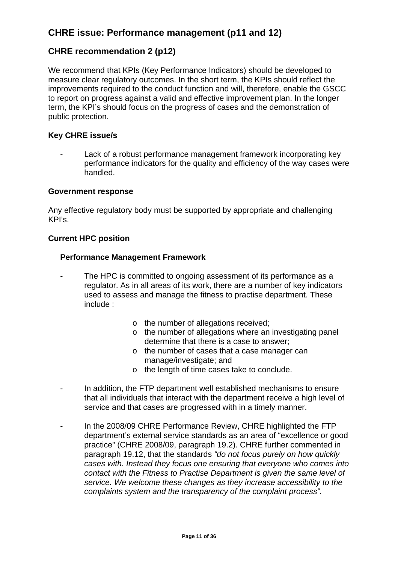# **CHRE issue: Performance management (p11 and 12)**

# **CHRE recommendation 2 (p12)**

We recommend that KPIs (Key Performance Indicators) should be developed to measure clear regulatory outcomes. In the short term, the KPIs should reflect the improvements required to the conduct function and will, therefore, enable the GSCC to report on progress against a valid and effective improvement plan. In the longer term, the KPI's should focus on the progress of cases and the demonstration of public protection.

### **Key CHRE issue/s**

Lack of a robust performance management framework incorporating key performance indicators for the quality and efficiency of the way cases were handled.

#### **Government response**

Any effective regulatory body must be supported by appropriate and challenging KPI's.

### **Current HPC position**

#### **Performance Management Framework**

- The HPC is committed to ongoing assessment of its performance as a regulator. As in all areas of its work, there are a number of key indicators used to assess and manage the fitness to practise department. These include :
	- o the number of allegations received;
	- o the number of allegations where an investigating panel determine that there is a case to answer;
	- o the number of cases that a case manager can manage/investigate; and
	- o the length of time cases take to conclude.
- In addition, the FTP department well established mechanisms to ensure that all individuals that interact with the department receive a high level of service and that cases are progressed with in a timely manner.
- In the 2008/09 CHRE Performance Review, CHRE highlighted the FTP department's external service standards as an area of "excellence or good practice" (CHRE 2008/09, paragraph 19.2). CHRE further commented in paragraph 19.12, that the standards *"do not focus purely on how quickly cases with. Instead they focus one ensuring that everyone who comes into contact with the Fitness to Practise Department is given the same level of service. We welcome these changes as they increase accessibility to the complaints system and the transparency of the complaint process".*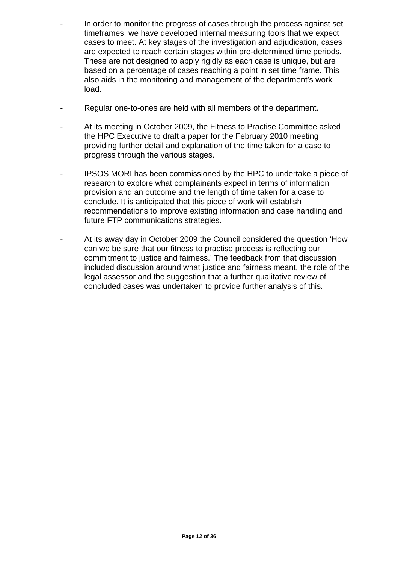- In order to monitor the progress of cases through the process against set timeframes, we have developed internal measuring tools that we expect cases to meet. At key stages of the investigation and adjudication, cases are expected to reach certain stages within pre-determined time periods. These are not designed to apply rigidly as each case is unique, but are based on a percentage of cases reaching a point in set time frame. This also aids in the monitoring and management of the department's work load.
- Regular one-to-ones are held with all members of the department.
- At its meeting in October 2009, the Fitness to Practise Committee asked the HPC Executive to draft a paper for the February 2010 meeting providing further detail and explanation of the time taken for a case to progress through the various stages.
- IPSOS MORI has been commissioned by the HPC to undertake a piece of research to explore what complainants expect in terms of information provision and an outcome and the length of time taken for a case to conclude. It is anticipated that this piece of work will establish recommendations to improve existing information and case handling and future FTP communications strategies.
- At its away day in October 2009 the Council considered the question 'How can we be sure that our fitness to practise process is reflecting our commitment to justice and fairness.' The feedback from that discussion included discussion around what justice and fairness meant, the role of the legal assessor and the suggestion that a further qualitative review of concluded cases was undertaken to provide further analysis of this.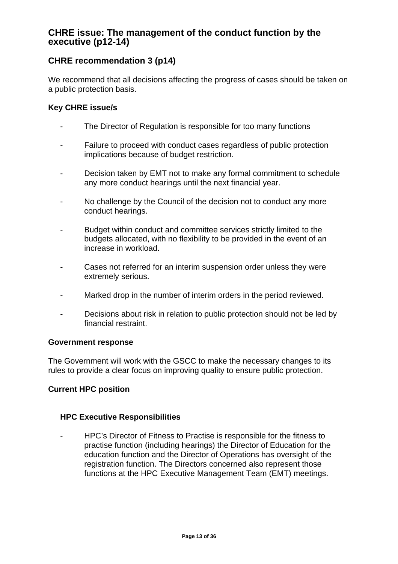# **CHRE issue: The management of the conduct function by the executive (p12-14)**

# **CHRE recommendation 3 (p14)**

We recommend that all decisions affecting the progress of cases should be taken on a public protection basis.

### **Key CHRE issue/s**

- The Director of Regulation is responsible for too many functions
- Failure to proceed with conduct cases regardless of public protection implications because of budget restriction.
- Decision taken by EMT not to make any formal commitment to schedule any more conduct hearings until the next financial year.
- No challenge by the Council of the decision not to conduct any more conduct hearings.
- Budget within conduct and committee services strictly limited to the budgets allocated, with no flexibility to be provided in the event of an increase in workload.
- Cases not referred for an interim suspension order unless they were extremely serious.
- Marked drop in the number of interim orders in the period reviewed.
- Decisions about risk in relation to public protection should not be led by financial restraint.

### **Government response**

The Government will work with the GSCC to make the necessary changes to its rules to provide a clear focus on improving quality to ensure public protection.

### **Current HPC position**

### **HPC Executive Responsibilities**

- HPC's Director of Fitness to Practise is responsible for the fitness to practise function (including hearings) the Director of Education for the education function and the Director of Operations has oversight of the registration function. The Directors concerned also represent those functions at the HPC Executive Management Team (EMT) meetings.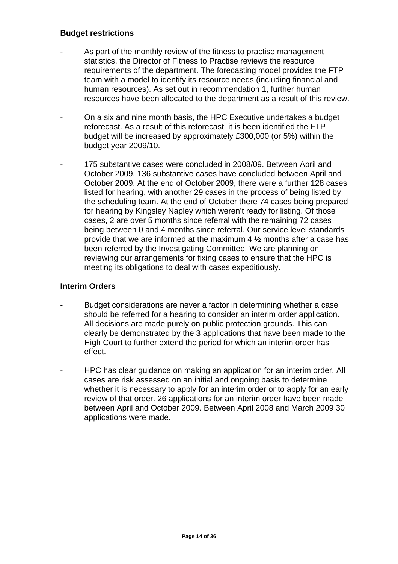### **Budget restrictions**

- As part of the monthly review of the fitness to practise management statistics, the Director of Fitness to Practise reviews the resource requirements of the department. The forecasting model provides the FTP team with a model to identify its resource needs (including financial and human resources). As set out in recommendation 1, further human resources have been allocated to the department as a result of this review.
- On a six and nine month basis, the HPC Executive undertakes a budget reforecast. As a result of this reforecast, it is been identified the FTP budget will be increased by approximately £300,000 (or 5%) within the budget year 2009/10.
- 175 substantive cases were concluded in 2008/09. Between April and October 2009. 136 substantive cases have concluded between April and October 2009. At the end of October 2009, there were a further 128 cases listed for hearing, with another 29 cases in the process of being listed by the scheduling team. At the end of October there 74 cases being prepared for hearing by Kingsley Napley which weren't ready for listing. Of those cases, 2 are over 5 months since referral with the remaining 72 cases being between 0 and 4 months since referral. Our service level standards provide that we are informed at the maximum 4 ½ months after a case has been referred by the Investigating Committee. We are planning on reviewing our arrangements for fixing cases to ensure that the HPC is meeting its obligations to deal with cases expeditiously.

### **Interim Orders**

- Budget considerations are never a factor in determining whether a case should be referred for a hearing to consider an interim order application. All decisions are made purely on public protection grounds. This can clearly be demonstrated by the 3 applications that have been made to the High Court to further extend the period for which an interim order has effect.
- HPC has clear guidance on making an application for an interim order. All cases are risk assessed on an initial and ongoing basis to determine whether it is necessary to apply for an interim order or to apply for an early review of that order. 26 applications for an interim order have been made between April and October 2009. Between April 2008 and March 2009 30 applications were made.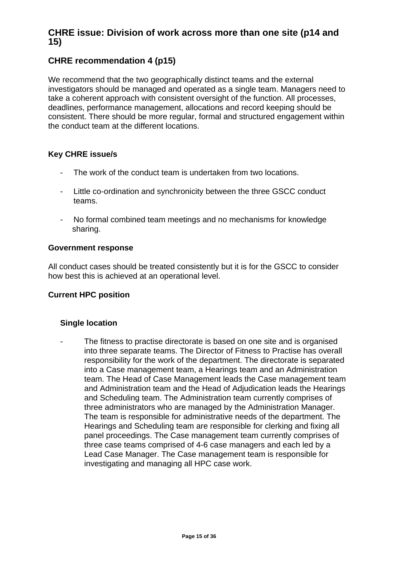# **CHRE issue: Division of work across more than one site (p14 and 15)**

# **CHRE recommendation 4 (p15)**

We recommend that the two geographically distinct teams and the external investigators should be managed and operated as a single team. Managers need to take a coherent approach with consistent oversight of the function. All processes, deadlines, performance management, allocations and record keeping should be consistent. There should be more regular, formal and structured engagement within the conduct team at the different locations.

### **Key CHRE issue/s**

- The work of the conduct team is undertaken from two locations.
- Little co-ordination and synchronicity between the three GSCC conduct teams.
- No formal combined team meetings and no mechanisms for knowledge sharing.

### **Government response**

All conduct cases should be treated consistently but it is for the GSCC to consider how best this is achieved at an operational level.

### **Current HPC position**

### **Single location**

The fitness to practise directorate is based on one site and is organised into three separate teams. The Director of Fitness to Practise has overall responsibility for the work of the department. The directorate is separated into a Case management team, a Hearings team and an Administration team. The Head of Case Management leads the Case management team and Administration team and the Head of Adjudication leads the Hearings and Scheduling team. The Administration team currently comprises of three administrators who are managed by the Administration Manager. The team is responsible for administrative needs of the department. The Hearings and Scheduling team are responsible for clerking and fixing all panel proceedings. The Case management team currently comprises of three case teams comprised of 4-6 case managers and each led by a Lead Case Manager. The Case management team is responsible for investigating and managing all HPC case work.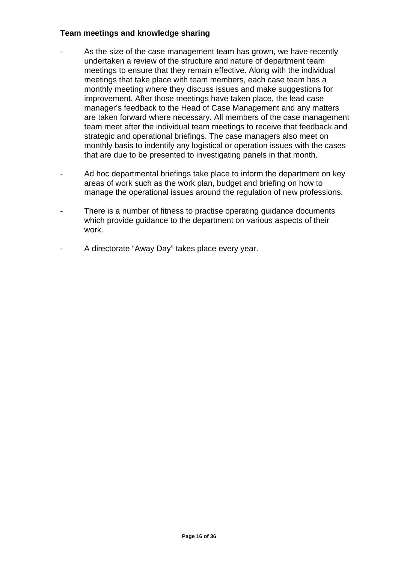### **Team meetings and knowledge sharing**

- As the size of the case management team has grown, we have recently undertaken a review of the structure and nature of department team meetings to ensure that they remain effective. Along with the individual meetings that take place with team members, each case team has a monthly meeting where they discuss issues and make suggestions for improvement. After those meetings have taken place, the lead case manager's feedback to the Head of Case Management and any matters are taken forward where necessary. All members of the case management team meet after the individual team meetings to receive that feedback and strategic and operational briefings. The case managers also meet on monthly basis to indentify any logistical or operation issues with the cases that are due to be presented to investigating panels in that month.
- Ad hoc departmental briefings take place to inform the department on key areas of work such as the work plan, budget and briefing on how to manage the operational issues around the regulation of new professions.
- There is a number of fitness to practise operating guidance documents which provide guidance to the department on various aspects of their work.
- A directorate "Away Day" takes place every year.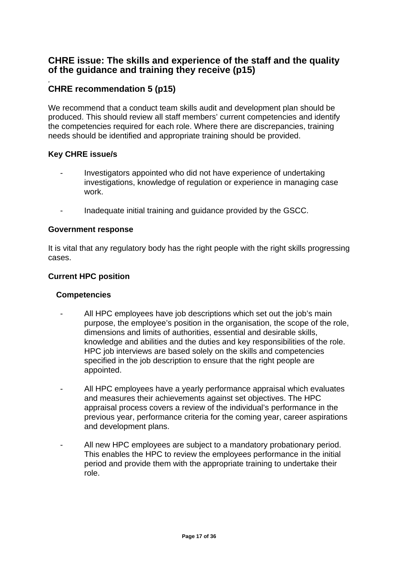# **CHRE issue: The skills and experience of the staff and the quality of the guidance and training they receive (p15)**

### *.*  **CHRE recommendation 5 (p15)**

We recommend that a conduct team skills audit and development plan should be produced. This should review all staff members' current competencies and identify the competencies required for each role. Where there are discrepancies, training needs should be identified and appropriate training should be provided.

### **Key CHRE issue/s**

- Investigators appointed who did not have experience of undertaking investigations, knowledge of regulation or experience in managing case work.
- Inadequate initial training and guidance provided by the GSCC.

### **Government response**

It is vital that any regulatory body has the right people with the right skills progressing cases.

### **Current HPC position**

### **Competencies**

- All HPC employees have job descriptions which set out the job's main purpose, the employee's position in the organisation, the scope of the role, dimensions and limits of authorities, essential and desirable skills, knowledge and abilities and the duties and key responsibilities of the role. HPC job interviews are based solely on the skills and competencies specified in the job description to ensure that the right people are appointed.
- All HPC employees have a yearly performance appraisal which evaluates and measures their achievements against set objectives. The HPC appraisal process covers a review of the individual's performance in the previous year, performance criteria for the coming year, career aspirations and development plans.
- All new HPC employees are subject to a mandatory probationary period. This enables the HPC to review the employees performance in the initial period and provide them with the appropriate training to undertake their role.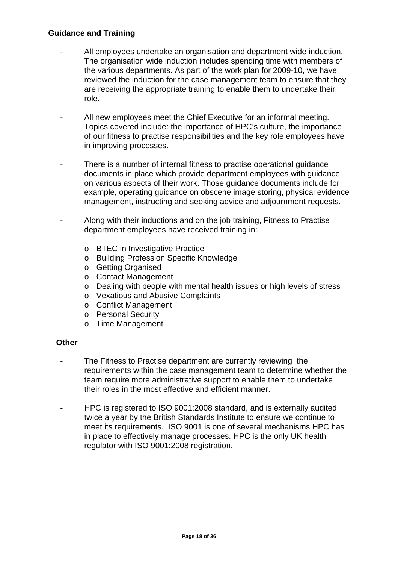### **Guidance and Training**

- All employees undertake an organisation and department wide induction. The organisation wide induction includes spending time with members of the various departments. As part of the work plan for 2009-10, we have reviewed the induction for the case management team to ensure that they are receiving the appropriate training to enable them to undertake their role.
- All new employees meet the Chief Executive for an informal meeting. Topics covered include: the importance of HPC's culture, the importance of our fitness to practise responsibilities and the key role employees have in improving processes.
- There is a number of internal fitness to practise operational guidance documents in place which provide department employees with guidance on various aspects of their work. Those guidance documents include for example, operating guidance on obscene image storing, physical evidence management, instructing and seeking advice and adjournment requests.
- Along with their inductions and on the job training, Fitness to Practise department employees have received training in:
	- o BTEC in Investigative Practice
	- o Building Profession Specific Knowledge
	- o Getting Organised
	- o Contact Management
	- o Dealing with people with mental health issues or high levels of stress
	- o Vexatious and Abusive Complaints
	- o Conflict Management
	- o Personal Security
	- o Time Management

### **Other**

- The Fitness to Practise department are currently reviewing the requirements within the case management team to determine whether the team require more administrative support to enable them to undertake their roles in the most effective and efficient manner.
- HPC is registered to ISO 9001:2008 standard, and is externally audited twice a year by the British Standards Institute to ensure we continue to meet its requirements. ISO 9001 is one of several mechanisms HPC has in place to effectively manage processes. HPC is the only UK health regulator with ISO 9001:2008 registration.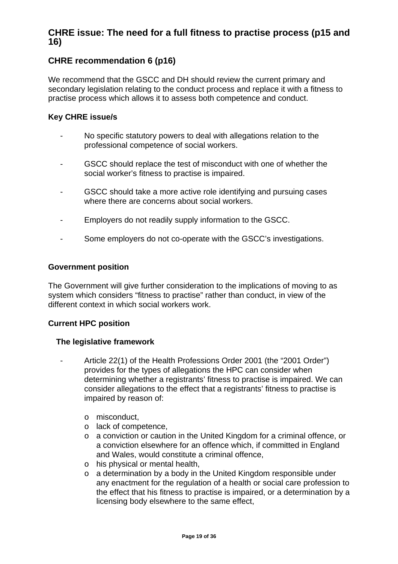# **CHRE issue: The need for a full fitness to practise process (p15 and 16)**

# **CHRE recommendation 6 (p16)**

We recommend that the GSCC and DH should review the current primary and secondary legislation relating to the conduct process and replace it with a fitness to practise process which allows it to assess both competence and conduct.

### **Key CHRE issue/s**

- No specific statutory powers to deal with allegations relation to the professional competence of social workers.
- GSCC should replace the test of misconduct with one of whether the social worker's fitness to practise is impaired.
- GSCC should take a more active role identifying and pursuing cases where there are concerns about social workers.
- Employers do not readily supply information to the GSCC.
- Some employers do not co-operate with the GSCC's investigations.

### **Government position**

The Government will give further consideration to the implications of moving to as system which considers "fitness to practise" rather than conduct, in view of the different context in which social workers work.

### **Current HPC position**

### **The legislative framework**

- Article 22(1) of the Health Professions Order 2001 (the "2001 Order") provides for the types of allegations the HPC can consider when determining whether a registrants' fitness to practise is impaired. We can consider allegations to the effect that a registrants' fitness to practise is impaired by reason of:
	- o misconduct,
	- o lack of competence,
	- o a conviction or caution in the United Kingdom for a criminal offence, or a conviction elsewhere for an offence which, if committed in England and Wales, would constitute a criminal offence,
	- o his physical or mental health,
	- o a determination by a body in the United Kingdom responsible under any enactment for the regulation of a health or social care profession to the effect that his fitness to practise is impaired, or a determination by a licensing body elsewhere to the same effect,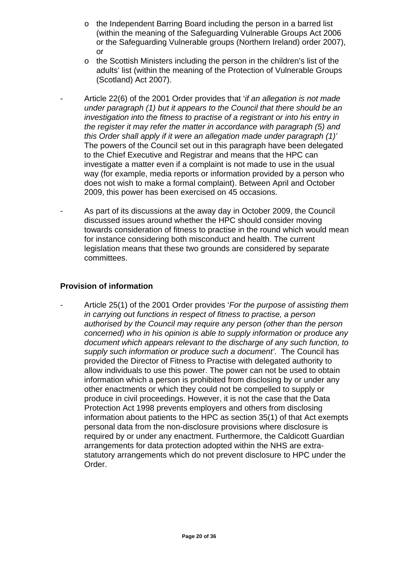- $\circ$  the Independent Barring Board including the person in a barred list (within the meaning of the Safeguarding Vulnerable Groups Act 2006 or the Safeguarding Vulnerable groups (Northern Ireland) order 2007), or
- o the Scottish Ministers including the person in the children's list of the adults' list (within the meaning of the Protection of Vulnerable Groups (Scotland) Act 2007).
- Article 22(6) of the 2001 Order provides that '*if an allegation is not made under paragraph (1) but it appears to the Council that there should be an investigation into the fitness to practise of a registrant or into his entry in the register it may refer the matter in accordance with paragraph (5) and this Order shall apply if it were an allegation made under paragraph (1)'*  The powers of the Council set out in this paragraph have been delegated to the Chief Executive and Registrar and means that the HPC can investigate a matter even if a complaint is not made to use in the usual way (for example, media reports or information provided by a person who does not wish to make a formal complaint). Between April and October 2009, this power has been exercised on 45 occasions.
- As part of its discussions at the away day in October 2009, the Council discussed issues around whether the HPC should consider moving towards consideration of fitness to practise in the round which would mean for instance considering both misconduct and health. The current legislation means that these two grounds are considered by separate committees.

### **Provision of information**

- Article 25(1) of the 2001 Order provides '*For the purpose of assisting them in carrying out functions in respect of fitness to practise, a person authorised by the Council may require any person (other than the person concerned) who in his opinion is able to supply information or produce any document which appears relevant to the discharge of any such function, to supply such information or produce such a document'*. The Council has provided the Director of Fitness to Practise with delegated authority to allow individuals to use this power. The power can not be used to obtain information which a person is prohibited from disclosing by or under any other enactments or which they could not be compelled to supply or produce in civil proceedings. However, it is not the case that the Data Protection Act 1998 prevents employers and others from disclosing information about patients to the HPC as section 35(1) of that Act exempts personal data from the non-disclosure provisions where disclosure is required by or under any enactment. Furthermore, the Caldicott Guardian arrangements for data protection adopted within the NHS are extrastatutory arrangements which do not prevent disclosure to HPC under the Order.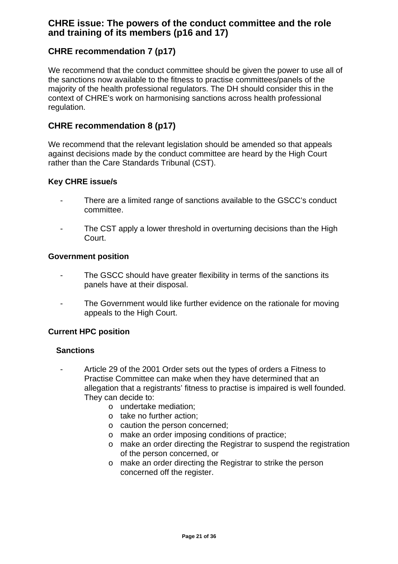# **CHRE issue: The powers of the conduct committee and the role and training of its members (p16 and 17)**

# **CHRE recommendation 7 (p17)**

We recommend that the conduct committee should be given the power to use all of the sanctions now available to the fitness to practise committees/panels of the majority of the health professional regulators. The DH should consider this in the context of CHRE's work on harmonising sanctions across health professional regulation.

## **CHRE recommendation 8 (p17)**

We recommend that the relevant legislation should be amended so that appeals against decisions made by the conduct committee are heard by the High Court rather than the Care Standards Tribunal (CST).

### **Key CHRE issue/s**

- There are a limited range of sanctions available to the GSCC's conduct committee.
- The CST apply a lower threshold in overturning decisions than the High Court.

### **Government position**

- The GSCC should have greater flexibility in terms of the sanctions its panels have at their disposal.
- The Government would like further evidence on the rationale for moving appeals to the High Court.

### **Current HPC position**

### **Sanctions**

- Article 29 of the 2001 Order sets out the types of orders a Fitness to Practise Committee can make when they have determined that an allegation that a registrants' fitness to practise is impaired is well founded. They can decide to:
	- o undertake mediation;
	- o take no further action;
	- o caution the person concerned;
	- o make an order imposing conditions of practice;
	- o make an order directing the Registrar to suspend the registration of the person concerned, or
	- o make an order directing the Registrar to strike the person concerned off the register.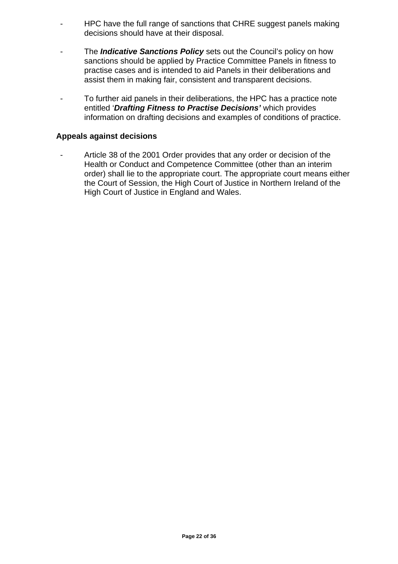- HPC have the full range of sanctions that CHRE suggest panels making decisions should have at their disposal.
- The *Indicative Sanctions Policy* sets out the Council's policy on how sanctions should be applied by Practice Committee Panels in fitness to practise cases and is intended to aid Panels in their deliberations and assist them in making fair, consistent and transparent decisions.
- To further aid panels in their deliberations, the HPC has a practice note entitled '*Drafting Fitness to Practise Decisions'* which provides information on drafting decisions and examples of conditions of practice.

### **Appeals against decisions**

- Article 38 of the 2001 Order provides that any order or decision of the Health or Conduct and Competence Committee (other than an interim order) shall lie to the appropriate court. The appropriate court means either the Court of Session, the High Court of Justice in Northern Ireland of the High Court of Justice in England and Wales.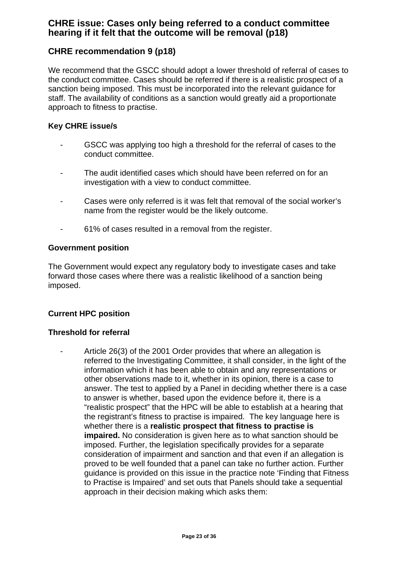# **CHRE issue: Cases only being referred to a conduct committee hearing if it felt that the outcome will be removal (p18)**

# **CHRE recommendation 9 (p18)**

We recommend that the GSCC should adopt a lower threshold of referral of cases to the conduct committee. Cases should be referred if there is a realistic prospect of a sanction being imposed. This must be incorporated into the relevant guidance for staff. The availability of conditions as a sanction would greatly aid a proportionate approach to fitness to practise.

### **Key CHRE issue/s**

- GSCC was applying too high a threshold for the referral of cases to the conduct committee.
- The audit identified cases which should have been referred on for an investigation with a view to conduct committee.
- Cases were only referred is it was felt that removal of the social worker's name from the register would be the likely outcome.
- 61% of cases resulted in a removal from the register.

### **Government position**

The Government would expect any regulatory body to investigate cases and take forward those cases where there was a realistic likelihood of a sanction being imposed.

### **Current HPC position**

### **Threshold for referral**

Article 26(3) of the 2001 Order provides that where an allegation is referred to the Investigating Committee, it shall consider, in the light of the information which it has been able to obtain and any representations or other observations made to it, whether in its opinion, there is a case to answer. The test to applied by a Panel in deciding whether there is a case to answer is whether, based upon the evidence before it, there is a "realistic prospect" that the HPC will be able to establish at a hearing that the registrant's fitness to practise is impaired. The key language here is whether there is a **realistic prospect that fitness to practise is impaired.** No consideration is given here as to what sanction should be imposed. Further, the legislation specifically provides for a separate consideration of impairment and sanction and that even if an allegation is proved to be well founded that a panel can take no further action. Further guidance is provided on this issue in the practice note 'Finding that Fitness to Practise is Impaired' and set outs that Panels should take a sequential approach in their decision making which asks them: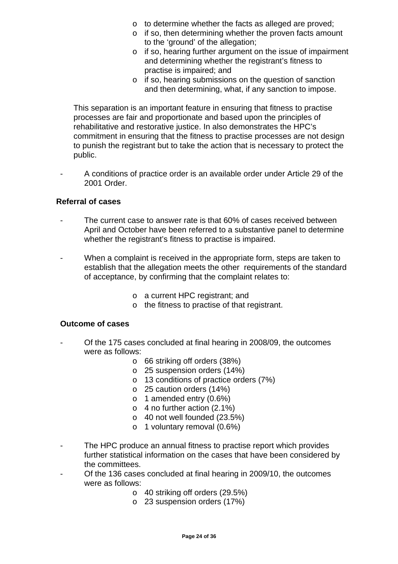- o to determine whether the facts as alleged are proved;
- o if so, then determining whether the proven facts amount to the 'ground' of the allegation;
- o if so, hearing further argument on the issue of impairment and determining whether the registrant's fitness to practise is impaired; and
- o if so, hearing submissions on the question of sanction and then determining, what, if any sanction to impose.

 This separation is an important feature in ensuring that fitness to practise processes are fair and proportionate and based upon the principles of rehabilitative and restorative justice. In also demonstrates the HPC's commitment in ensuring that the fitness to practise processes are not design to punish the registrant but to take the action that is necessary to protect the public.

- A conditions of practice order is an available order under Article 29 of the 2001 Order.

### **Referral of cases**

- The current case to answer rate is that 60% of cases received between April and October have been referred to a substantive panel to determine whether the registrant's fitness to practise is impaired.
- When a complaint is received in the appropriate form, steps are taken to establish that the allegation meets the other requirements of the standard of acceptance, by confirming that the complaint relates to:
	- o a current HPC registrant; and
	- o the fitness to practise of that registrant.

### **Outcome of cases**

- Of the 175 cases concluded at final hearing in 2008/09, the outcomes were as follows:
	- o 66 striking off orders (38%)
	- o 25 suspension orders (14%)
	- o 13 conditions of practice orders (7%)
	- o 25 caution orders (14%)
	- o 1 amended entry (0.6%)
	- o 4 no further action (2.1%)
	- o 40 not well founded (23.5%)
	- o 1 voluntary removal (0.6%)
- The HPC produce an annual fitness to practise report which provides further statistical information on the cases that have been considered by the committees.
- Of the 136 cases concluded at final hearing in 2009/10, the outcomes were as follows:
	- o 40 striking off orders (29.5%)
	- o 23 suspension orders (17%)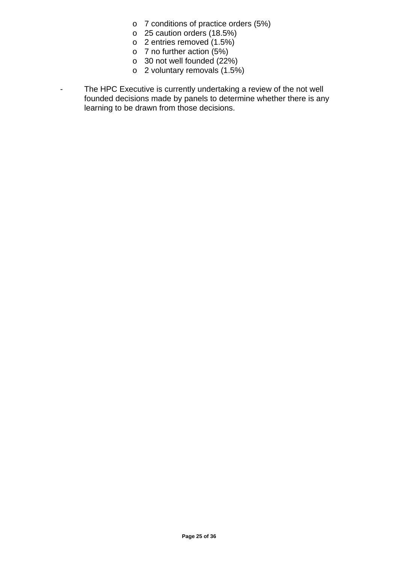- o 7 conditions of practice orders (5%)
- o 25 caution orders (18.5%)
- o 2 entries removed (1.5%)
- o 7 no further action (5%)
- o 30 not well founded (22%)
- o 2 voluntary removals (1.5%)
- The HPC Executive is currently undertaking a review of the not well founded decisions made by panels to determine whether there is any learning to be drawn from those decisions.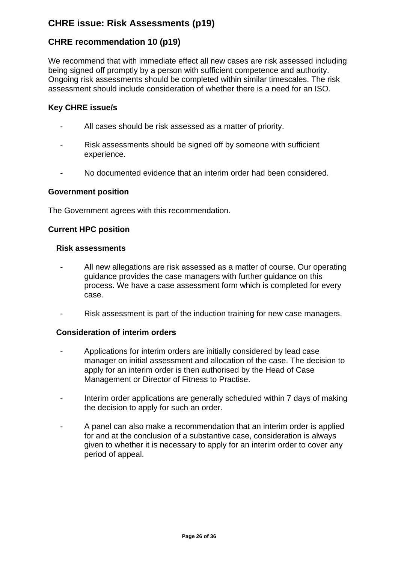# **CHRE issue: Risk Assessments (p19)**

# **CHRE recommendation 10 (p19)**

We recommend that with immediate effect all new cases are risk assessed including being signed off promptly by a person with sufficient competence and authority. Ongoing risk assessments should be completed within similar timescales. The risk assessment should include consideration of whether there is a need for an ISO.

### **Key CHRE issue/s**

- All cases should be risk assessed as a matter of priority.
- Risk assessments should be signed off by someone with sufficient experience.
- No documented evidence that an interim order had been considered.

### **Government position**

The Government agrees with this recommendation.

### **Current HPC position**

#### **Risk assessments**

- All new allegations are risk assessed as a matter of course. Our operating guidance provides the case managers with further guidance on this process. We have a case assessment form which is completed for every case.
- Risk assessment is part of the induction training for new case managers.

### **Consideration of interim orders**

- Applications for interim orders are initially considered by lead case manager on initial assessment and allocation of the case. The decision to apply for an interim order is then authorised by the Head of Case Management or Director of Fitness to Practise.
- Interim order applications are generally scheduled within 7 days of making the decision to apply for such an order.
- A panel can also make a recommendation that an interim order is applied for and at the conclusion of a substantive case, consideration is always given to whether it is necessary to apply for an interim order to cover any period of appeal.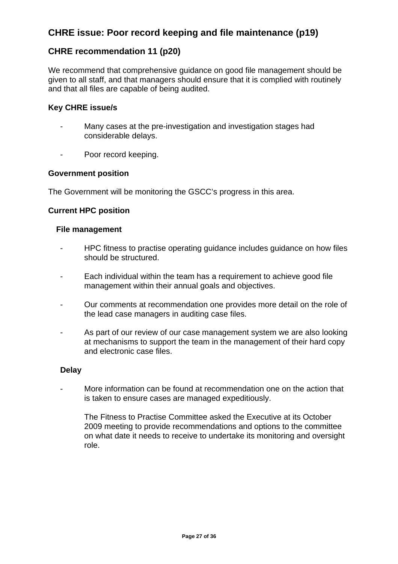# **CHRE issue: Poor record keeping and file maintenance (p19)**

# **CHRE recommendation 11 (p20)**

We recommend that comprehensive guidance on good file management should be given to all staff, and that managers should ensure that it is complied with routinely and that all files are capable of being audited.

### **Key CHRE issue/s**

- Many cases at the pre-investigation and investigation stages had considerable delays.
- Poor record keeping.

### **Government position**

The Government will be monitoring the GSCC's progress in this area.

### **Current HPC position**

### **File management**

- HPC fitness to practise operating guidance includes guidance on how files should be structured.
- Each individual within the team has a requirement to achieve good file management within their annual goals and objectives.
- Our comments at recommendation one provides more detail on the role of the lead case managers in auditing case files.
- As part of our review of our case management system we are also looking at mechanisms to support the team in the management of their hard copy and electronic case files.

### **Delay**

- More information can be found at recommendation one on the action that is taken to ensure cases are managed expeditiously.
	- The Fitness to Practise Committee asked the Executive at its October 2009 meeting to provide recommendations and options to the committee on what date it needs to receive to undertake its monitoring and oversight role.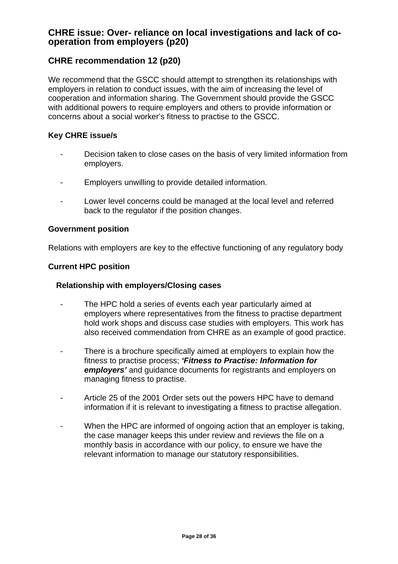# **CHRE issue: Over- reliance on local investigations and lack of cooperation from employers (p20)**

# **CHRE recommendation 12 (p20)**

We recommend that the GSCC should attempt to strengthen its relationships with employers in relation to conduct issues, with the aim of increasing the level of cooperation and information sharing. The Government should provide the GSCC with additional powers to require employers and others to provide information or concerns about a social worker's fitness to practise to the GSCC.

### **Key CHRE issue/s**

- Decision taken to close cases on the basis of very limited information from employers.
- Employers unwilling to provide detailed information.
- Lower level concerns could be managed at the local level and referred back to the regulator if the position changes.

### **Government position**

Relations with employers are key to the effective functioning of any regulatory body

### **Current HPC position**

### **Relationship with employers/Closing cases**

- The HPC hold a series of events each year particularly aimed at employers where representatives from the fitness to practise department hold work shops and discuss case studies with employers. This work has also received commendation from CHRE as an example of good practice.
- There is a brochure specifically aimed at employers to explain how the fitness to practise process; *'Fitness to Practise: Information for employers'* and guidance documents for registrants and employers on managing fitness to practise.
- Article 25 of the 2001 Order sets out the powers HPC have to demand information if it is relevant to investigating a fitness to practise allegation.
- When the HPC are informed of ongoing action that an employer is taking, the case manager keeps this under review and reviews the file on a monthly basis in accordance with our policy, to ensure we have the relevant information to manage our statutory responsibilities.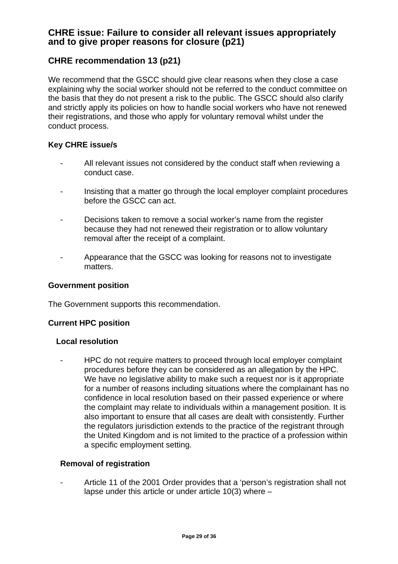# **CHRE issue: Failure to consider all relevant issues appropriately and to give proper reasons for closure (p21)**

# **CHRE recommendation 13 (p21)**

We recommend that the GSCC should give clear reasons when they close a case explaining why the social worker should not be referred to the conduct committee on the basis that they do not present a risk to the public. The GSCC should also clarify and strictly apply its policies on how to handle social workers who have not renewed their registrations, and those who apply for voluntary removal whilst under the conduct process.

### **Key CHRE issue/s**

- All relevant issues not considered by the conduct staff when reviewing a conduct case.
- Insisting that a matter go through the local employer complaint procedures before the GSCC can act.
- Decisions taken to remove a social worker's name from the register because they had not renewed their registration or to allow voluntary removal after the receipt of a complaint.
- Appearance that the GSCC was looking for reasons not to investigate matters.

### **Government position**

The Government supports this recommendation.

### **Current HPC position**

### **Local resolution**

- HPC do not require matters to proceed through local employer complaint procedures before they can be considered as an allegation by the HPC. We have no legislative ability to make such a request nor is it appropriate for a number of reasons including situations where the complainant has no confidence in local resolution based on their passed experience or where the complaint may relate to individuals within a management position. It is also important to ensure that all cases are dealt with consistently. Further the regulators jurisdiction extends to the practice of the registrant through the United Kingdom and is not limited to the practice of a profession within a specific employment setting.

### **Removal of registration**

- Article 11 of the 2001 Order provides that a 'person's registration shall not lapse under this article or under article 10(3) where –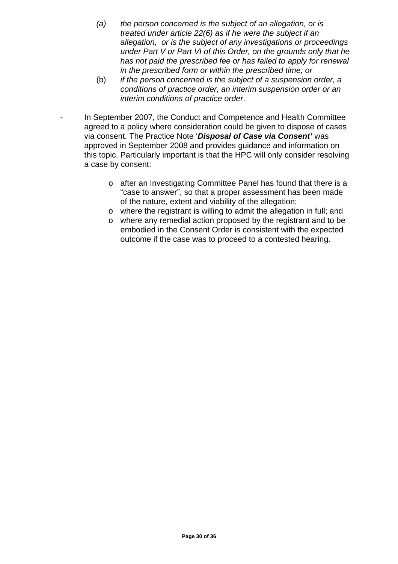- *(a) the person concerned is the subject of an allegation, or is treated under article 22(6) as if he were the subject if an allegation, or is the subject of any investigations or proceedings under Part V or Part VI of this Order, on the grounds only that he has not paid the prescribed fee or has failed to apply for renewal in the prescribed form or within the prescribed time; or*
- (b) *if the person concerned is the subject of a suspension order, a conditions of practice order, an interim suspension order or an interim conditions of practice order*.

In September 2007, the Conduct and Competence and Health Committee agreed to a policy where consideration could be given to dispose of cases via consent. The Practice Note '*Disposal of Case via Consent'* was approved in September 2008 and provides guidance and information on this topic. Particularly important is that the HPC will only consider resolving a case by consent:

- o after an Investigating Committee Panel has found that there is a "case to answer", so that a proper assessment has been made of the nature, extent and viability of the allegation;
- o where the registrant is willing to admit the allegation in full; and
- o where any remedial action proposed by the registrant and to be embodied in the Consent Order is consistent with the expected outcome if the case was to proceed to a contested hearing.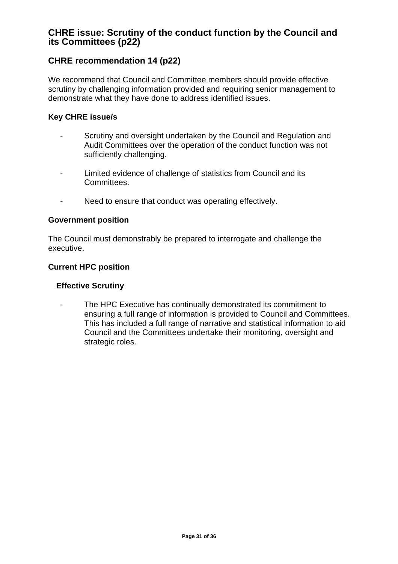# **CHRE issue: Scrutiny of the conduct function by the Council and its Committees (p22)**

# **CHRE recommendation 14 (p22)**

We recommend that Council and Committee members should provide effective scrutiny by challenging information provided and requiring senior management to demonstrate what they have done to address identified issues.

### **Key CHRE issue/s**

- Scrutiny and oversight undertaken by the Council and Regulation and Audit Committees over the operation of the conduct function was not sufficiently challenging.
- Limited evidence of challenge of statistics from Council and its Committees.
- Need to ensure that conduct was operating effectively.

### **Government position**

The Council must demonstrably be prepared to interrogate and challenge the executive.

### **Current HPC position**

### **Effective Scrutiny**

- The HPC Executive has continually demonstrated its commitment to ensuring a full range of information is provided to Council and Committees. This has included a full range of narrative and statistical information to aid Council and the Committees undertake their monitoring, oversight and strategic roles.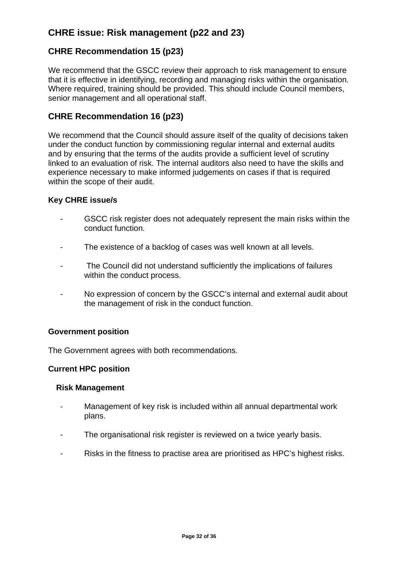# **CHRE issue: Risk management (p22 and 23)**

# **CHRE Recommendation 15 (p23)**

We recommend that the GSCC review their approach to risk management to ensure that it is effective in identifying, recording and managing risks within the organisation. Where required, training should be provided. This should include Council members, senior management and all operational staff.

## **CHRE Recommendation 16 (p23)**

We recommend that the Council should assure itself of the quality of decisions taken under the conduct function by commissioning regular internal and external audits and by ensuring that the terms of the audits provide a sufficient level of scrutiny linked to an evaluation of risk. The internal auditors also need to have the skills and experience necessary to make informed judgements on cases if that is required within the scope of their audit.

### **Key CHRE issue/s**

- GSCC risk register does not adequately represent the main risks within the conduct function.
- The existence of a backlog of cases was well known at all levels.
- The Council did not understand sufficiently the implications of failures within the conduct process.
- No expression of concern by the GSCC's internal and external audit about the management of risk in the conduct function.

### **Government position**

The Government agrees with both recommendations.

### **Current HPC position**

### **Risk Management**

- Management of key risk is included within all annual departmental work plans.
- The organisational risk register is reviewed on a twice yearly basis.
- Risks in the fitness to practise area are prioritised as HPC's highest risks.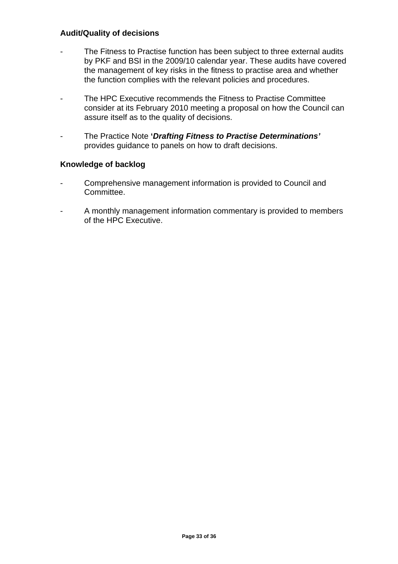### **Audit/Quality of decisions**

- The Fitness to Practise function has been subject to three external audits by PKF and BSI in the 2009/10 calendar year. These audits have covered the management of key risks in the fitness to practise area and whether the function complies with the relevant policies and procedures.
- The HPC Executive recommends the Fitness to Practise Committee consider at its February 2010 meeting a proposal on how the Council can assure itself as to the quality of decisions.
- The Practice Note **'***Drafting Fitness to Practise Determinations'* provides guidance to panels on how to draft decisions.

### **Knowledge of backlog**

- Comprehensive management information is provided to Council and Committee.
- A monthly management information commentary is provided to members of the HPC Executive.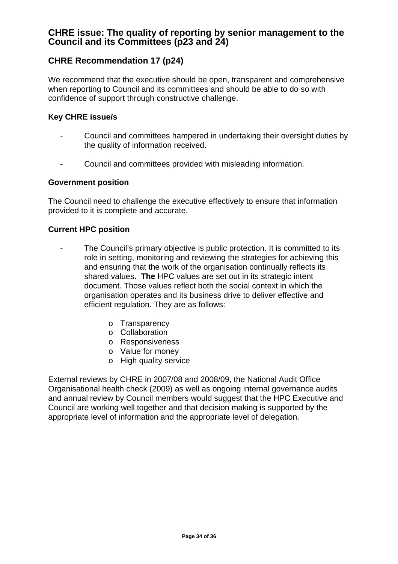# **CHRE issue: The quality of reporting by senior management to the Council and its Committees (p23 and 24)**

# **CHRE Recommendation 17 (p24)**

We recommend that the executive should be open, transparent and comprehensive when reporting to Council and its committees and should be able to do so with confidence of support through constructive challenge.

### **Key CHRE issue/s**

- Council and committees hampered in undertaking their oversight duties by the quality of information received.
- Council and committees provided with misleading information.

### **Government position**

The Council need to challenge the executive effectively to ensure that information provided to it is complete and accurate.

### **Current HPC position**

- The Council's primary objective is public protection. It is committed to its role in setting, monitoring and reviewing the strategies for achieving this and ensuring that the work of the organisation continually reflects its shared values**. The** HPC values are set out in its strategic intent document. Those values reflect both the social context in which the organisation operates and its business drive to deliver effective and efficient regulation. They are as follows:
	- o Transparency
	- o Collaboration
	- o Responsiveness
	- o Value for money
	- o High quality service

External reviews by CHRE in 2007/08 and 2008/09, the National Audit Office Organisational health check (2009) as well as ongoing internal governance audits and annual review by Council members would suggest that the HPC Executive and Council are working well together and that decision making is supported by the appropriate level of information and the appropriate level of delegation.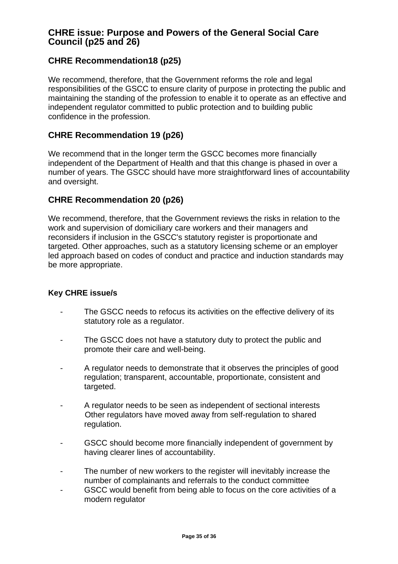# **CHRE issue: Purpose and Powers of the General Social Care Council (p25 and 26)**

# **CHRE Recommendation18 (p25)**

We recommend, therefore, that the Government reforms the role and legal responsibilities of the GSCC to ensure clarity of purpose in protecting the public and maintaining the standing of the profession to enable it to operate as an effective and independent regulator committed to public protection and to building public confidence in the profession.

### **CHRE Recommendation 19 (p26)**

We recommend that in the longer term the GSCC becomes more financially independent of the Department of Health and that this change is phased in over a number of years. The GSCC should have more straightforward lines of accountability and oversight.

### **CHRE Recommendation 20 (p26)**

We recommend, therefore, that the Government reviews the risks in relation to the work and supervision of domiciliary care workers and their managers and reconsiders if inclusion in the GSCC's statutory register is proportionate and targeted. Other approaches, such as a statutory licensing scheme or an employer led approach based on codes of conduct and practice and induction standards may be more appropriate.

### **Key CHRE issue/s**

- The GSCC needs to refocus its activities on the effective delivery of its statutory role as a regulator.
- The GSCC does not have a statutory duty to protect the public and promote their care and well-being.
- A regulator needs to demonstrate that it observes the principles of good regulation; transparent, accountable, proportionate, consistent and targeted.
- A regulator needs to be seen as independent of sectional interests Other regulators have moved away from self-regulation to shared regulation.
- GSCC should become more financially independent of government by having clearer lines of accountability.
- The number of new workers to the register will inevitably increase the number of complainants and referrals to the conduct committee
- GSCC would benefit from being able to focus on the core activities of a modern regulator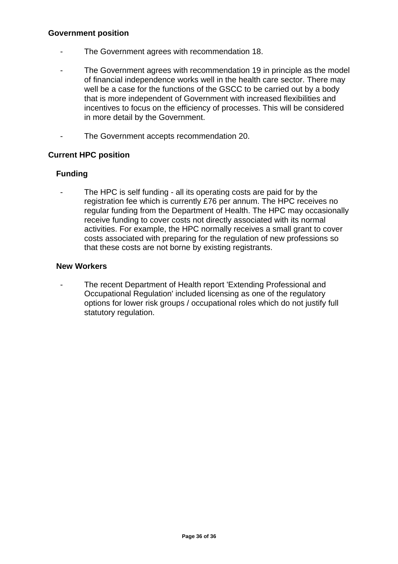### **Government position**

- The Government agrees with recommendation 18.
- The Government agrees with recommendation 19 in principle as the model of financial independence works well in the health care sector. There may well be a case for the functions of the GSCC to be carried out by a body that is more independent of Government with increased flexibilities and incentives to focus on the efficiency of processes. This will be considered in more detail by the Government.
- The Government accepts recommendation 20.

### **Current HPC position**

### **Funding**

The HPC is self funding - all its operating costs are paid for by the registration fee which is currently £76 per annum. The HPC receives no regular funding from the Department of Health. The HPC may occasionally receive funding to cover costs not directly associated with its normal activities. For example, the HPC normally receives a small grant to cover costs associated with preparing for the regulation of new professions so that these costs are not borne by existing registrants.

### **New Workers**

The recent Department of Health report 'Extending Professional and Occupational Regulation' included licensing as one of the regulatory options for lower risk groups / occupational roles which do not justify full statutory regulation.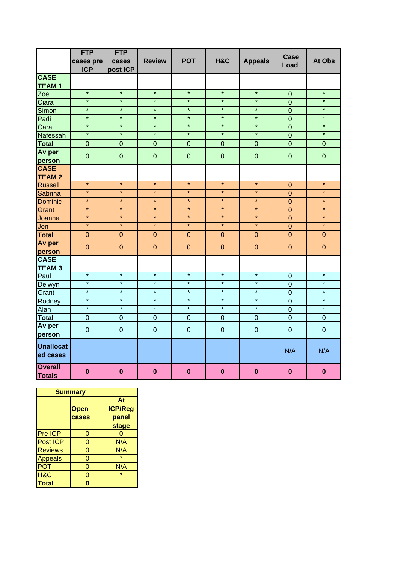|                                 | <b>FTP</b>     | <b>FTP</b>     |                |                |                |                | <b>Case</b>      |                |
|---------------------------------|----------------|----------------|----------------|----------------|----------------|----------------|------------------|----------------|
|                                 | cases pre      | cases          | <b>Review</b>  | <b>POT</b>     | H&C            | <b>Appeals</b> | Load             | At Obs         |
|                                 | <b>ICP</b>     | post ICP       |                |                |                |                |                  |                |
| <b>CASE</b>                     |                |                |                |                |                |                |                  |                |
| <b>TEAM1</b>                    |                |                |                |                |                |                |                  |                |
| Zoe                             | $\star$        | $\star$        | $\star$        | $\star$        | $\star$        | $\star$        | $\overline{0}$   | $\star$        |
| Ciara                           | $\star$        | $\star$        | $\star$        | $\star$        | $\star$        | $\star$        | $\overline{0}$   | $\star$        |
| Simon                           | $\star$        | $\star$        | $\star$        | $\star$        | $\star$        | $\star$        | $\overline{0}$   | $\star$        |
| Padi                            | $\star$        | $\star$        | $\star$        | $\star$        | $\star$        | $\star$        | $\overline{0}$   | $\star$        |
| Cara                            | $\star$        | $\star$        | $\star$        | $\star$        | $\star$        | $\star$        | $\overline{0}$   | $\star$        |
| Nafessah                        | $\star$        | $\star$        | $\star$        | $\star$        | $\star$        | $\star$        | $\overline{0}$   | $\star$        |
| <b>Total</b>                    | $\mathbf 0$    | $\overline{0}$ | $\overline{0}$ | $\overline{0}$ | $\overline{0}$ | $\overline{0}$ | $\overline{0}$   | $\mathbf 0$    |
| Av per                          | $\overline{0}$ | $\mathbf 0$    | $\overline{0}$ | $\overline{0}$ | $\overline{0}$ | $\overline{0}$ | $\overline{0}$   | $\mathbf 0$    |
| person                          |                |                |                |                |                |                |                  |                |
| <b>CASE</b>                     |                |                |                |                |                |                |                  |                |
| <b>TEAM 2</b>                   |                |                |                |                |                |                |                  |                |
| <b>Russell</b>                  | $\star$        | $\star$        | $\star$        | $\star$        | $\star$        | $\star$        | $\boldsymbol{0}$ | $\star$        |
| Sabrina                         | $\star$        | $\star$        | $\star$        | $\star$        | $\star$        | $\star$        | $\overline{0}$   | $\star$        |
| <b>Dominic</b>                  | $\star$        | $\star$        | $\star$        | $\star$        | $\star$        | $\star$        | $\mathbf 0$      | $\star$        |
| Grant                           | $\star$        | $\star$        | $\star$        | $\star$        | $\star$        | $\star$        | $\overline{0}$   | $\star$        |
| Joanna                          | $\star$        | $\star$        | $\star$        | $\star$        | $\star$        | $\star$        | $\mathbf 0$      | $\star$        |
| Jon                             | $\star$        | $\star$        | $\star$        | $\star$        | $\star$        | $\star$        | $\overline{0}$   | $\star$        |
| <b>Total</b>                    | $\pmb{0}$      | $\pmb{0}$      | $\mathbf 0$    | $\mathbf 0$    | $\mathbf 0$    | $\mathbf 0$    | $\mathbf 0$      | $\pmb{0}$      |
| Av per                          |                |                |                |                |                |                |                  |                |
| person                          | $\overline{0}$ | $\overline{0}$ | $\overline{0}$ | $\overline{0}$ | $\overline{0}$ | $\overline{0}$ | $\overline{0}$   | $\overline{0}$ |
| <b>CASE</b>                     |                |                |                |                |                |                |                  |                |
| <b>TEAM3</b>                    |                |                |                |                |                |                |                  |                |
| Paul                            | $\star$        | $\star$        | $\star$        | $\star$        | $\star$        | $\star$        | $\pmb{0}$        | $\star$        |
| Delwyn                          | $\star$        | $\star$        | $\star$        | $\star$        | $\star$        | $\star$        | $\mathbf 0$      | $\star$        |
| Grant                           | $\star$        | $\star$        | $\star$        | $\star$        | $\star$        | $\star$        | $\overline{0}$   | $\star$        |
| Rodney                          | $\star$        | $\star$        | $\star$        | $\star$        | $\star$        | $\star$        | $\overline{0}$   | $\star$        |
| Alan                            | $\star$        | $\ast$         | $\star$        | $\star$        | $\star$        | $\star$        | $\overline{0}$   | $\star$        |
| <b>Total</b>                    | $\mathbf 0$    | $\mathbf 0$    | $\mathbf 0$    | $\mathbf 0$    | $\mathbf 0$    | $\mathbf 0$    | $\overline{0}$   | $\mathbf 0$    |
| Av per                          |                |                |                |                |                |                |                  |                |
| person                          | $\overline{0}$ | $\mathbf 0$    | $\overline{0}$ | $\overline{0}$ | $\overline{0}$ | $\overline{0}$ | $\overline{0}$   | $\mathbf 0$    |
| <b>Unallocat</b>                |                |                |                |                |                |                | N/A              | N/A            |
| ed cases                        |                |                |                |                |                |                |                  |                |
| <b>Overall</b><br><b>Totals</b> | $\mathbf{0}$   | $\mathbf 0$    | $\mathbf{0}$   | $\bf{0}$       | $\bf{0}$       | $\bf{0}$       | $\mathbf{0}$     | $\mathbf{0}$   |

|                 | <b>Summary</b> |                |
|-----------------|----------------|----------------|
|                 |                | At             |
|                 | <b>Open</b>    | <b>ICP/Reg</b> |
|                 | cases          | panel          |
|                 |                | stage          |
| Pre ICP         | 0              |                |
| <b>Post ICP</b> | 0              | N/A            |
| <b>Reviews</b>  | 0              | N/A            |
| <b>Appeals</b>  | ი              | ÷              |
| <b>POT</b>      | 0              | N/A            |
| H&C             | 0              | $\star$        |
| <b>Total</b>    |                |                |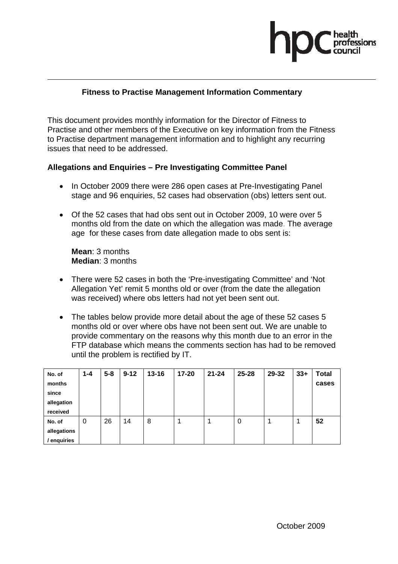#### **Fitness to Practise Management Information Commentary**

This document provides monthly information for the Director of Fitness to Practise and other members of the Executive on key information from the Fitness to Practise department management information and to highlight any recurring issues that need to be addressed.

#### **Allegations and Enquiries – Pre Investigating Committee Panel**

- In October 2009 there were 286 open cases at Pre-Investigating Panel stage and 96 enquiries, 52 cases had observation (obs) letters sent out.
- Of the 52 cases that had obs sent out in October 2009, 10 were over 5 months old from the date on which the allegation was made. The average age for these cases from date allegation made to obs sent is:

**Mean**: 3 months **Median**: 3 months

- There were 52 cases in both the 'Pre-investigating Committee' and 'Not Allegation Yet' remit 5 months old or over (from the date the allegation was received) where obs letters had not yet been sent out.
- The tables below provide more detail about the age of these 52 cases 5 months old or over where obs have not been sent out. We are unable to provide commentary on the reasons why this month due to an error in the FTP database which means the comments section has had to be removed until the problem is rectified by IT.

| No. of<br>months<br>since<br>allegation<br>received | $1 - 4$ | $5 - 8$ | $9 - 12$ | $13 - 16$ | 17-20 | $21 - 24$ | 25-28 | 29-32 | $33+$ | <b>Total</b><br>cases |
|-----------------------------------------------------|---------|---------|----------|-----------|-------|-----------|-------|-------|-------|-----------------------|
| No. of<br>allegations<br>enquiries                  | 0       | 26      | 14       | 8         |       |           | 0     |       |       | 52                    |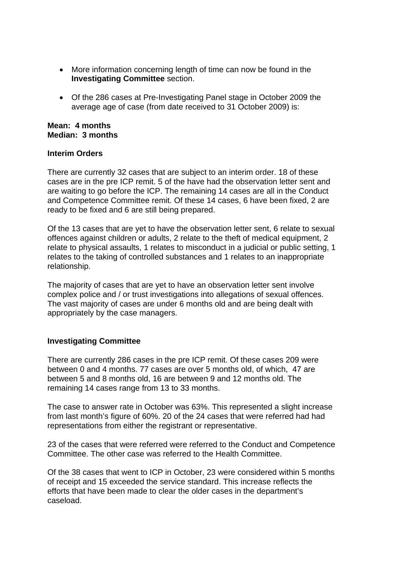- More information concerning length of time can now be found in the **Investigating Committee** section.
- Of the 286 cases at Pre-Investigating Panel stage in October 2009 the average age of case (from date received to 31 October 2009) is:

#### **Mean: 4 months Median: 3 months**

#### **Interim Orders**

There are currently 32 cases that are subject to an interim order. 18 of these cases are in the pre ICP remit. 5 of the have had the observation letter sent and are waiting to go before the ICP. The remaining 14 cases are all in the Conduct and Competence Committee remit. Of these 14 cases, 6 have been fixed, 2 are ready to be fixed and 6 are still being prepared.

Of the 13 cases that are yet to have the observation letter sent, 6 relate to sexual offences against children or adults, 2 relate to the theft of medical equipment, 2 relate to physical assaults, 1 relates to misconduct in a judicial or public setting, 1 relates to the taking of controlled substances and 1 relates to an inappropriate relationship.

The majority of cases that are yet to have an observation letter sent involve complex police and / or trust investigations into allegations of sexual offences. The vast majority of cases are under 6 months old and are being dealt with appropriately by the case managers.

#### **Investigating Committee**

There are currently 286 cases in the pre ICP remit. Of these cases 209 were between 0 and 4 months. 77 cases are over 5 months old, of which, 47 are between 5 and 8 months old, 16 are between 9 and 12 months old. The remaining 14 cases range from 13 to 33 months.

The case to answer rate in October was 63%. This represented a slight increase from last month's figure of 60%. 20 of the 24 cases that were referred had had representations from either the registrant or representative.

23 of the cases that were referred were referred to the Conduct and Competence Committee. The other case was referred to the Health Committee.

Of the 38 cases that went to ICP in October, 23 were considered within 5 months of receipt and 15 exceeded the service standard. This increase reflects the efforts that have been made to clear the older cases in the department's caseload.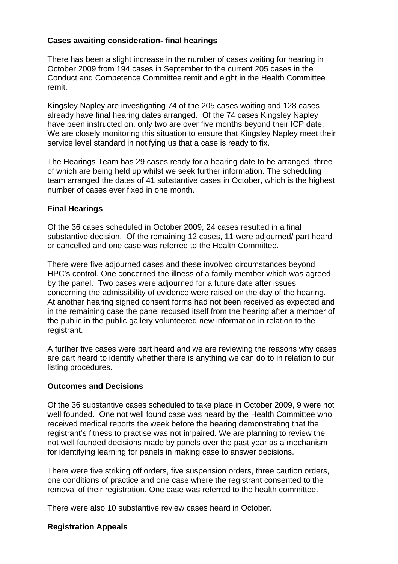#### **Cases awaiting consideration- final hearings**

There has been a slight increase in the number of cases waiting for hearing in October 2009 from 194 cases in September to the current 205 cases in the Conduct and Competence Committee remit and eight in the Health Committee remit.

Kingsley Napley are investigating 74 of the 205 cases waiting and 128 cases already have final hearing dates arranged. Of the 74 cases Kingsley Napley have been instructed on, only two are over five months beyond their ICP date. We are closely monitoring this situation to ensure that Kingsley Napley meet their service level standard in notifying us that a case is ready to fix.

The Hearings Team has 29 cases ready for a hearing date to be arranged, three of which are being held up whilst we seek further information. The scheduling team arranged the dates of 41 substantive cases in October, which is the highest number of cases ever fixed in one month.

#### **Final Hearings**

Of the 36 cases scheduled in October 2009, 24 cases resulted in a final substantive decision. Of the remaining 12 cases, 11 were adjourned/ part heard or cancelled and one case was referred to the Health Committee.

There were five adjourned cases and these involved circumstances beyond HPC's control. One concerned the illness of a family member which was agreed by the panel. Two cases were adjourned for a future date after issues concerning the admissibility of evidence were raised on the day of the hearing. At another hearing signed consent forms had not been received as expected and in the remaining case the panel recused itself from the hearing after a member of the public in the public gallery volunteered new information in relation to the registrant.

A further five cases were part heard and we are reviewing the reasons why cases are part heard to identify whether there is anything we can do to in relation to our listing procedures.

#### **Outcomes and Decisions**

Of the 36 substantive cases scheduled to take place in October 2009, 9 were not well founded. One not well found case was heard by the Health Committee who received medical reports the week before the hearing demonstrating that the registrant's fitness to practise was not impaired. We are planning to review the not well founded decisions made by panels over the past year as a mechanism for identifying learning for panels in making case to answer decisions.

There were five striking off orders, five suspension orders, three caution orders, one conditions of practice and one case where the registrant consented to the removal of their registration. One case was referred to the health committee.

There were also 10 substantive review cases heard in October.

#### **Registration Appeals**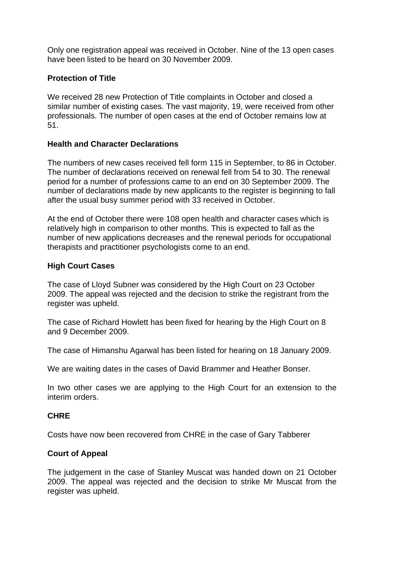Only one registration appeal was received in October. Nine of the 13 open cases have been listed to be heard on 30 November 2009.

#### **Protection of Title**

We received 28 new Protection of Title complaints in October and closed a similar number of existing cases. The vast majority, 19, were received from other professionals. The number of open cases at the end of October remains low at 51.

#### **Health and Character Declarations**

The numbers of new cases received fell form 115 in September, to 86 in October. The number of declarations received on renewal fell from 54 to 30. The renewal period for a number of professions came to an end on 30 September 2009. The number of declarations made by new applicants to the register is beginning to fall after the usual busy summer period with 33 received in October.

At the end of October there were 108 open health and character cases which is relatively high in comparison to other months. This is expected to fall as the number of new applications decreases and the renewal periods for occupational therapists and practitioner psychologists come to an end.

#### **High Court Cases**

The case of Lloyd Subner was considered by the High Court on 23 October 2009. The appeal was rejected and the decision to strike the registrant from the register was upheld.

The case of Richard Howlett has been fixed for hearing by the High Court on 8 and 9 December 2009.

The case of Himanshu Agarwal has been listed for hearing on 18 January 2009.

We are waiting dates in the cases of David Brammer and Heather Bonser.

In two other cases we are applying to the High Court for an extension to the interim orders.

#### **CHRE**

Costs have now been recovered from CHRE in the case of Gary Tabberer

#### **Court of Appeal**

The judgement in the case of Stanley Muscat was handed down on 21 October 2009. The appeal was rejected and the decision to strike Mr Muscat from the register was upheld.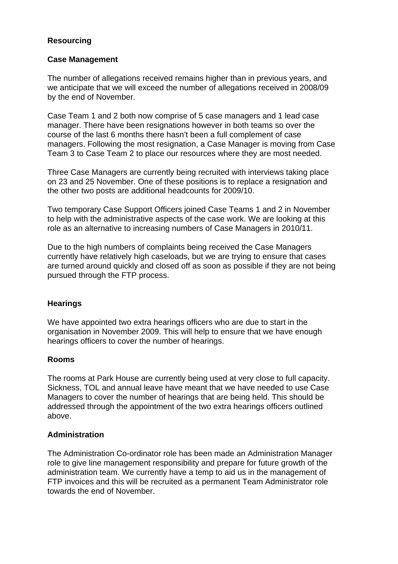#### **Resourcing**

#### **Case Management**

The number of allegations received remains higher than in previous years, and we anticipate that we will exceed the number of allegations received in 2008/09 by the end of November.

Case Team 1 and 2 both now comprise of 5 case managers and 1 lead case manager. There have been resignations however in both teams so over the course of the last 6 months there hasn't been a full complement of case managers. Following the most resignation, a Case Manager is moving from Case Team 3 to Case Team 2 to place our resources where they are most needed.

Three Case Managers are currently being recruited with interviews taking place on 23 and 25 November. One of these positions is to replace a resignation and the other two posts are additional headcounts for 2009/10.

Two temporary Case Support Officers joined Case Teams 1 and 2 in November to help with the administrative aspects of the case work. We are looking at this role as an alternative to increasing numbers of Case Managers in 2010/11.

Due to the high numbers of complaints being received the Case Managers currently have relatively high caseloads, but we are trying to ensure that cases are turned around quickly and closed off as soon as possible if they are not being pursued through the FTP process.

#### **Hearings**

We have appointed two extra hearings officers who are due to start in the organisation in November 2009. This will help to ensure that we have enough hearings officers to cover the number of hearings.

#### **Rooms**

The rooms at Park House are currently being used at very close to full capacity. Sickness, TOL and annual leave have meant that we have needed to use Case Managers to cover the number of hearings that are being held. This should be addressed through the appointment of the two extra hearings officers outlined above.

#### **Administration**

The Administration Co-ordinator role has been made an Administration Manager role to give line management responsibility and prepare for future growth of the administration team. We currently have a temp to aid us in the management of FTP invoices and this will be recruited as a permanent Team Administrator role towards the end of November.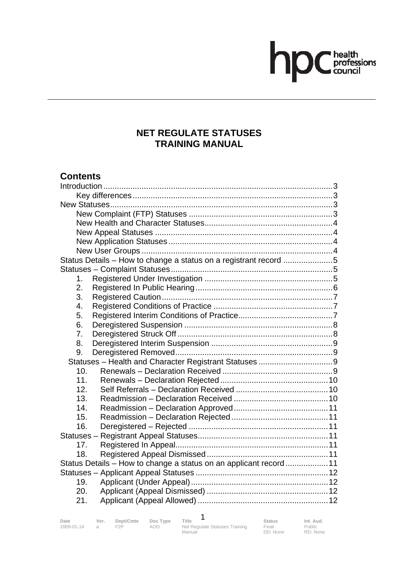# hp Chealth

#### **NET REGULATE STATUSES TRAINING MANUAL**

#### **Contents**

| Status Details - How to change a status on a registrant record 5  |  |
|-------------------------------------------------------------------|--|
|                                                                   |  |
| 1.                                                                |  |
| 2.                                                                |  |
| 3.                                                                |  |
| 4.                                                                |  |
| 5.                                                                |  |
| 6.                                                                |  |
| 7.                                                                |  |
| 8.                                                                |  |
| 9.                                                                |  |
|                                                                   |  |
| 10.                                                               |  |
| 11.                                                               |  |
| 12.                                                               |  |
| 13.                                                               |  |
| 14.                                                               |  |
| 15.                                                               |  |
| 16.                                                               |  |
|                                                                   |  |
| 17.                                                               |  |
| 18.                                                               |  |
| Status Details - How to change a status on an applicant record 11 |  |
|                                                                   |  |
| 19.                                                               |  |
| 20.                                                               |  |
| 21.                                                               |  |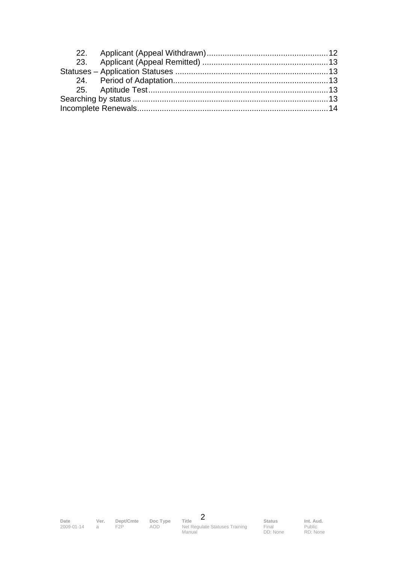

Final DD: None

Public RD: None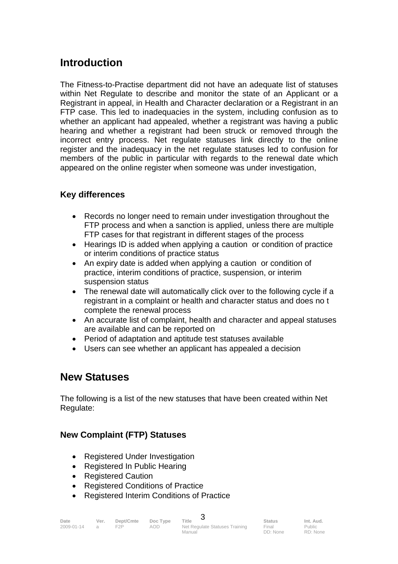#### **Introduction**

The Fitness-to-Practise department did not have an adequate list of statuses within Net Regulate to describe and monitor the state of an Applicant or a Registrant in appeal, in Health and Character declaration or a Registrant in an FTP case. This led to inadequacies in the system, including confusion as to whether an applicant had appealed, whether a registrant was having a public hearing and whether a registrant had been struck or removed through the incorrect entry process. Net regulate statuses link directly to the online register and the inadequacy in the net regulate statuses led to confusion for members of the public in particular with regards to the renewal date which appeared on the online register when someone was under investigation,

#### **Key differences**

- Records no longer need to remain under investigation throughout the FTP process and when a sanction is applied, unless there are multiple FTP cases for that registrant in different stages of the process
- Hearings ID is added when applying a caution or condition of practice or interim conditions of practice status
- An expiry date is added when applying a caution or condition of practice, interim conditions of practice, suspension, or interim suspension status
- The renewal date will automatically click over to the following cycle if a registrant in a complaint or health and character status and does no t complete the renewal process
- An accurate list of complaint, health and character and appeal statuses are available and can be reported on
- Period of adaptation and aptitude test statuses available
- Users can see whether an applicant has appealed a decision

#### **New Statuses**

The following is a list of the new statuses that have been created within Net Regulate:

#### **New Complaint (FTP) Statuses**

- Registered Under Investigation
- Registered In Public Hearing
- Registered Caution
- Registered Conditions of Practice
- Registered Interim Conditions of Practice

| Date       | Ver.           | Dept/Cmte | Doc Type | Title                          | <b>Status</b> | Int. Aud.   |
|------------|----------------|-----------|----------|--------------------------------|---------------|-------------|
| 2009-01-14 | $\overline{a}$ | F2P       | AOD.     | Net Regulate Statuses Training | Final         | Public      |
|            |                |           |          | $M$ oniol                      | $DD$ , $Nmax$ | $DD$ , Nasa |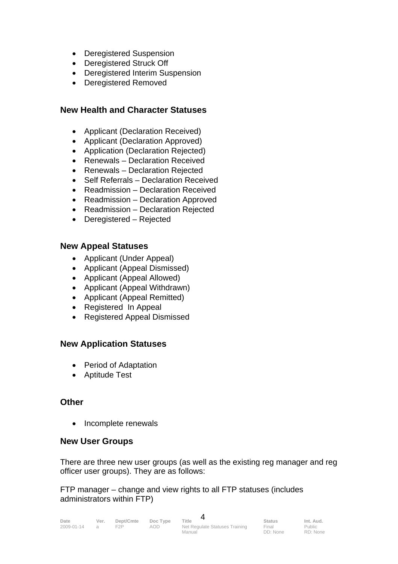- Deregistered Suspension
- Deregistered Struck Off
- Deregistered Interim Suspension
- Deregistered Removed

#### **New Health and Character Statuses**

- Applicant (Declaration Received)
- Applicant (Declaration Approved)
- Application (Declaration Rejected)
- Renewals Declaration Received
- Renewals Declaration Rejected
- Self Referrals Declaration Received
- Readmission Declaration Received
- Readmission Declaration Approved
- Readmission Declaration Rejected
- Deregistered Rejected

#### **New Appeal Statuses**

- Applicant (Under Appeal)
- Applicant (Appeal Dismissed)
- Applicant (Appeal Allowed)
- Applicant (Appeal Withdrawn)
- Applicant (Appeal Remitted)
- Registered In Appeal
- Registered Appeal Dismissed

#### **New Application Statuses**

- Period of Adaptation
- Aptitude Test

#### **Other**

• Incomplete renewals

#### **New User Groups**

There are three new user groups (as well as the existing reg manager and reg officer user groups). They are as follows:

FTP manager – change and view rights to all FTP statuses (includes administrators within FTP)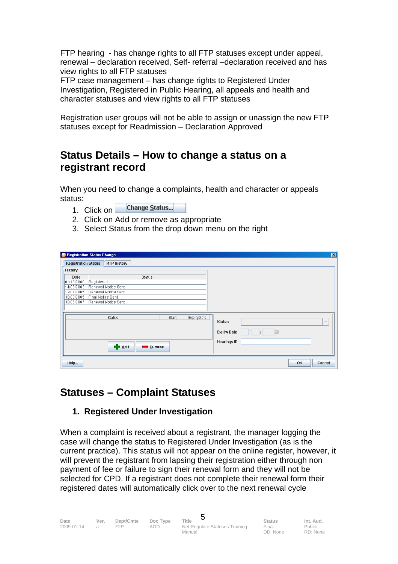FTP hearing - has change rights to all FTP statuses except under appeal, renewal – declaration received, Self- referral –declaration received and has view rights to all FTP statuses

FTP case management – has change rights to Registered Under Investigation, Registered in Public Hearing, all appeals and health and character statuses and view rights to all FTP statuses

Registration user groups will not be able to assign or unassign the new FTP statuses except for Readmission – Declaration Approved

#### **Status Details – How to change a status on a registrant record**

When you need to change a complaints, health and character or appeals status:

- Change Status... 1. Click on
- 2. Click on Add or remove as appropriate
- 3. Select Status from the drop down menu on the right

| Registration Status Change |                   |                     |                      |       |            |                    |                         |    | 図                        |
|----------------------------|-------------------|---------------------|----------------------|-------|------------|--------------------|-------------------------|----|--------------------------|
| <b>Registration Status</b> |                   | <b>RTP History</b>  |                      |       |            |                    |                         |    |                          |
| History                    |                   |                     |                      |       |            |                    |                         |    |                          |
| Date                       |                   |                     | Status               |       |            |                    |                         |    |                          |
| 01/10/2000                 | Registered        |                     |                      |       |            |                    |                         |    |                          |
| 14/08/2003                 |                   | Renewal Notice Sent |                      |       |            |                    |                         |    |                          |
| 12/07/2005                 |                   | Renewal Notice Sent |                      |       |            |                    |                         |    |                          |
| 30/08/2005                 | Final Notice Sent |                     |                      |       |            |                    |                         |    |                          |
| 30/06/2007                 |                   | Renewal Notice Sent |                      |       |            |                    |                         |    |                          |
|                            |                   |                     |                      |       |            |                    |                         |    |                          |
|                            |                   | Status              |                      | Start | ExpiryDate |                    |                         |    |                          |
|                            |                   |                     |                      |       |            | <b>Status</b>      |                         |    | $\overline{\phantom{a}}$ |
|                            |                   |                     |                      |       |            |                    |                         |    |                          |
|                            |                   |                     |                      |       |            | <b>Expiry Date</b> | $\oplus$<br>$ I  =  I $ |    |                          |
|                            |                   |                     |                      |       |            | <b>Hearings ID</b> |                         |    |                          |
|                            |                   | ⊕<br>Add            | Remove<br><u>e a</u> |       |            |                    |                         |    |                          |
|                            |                   |                     |                      |       |            |                    |                         |    |                          |
|                            |                   |                     |                      |       |            |                    |                         |    |                          |
| $H$ elp                    |                   |                     |                      |       |            |                    |                         | QK | Cancel                   |

#### **Statuses – Complaint Statuses**

#### **1. Registered Under Investigation**

When a complaint is received about a registrant, the manager logging the case will change the status to Registered Under Investigation (as is the current practice). This status will not appear on the online register, however, it will prevent the registrant from lapsing their registration either through non payment of fee or failure to sign their renewal form and they will not be selected for CPD. If a registrant does not complete their renewal form their registered dates will automatically click over to the next renewal cycle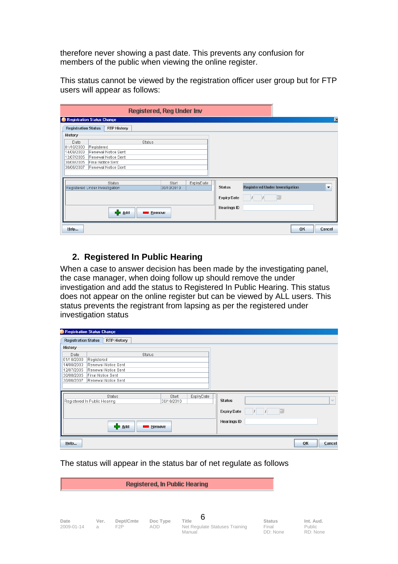therefore never showing a past date. This prevents any confusion for members of the public when viewing the online register.

This status cannot be viewed by the registration officer user group but for FTP users will appear as follows:

|                                |                   |                                            |                           | <b>Registered, Reg Under Inv</b> |            |                    |                                       |    |                          |
|--------------------------------|-------------------|--------------------------------------------|---------------------------|----------------------------------|------------|--------------------|---------------------------------------|----|--------------------------|
| Registration Status Change     |                   |                                            |                           |                                  |            |                    |                                       |    | $\mathbf{x}$             |
| <b>Registration Status</b>     |                   | <b>RTP History</b>                         |                           |                                  |            |                    |                                       |    |                          |
| History                        |                   |                                            |                           |                                  |            |                    |                                       |    |                          |
| Date                           |                   |                                            | Status                    |                                  |            |                    |                                       |    |                          |
| 01/10/2000                     | Registered        |                                            |                           |                                  |            |                    |                                       |    |                          |
| 14/08/2003<br>12/07/2005       |                   | Renewal Notice Sent<br>Renewal Notice Sent |                           |                                  |            |                    |                                       |    |                          |
| 30/08/2005                     | Final Notice Sent |                                            |                           |                                  |            |                    |                                       |    |                          |
| 30/06/2007                     |                   | Renewal Notice Sent                        |                           |                                  |            |                    |                                       |    |                          |
|                                |                   |                                            |                           |                                  |            |                    |                                       |    |                          |
|                                |                   | Status                                     |                           | Start                            | ExpiryDate |                    |                                       |    |                          |
| Registered Under Investigation |                   |                                            |                           | 30/10/2010                       |            | <b>Status</b>      | <b>Registered Under Investigation</b> |    | $\overline{\phantom{a}}$ |
|                                |                   |                                            |                           |                                  |            | <b>Expiry Date</b> |                                       |    |                          |
|                                |                   |                                            |                           |                                  |            |                    |                                       |    |                          |
|                                |                   |                                            |                           |                                  |            | <b>Hearings ID</b> |                                       |    |                          |
|                                |                   | ⊕<br>Add                                   | Remove<br><b>Contract</b> |                                  |            |                    |                                       |    |                          |
|                                |                   |                                            |                           |                                  |            |                    |                                       |    |                          |
| $H$ elp                        |                   |                                            |                           |                                  |            |                    |                                       | OK | Cancel                   |
|                                |                   |                                            |                           |                                  |            |                    |                                       |    |                          |

#### **2. Registered In Public Hearing**

When a case to answer decision has been made by the investigating panel, the case manager, when doing follow up should remove the under investigation and add the status to Registered In Public Hearing. This status does not appear on the online register but can be viewed by ALL users. This status prevents the registrant from lapsing as per the registered under investigation status

| <b>P</b> Registration Status Change |                                                  |                     |               |                     |            |                    |             |    |                          |
|-------------------------------------|--------------------------------------------------|---------------------|---------------|---------------------|------------|--------------------|-------------|----|--------------------------|
|                                     | <b>Registration Status</b><br><b>RTP History</b> |                     |               |                     |            |                    |             |    |                          |
| History                             |                                                  |                     |               |                     |            |                    |             |    |                          |
| Date                                |                                                  |                     | <b>Status</b> |                     |            |                    |             |    |                          |
| 01/10/2000                          | Registered                                       |                     |               |                     |            |                    |             |    |                          |
| 14/08/2003                          |                                                  | Renewal Notice Sent |               |                     |            |                    |             |    |                          |
| 12/07/2005                          |                                                  | Renewal Notice Sent |               |                     |            |                    |             |    |                          |
| 30/08/2005                          | Final Notice Sent                                |                     |               |                     |            |                    |             |    |                          |
| 30/06/2007                          |                                                  | Renewal Notice Sent |               |                     |            |                    |             |    |                          |
|                                     |                                                  |                     |               |                     |            |                    |             |    |                          |
|                                     |                                                  |                     |               |                     |            |                    |             |    |                          |
| Registered In Public Hearing        |                                                  | <b>Status</b>       |               | Start<br>30/10/2010 | ExpiryDate | <b>Status</b>      |             |    | $\overline{\phantom{a}}$ |
|                                     |                                                  |                     |               |                     |            |                    |             |    |                          |
|                                     |                                                  |                     |               |                     |            | <b>Expiry Date</b> | $ I  =  I $ |    |                          |
|                                     |                                                  |                     |               |                     |            |                    |             |    |                          |
|                                     |                                                  | ♣                   |               |                     |            | <b>Hearings ID</b> |             |    |                          |
|                                     |                                                  | Add                 | $\sim$        | <b>Remove</b>       |            |                    |             |    |                          |
| Help                                |                                                  |                     |               |                     |            |                    |             | OK | Cancel                   |
|                                     |                                                  |                     |               |                     |            |                    |             |    |                          |

The status will appear in the status bar of net regulate as follows

|                    | <b>Registered, In Public Hearing</b> |                               |                        |                                                               |                                    |  |  |  |  |
|--------------------|--------------------------------------|-------------------------------|------------------------|---------------------------------------------------------------|------------------------------------|--|--|--|--|
|                    |                                      |                               |                        |                                                               |                                    |  |  |  |  |
| Date<br>2009-01-14 | Ver.<br>a                            | Dept/Cmte<br>F <sub>2</sub> P | Doc Type<br><b>AOD</b> | 6<br><b>Title</b><br>Net Regulate Statuses Training<br>Manual | <b>Status</b><br>Final<br>DD: None |  |  |  |  |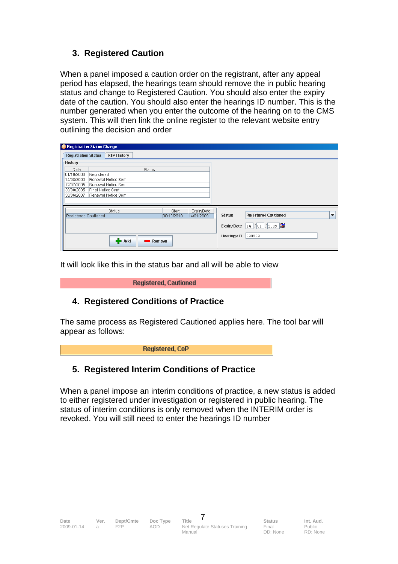#### **3. Registered Caution**

When a panel imposed a caution order on the registrant, after any appeal period has elapsed, the hearings team should remove the in public hearing status and change to Registered Caution. You should also enter the expiry date of the caution. You should also enter the hearings ID number. This is the number generated when you enter the outcome of the hearing on to the CMS system. This will then link the online register to the relevant website entry outlining the decision and order

| Registration Status Change |            |                          |               |       |            |                    |                             |                          |
|----------------------------|------------|--------------------------|---------------|-------|------------|--------------------|-----------------------------|--------------------------|
| <b>Registration Status</b> |            | <b>RTP History</b>       |               |       |            |                    |                             |                          |
| History                    |            |                          |               |       |            |                    |                             |                          |
| Date                       |            |                          | Status        |       |            |                    |                             |                          |
| 01/10/2000                 | Registered |                          |               |       |            |                    |                             |                          |
| 14/08/2003                 |            | Renewal Notice Sent      |               |       |            |                    |                             |                          |
| 12/07/2005                 |            | Renewal Notice Sent      |               |       |            |                    |                             |                          |
| 30/08/2005                 |            | <b>Final Notice Sent</b> |               |       |            |                    |                             |                          |
| 30/06/2007                 |            | Renewal Notice Sent      |               |       |            |                    |                             |                          |
|                            |            |                          |               |       |            |                    |                             |                          |
|                            |            | <b>Status</b>            |               | Start | ExpiryDate |                    |                             |                          |
| Registered Cautioned       |            |                          | 30/10/2010    |       | 14/01/2009 | <b>Status</b>      | <b>Registered Cautioned</b> | $\overline{\phantom{a}}$ |
|                            |            |                          |               |       |            | <b>Expiry Date</b> | 14 / 01 / 2009              |                          |
|                            |            | ∯ <u>А</u> dd            | Remove<br>e i |       |            | <b>Hearings ID</b> | 999999                      |                          |

It will look like this in the status bar and all will be able to view

**Registered, Cautioned** 

#### **4. Registered Conditions of Practice**

The same process as Registered Cautioned applies here. The tool bar will appear as follows:

#### **5. Registered Interim Conditions of Practice**

When a panel impose an interim conditions of practice, a new status is added to either registered under investigation or registered in public hearing. The status of interim conditions is only removed when the INTERIM order is revoked. You will still need to enter the hearings ID number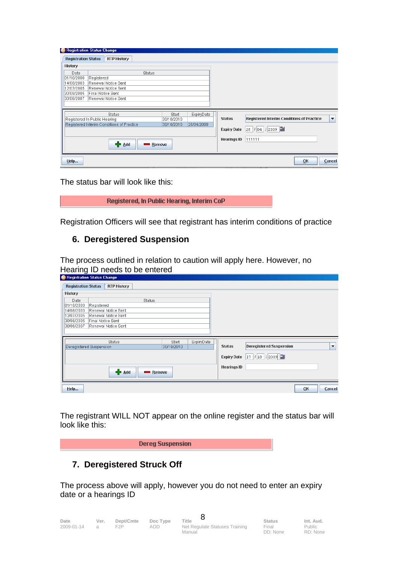| <sup>1</sup> Registration Status Change |            |                                           |                                                                                                                                                                                                                                |            |            |                    |                                                  |    |                      |
|-----------------------------------------|------------|-------------------------------------------|--------------------------------------------------------------------------------------------------------------------------------------------------------------------------------------------------------------------------------|------------|------------|--------------------|--------------------------------------------------|----|----------------------|
| <b>Registration Status</b>              |            | <b>RTP History</b>                        |                                                                                                                                                                                                                                |            |            |                    |                                                  |    |                      |
| History                                 |            |                                           |                                                                                                                                                                                                                                |            |            |                    |                                                  |    |                      |
| Date                                    |            |                                           | Status                                                                                                                                                                                                                         |            |            |                    |                                                  |    |                      |
| 01/10/2000                              | Registered |                                           |                                                                                                                                                                                                                                |            |            |                    |                                                  |    |                      |
| 14/08/2003                              |            | Renewal Notice Sent                       |                                                                                                                                                                                                                                |            |            |                    |                                                  |    |                      |
| 12/07/2005                              |            | Renewal Notice Sent                       |                                                                                                                                                                                                                                |            |            |                    |                                                  |    |                      |
| 30/08/2005                              |            | Final Notice Sent                         |                                                                                                                                                                                                                                |            |            |                    |                                                  |    |                      |
| 30/06/2007                              |            | Renewal Notice Sent                       |                                                                                                                                                                                                                                |            |            |                    |                                                  |    |                      |
|                                         |            |                                           |                                                                                                                                                                                                                                |            |            |                    |                                                  |    |                      |
|                                         |            |                                           |                                                                                                                                                                                                                                |            |            |                    |                                                  |    |                      |
|                                         |            | Status                                    |                                                                                                                                                                                                                                | Start      | ExpiryDate |                    |                                                  |    |                      |
| Registered In Public Hearing            |            |                                           |                                                                                                                                                                                                                                | 30/10/2010 |            | <b>Status</b>      | <b>Registered Interim Conditions of Practice</b> |    | $\blacktriangledown$ |
|                                         |            | Registered Interim Conditions of Practice |                                                                                                                                                                                                                                | 30/10/2010 | 28/04/2009 |                    |                                                  |    |                      |
|                                         |            |                                           |                                                                                                                                                                                                                                |            |            | <b>Expiry Date</b> | 28   1 04   1 2009   1                           |    |                      |
|                                         |            |                                           |                                                                                                                                                                                                                                |            |            | <b>Hearings ID</b> | 111111                                           |    |                      |
|                                         |            | 中 Add                                     | and the contract of the contract of the contract of the contract of the contract of the contract of the contract of the contract of the contract of the contract of the contract of the contract of the contract of the contra | Remove     |            |                    |                                                  |    |                      |
|                                         |            |                                           |                                                                                                                                                                                                                                |            |            |                    |                                                  |    |                      |
|                                         |            |                                           |                                                                                                                                                                                                                                |            |            |                    |                                                  |    |                      |
| Help                                    |            |                                           |                                                                                                                                                                                                                                |            |            |                    |                                                  | OK | Cancel               |
|                                         |            |                                           |                                                                                                                                                                                                                                |            |            |                    |                                                  |    |                      |

The status bar will look like this:

Registered, In Public Hearing, Interim CoP

Registration Officers will see that registrant has interim conditions of practice

#### **6. Deregistered Suspension**

The process outlined in relation to caution will apply here. However, no Hearing ID needs to be entered

|                            | <b>P. Registration Status Change</b> |                     |            |                    |                                |              |                          |
|----------------------------|--------------------------------------|---------------------|------------|--------------------|--------------------------------|--------------|--------------------------|
| <b>Registration Status</b> | <b>RTP History</b>                   |                     |            |                    |                                |              |                          |
| History                    |                                      |                     |            |                    |                                |              |                          |
| Date                       |                                      | <b>Status</b>       |            |                    |                                |              |                          |
| 01/10/2000                 | Registered                           |                     |            |                    |                                |              |                          |
| 14/08/2003                 | Renewal Notice Sent                  |                     |            |                    |                                |              |                          |
| 12/07/2005                 | Renewal Notice Sent                  |                     |            |                    |                                |              |                          |
| 30/08/2005                 | Final Notice Sent                    |                     |            |                    |                                |              |                          |
| 30/06/2007                 | Renewal Notice Sent                  |                     |            |                    |                                |              |                          |
|                            |                                      |                     |            |                    |                                |              |                          |
|                            | <b>Status</b>                        |                     |            |                    |                                |              |                          |
|                            | Deregistered Suspension              | Start<br>30/10/2010 | ExpiryDate | <b>Status</b>      | <b>Deregistered Suspension</b> |              | $\overline{\phantom{a}}$ |
|                            |                                      |                     |            |                    |                                |              |                          |
|                            |                                      |                     |            | <b>Expiry Date</b> | $17$ $ 10 $ $ 2009 $ $  $      |              |                          |
|                            |                                      |                     |            | <b>Hearings ID</b> |                                |              |                          |
|                            | <b>D</b> Add                         | Remove<br>a,        |            |                    |                                |              |                          |
|                            |                                      |                     |            |                    |                                |              |                          |
|                            |                                      |                     |            |                    |                                |              |                          |
| $H$ elp                    |                                      |                     |            |                    |                                | OK<br>Cancel |                          |

The registrant WILL NOT appear on the online register and the status bar will look like this:

#### **7. Deregistered Struck Off**

The process above will apply, however you do not need to enter an expiry date or a hearings ID

| Date       | Ver. | Dept/Cmte | Doc Type | Title                          | <b>Status</b> | Int. Aud. |
|------------|------|-----------|----------|--------------------------------|---------------|-----------|
| 2009-01-14 |      | FクP       | AOD      | Net Regulate Statuses Training | Final         | Public    |
|            |      |           |          | Manual                         | DD: None      | RD: None  |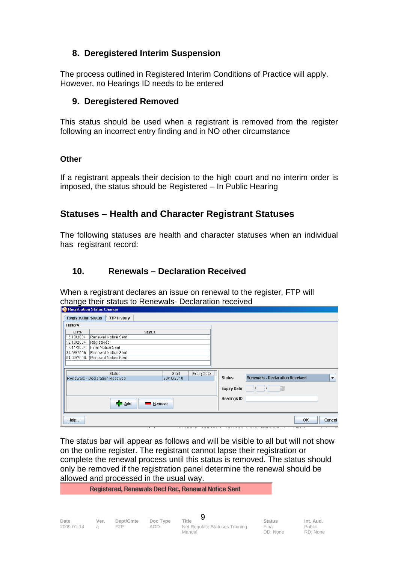#### **8. Deregistered Interim Suspension**

The process outlined in Registered Interim Conditions of Practice will apply. However, no Hearings ID needs to be entered

#### **9. Deregistered Removed**

This status should be used when a registrant is removed from the register following an incorrect entry finding and in NO other circumstance

#### **Other**

If a registrant appeals their decision to the high court and no interim order is imposed, the status should be Registered – In Public Hearing

#### **Statuses – Health and Character Registrant Statuses**

The following statuses are health and character statuses when an individual has registrant record:

#### **10. Renewals – Declaration Received**

When a registrant declares an issue on renewal to the register, FTP will change their status to Renewals- Declaration received

| Registration Status Change      |            |                     |                |            |            |                    |                                                                |
|---------------------------------|------------|---------------------|----------------|------------|------------|--------------------|----------------------------------------------------------------|
| <b>Registration Status</b>      |            | <b>RTP History</b>  |                |            |            |                    |                                                                |
| History                         |            |                     |                |            |            |                    |                                                                |
| Date                            |            |                     | <b>Status</b>  |            |            |                    |                                                                |
| 16/10/2004                      |            | Renewal Notice Sent |                |            |            |                    |                                                                |
| 18/10/2004                      | Registered |                     |                |            |            |                    |                                                                |
| 17/11/2004                      |            | Final Notice Sent   |                |            |            |                    |                                                                |
| 31/08/2006                      |            | Renewal Notice Sent |                |            |            |                    |                                                                |
| 04/09/2008                      |            | Renewal Notice Sent |                |            |            |                    |                                                                |
|                                 |            |                     |                |            |            |                    |                                                                |
|                                 |            |                     |                |            |            |                    |                                                                |
|                                 |            | <b>Status</b>       |                | Start      | ExpiryDate | <b>Status</b>      | <b>Renewals - Declaration Received</b><br>$\blacktriangledown$ |
| Renewals - Declaration Received |            |                     |                | 30/10/2010 |            |                    |                                                                |
|                                 |            |                     |                |            |            | <b>Expiry Date</b> |                                                                |
|                                 |            |                     |                |            |            |                    |                                                                |
|                                 |            |                     |                |            |            | <b>Hearings ID</b> |                                                                |
|                                 |            | + Add               | Remove<br>a an |            |            |                    |                                                                |
|                                 |            |                     |                |            |            |                    |                                                                |
|                                 |            |                     |                |            |            |                    |                                                                |
| Help                            |            |                     |                |            |            |                    | Cancel<br>0 <sub>K</sub>                                       |
|                                 |            |                     |                |            |            |                    |                                                                |

The status bar will appear as follows and will be visible to all but will not show on the online register. The registrant cannot lapse their registration or complete the renewal process until this status is removed. The status should only be removed if the registration panel determine the renewal should be allowed and processed in the usual way.

#### Registered, Renewals Decl Rec, Renewal Notice Sent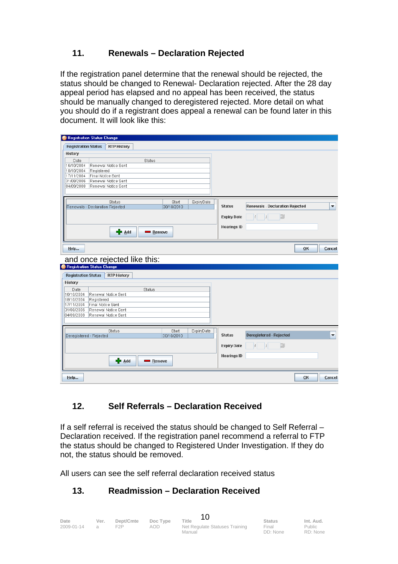#### **11. Renewals – Declaration Rejected**

If the registration panel determine that the renewal should be rejected, the status should be changed to Renewal- Declaration rejected. After the 28 day appeal period has elapsed and no appeal has been received, the status should be manually changed to deregistered rejected. More detail on what you should do if a registrant does appeal a renewal can be found later in this document. It will look like this:

| Registration Status Change                                             |                                   |                    |                                 |                          |
|------------------------------------------------------------------------|-----------------------------------|--------------------|---------------------------------|--------------------------|
| <b>Registration Status</b><br><b>RTP History</b>                       |                                   |                    |                                 |                          |
| History                                                                |                                   |                    |                                 |                          |
| Date<br>Status                                                         |                                   |                    |                                 |                          |
| 16/10/2004<br>Renewal Notice Sent                                      |                                   |                    |                                 |                          |
| 18/10/2004<br>Registered<br>17/11/2004<br>Final Notice Sent            |                                   |                    |                                 |                          |
| 31/08/2006<br>Renewal Notice Sent                                      |                                   |                    |                                 |                          |
| 04/09/2008<br>Renewal Notice Sent                                      |                                   |                    |                                 |                          |
|                                                                        |                                   |                    |                                 |                          |
| <b>Status</b>                                                          | Start<br>ExpiryDate               |                    |                                 |                          |
| Renewals - Declaration Rejected                                        | 30/10/2010                        | <b>Status</b>      | Renewals - Declaration Rejected | $\blacktriangledown$     |
|                                                                        |                                   |                    | E                               |                          |
|                                                                        |                                   | <b>Expiry Date</b> | $ I  =  I $                     |                          |
|                                                                        |                                   | <b>Hearings ID</b> |                                 |                          |
| - <mark>⊹</mark> ⊅ <u>А</u> dd<br>Remove                               |                                   |                    |                                 |                          |
|                                                                        |                                   |                    |                                 |                          |
| Help                                                                   |                                   |                    |                                 | QK<br>Cancel             |
|                                                                        |                                   |                    |                                 |                          |
| and once rejected like this:                                           |                                   |                    |                                 |                          |
| Registration Status Change                                             |                                   |                    |                                 |                          |
| <b>Registration Status</b><br><b>RTP History</b>                       |                                   |                    |                                 |                          |
| History                                                                |                                   |                    |                                 |                          |
| Date<br>Status                                                         |                                   |                    |                                 |                          |
| 16/10/2004<br>Renewal Notice Sent                                      |                                   |                    |                                 |                          |
| 18/10/2004<br>Registered                                               |                                   |                    |                                 |                          |
| 17/11/2004<br>Final Notice Sent                                        |                                   |                    |                                 |                          |
| Renewal Notice Sent<br>31/08/2006<br>04/09/2008<br>Renewal Notice Sent |                                   |                    |                                 |                          |
|                                                                        |                                   |                    |                                 |                          |
|                                                                        |                                   |                    |                                 |                          |
| <b>Status</b><br>Deregistered - Rejected                               | Start<br>ExpiryDate<br>30/10/2010 | <b>Status</b>      | <b>Deregistered - Rejected</b>  | $\overline{\phantom{a}}$ |
|                                                                        |                                   |                    |                                 |                          |
|                                                                        |                                   | <b>Expiry Date</b> | B<br>$ I  =  I $                |                          |
|                                                                        |                                   |                    |                                 |                          |
| 다 Add<br>Remove                                                        |                                   | <b>Hearings ID</b> |                                 |                          |
|                                                                        |                                   |                    |                                 |                          |
|                                                                        |                                   |                    |                                 |                          |
| Help                                                                   |                                   |                    |                                 | OK<br>Cancel             |

#### **12. Self Referrals – Declaration Received**

If a self referral is received the status should be changed to Self Referral – Declaration received. If the registration panel recommend a referral to FTP the status should be changed to Registered Under Investigation. If they do not, the status should be removed.

All users can see the self referral declaration received status

#### **13. Readmission – Declaration Received**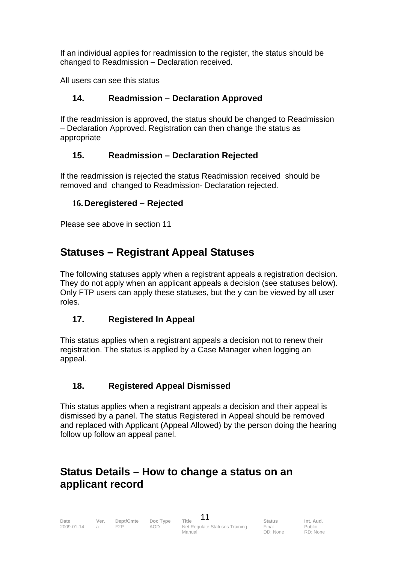If an individual applies for readmission to the register, the status should be changed to Readmission – Declaration received.

All users can see this status

#### **14. Readmission – Declaration Approved**

If the readmission is approved, the status should be changed to Readmission – Declaration Approved. Registration can then change the status as appropriate

#### **15. Readmission – Declaration Rejected**

If the readmission is rejected the status Readmission received should be removed and changed to Readmission- Declaration rejected.

#### **16. Deregistered – Rejected**

Please see above in section 11

#### **Statuses – Registrant Appeal Statuses**

The following statuses apply when a registrant appeals a registration decision. They do not apply when an applicant appeals a decision (see statuses below). Only FTP users can apply these statuses, but the y can be viewed by all user roles.

#### **17. Registered In Appeal**

This status applies when a registrant appeals a decision not to renew their registration. The status is applied by a Case Manager when logging an appeal.

#### **18. Registered Appeal Dismissed**

This status applies when a registrant appeals a decision and their appeal is dismissed by a panel. The status Registered in Appeal should be removed and replaced with Applicant (Appeal Allowed) by the person doing the hearing follow up follow an appeal panel.

#### **Status Details – How to change a status on an applicant record**

| Date       | Ver.           | Dept/Cmte | Doc Type | Title                          | <b>Status</b> | Int. Aud. |
|------------|----------------|-----------|----------|--------------------------------|---------------|-----------|
| 2009-01-14 | $\overline{a}$ | F2P       | aod      | Net Regulate Statuses Training | Final         | Public    |
|            |                |           |          | Manual                         | DD: None      | RD: None  |

 $\overline{1}$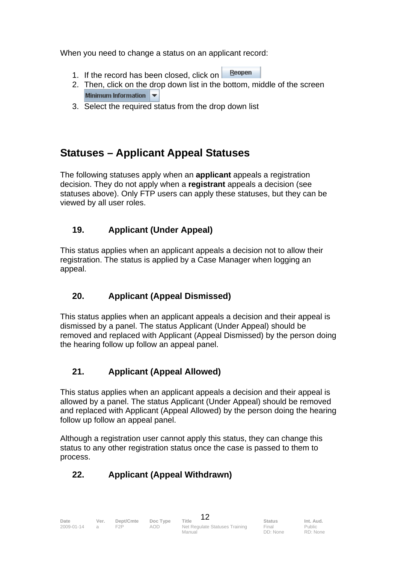When you need to change a status on an applicant record:

- Reopen 1. If the record has been closed, click on
- 2. Then, click on the drop down list in the bottom, middle of the screen Minimum Information
- 3. Select the required status from the drop down list

#### **Statuses – Applicant Appeal Statuses**

The following statuses apply when an **applicant** appeals a registration decision. They do not apply when a **registrant** appeals a decision (see statuses above). Only FTP users can apply these statuses, but they can be viewed by all user roles.

#### **19. Applicant (Under Appeal)**

This status applies when an applicant appeals a decision not to allow their registration. The status is applied by a Case Manager when logging an appeal.

#### **20. Applicant (Appeal Dismissed)**

This status applies when an applicant appeals a decision and their appeal is dismissed by a panel. The status Applicant (Under Appeal) should be removed and replaced with Applicant (Appeal Dismissed) by the person doing the hearing follow up follow an appeal panel.

#### **21. Applicant (Appeal Allowed)**

This status applies when an applicant appeals a decision and their appeal is allowed by a panel. The status Applicant (Under Appeal) should be removed and replaced with Applicant (Appeal Allowed) by the person doing the hearing follow up follow an appeal panel.

Although a registration user cannot apply this status, they can change this status to any other registration status once the case is passed to them to process.

#### **22. Applicant (Appeal Withdrawn)**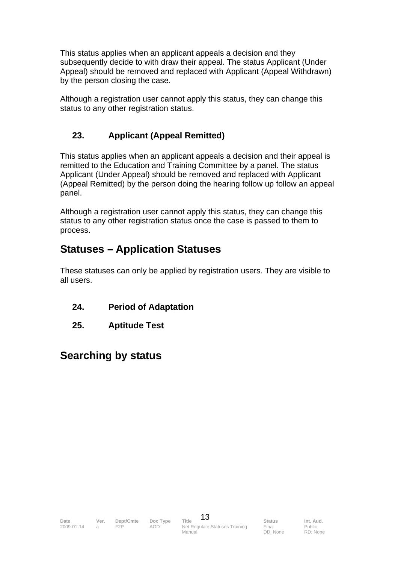This status applies when an applicant appeals a decision and they subsequently decide to with draw their appeal. The status Applicant (Under Appeal) should be removed and replaced with Applicant (Appeal Withdrawn) by the person closing the case.

Although a registration user cannot apply this status, they can change this status to any other registration status.

#### **23. Applicant (Appeal Remitted)**

This status applies when an applicant appeals a decision and their appeal is remitted to the Education and Training Committee by a panel. The status Applicant (Under Appeal) should be removed and replaced with Applicant (Appeal Remitted) by the person doing the hearing follow up follow an appeal panel.

Although a registration user cannot apply this status, they can change this status to any other registration status once the case is passed to them to process.

#### **Statuses – Application Statuses**

These statuses can only be applied by registration users. They are visible to all users.

- **24. Period of Adaptation**
- **25. Aptitude Test**

#### **Searching by status**

Final DD: None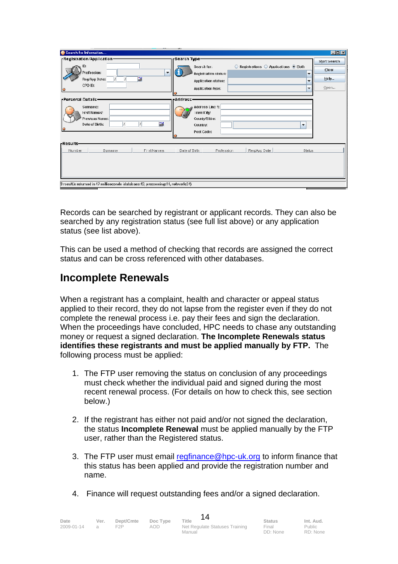| Search for Information                                                                                                      |                                                                                                                        |                               | EDE          |
|-----------------------------------------------------------------------------------------------------------------------------|------------------------------------------------------------------------------------------------------------------------|-------------------------------|--------------|
| -Registration/Application-                                                                                                  | -Search Type                                                                                                           |                               | Start Search |
| ID:                                                                                                                         | $\odot$ Registrations $\odot$ Applications $\odot$ Both<br>Search for:                                                 |                               | Clear        |
| <sup>1</sup> rofession:<br>×.<br>me of<br>Reg/App Date:                                                                     | Registration status:                                                                                                   | ▼<br>$\overline{\phantom{a}}$ | $H$ elp      |
| CPD ID:                                                                                                                     | <b>Application status:</b><br>Application type:                                                                        | $\mathbf{r}$                  | Open         |
| IØ                                                                                                                          |                                                                                                                        |                               |              |
| <b>Personal Details-</b><br>Surnamc:<br><b>First Names:</b><br>Previous Narne:<br>醞<br>Date of Dirth:<br>-Results-          | <b>Address</b><br>Address Line 1:<br>Foun#City:<br>County/Shire:<br>Country:<br>$\overline{\phantom{a}}$<br>Post Code: |                               |              |
| Number<br><b>First Names</b><br>Surname<br>3 result.'s returned in 47 milliseconds (database:12, processing:11, network:24) | Reg/App Date<br>Date of Birth<br>Profession                                                                            | <b>Status</b>                 |              |

Records can be searched by registrant or applicant records. They can also be searched by any registration status (see full list above) or any application status (see list above).

This can be used a method of checking that records are assigned the correct status and can be cross referenced with other databases.

#### **Incomplete Renewals**

When a registrant has a complaint, health and character or appeal status applied to their record, they do not lapse from the register even if they do not complete the renewal process i.e. pay their fees and sign the declaration. When the proceedings have concluded, HPC needs to chase any outstanding money or request a signed declaration. **The Incomplete Renewals status identifies these registrants and must be applied manually by FTP.** The following process must be applied:

- 1. The FTP user removing the status on conclusion of any proceedings must check whether the individual paid and signed during the most recent renewal process. (For details on how to check this, see section below.)
- 2. If the registrant has either not paid and/or not signed the declaration, the status **Incomplete Renewal** must be applied manually by the FTP user, rather than the Registered status.
- 3. The FTP user must email regfinance@hpc-uk.org to inform finance that this status has been applied and provide the registration number and name.
- 4. Finance will request outstanding fees and/or a signed declaration.

| Date       | Ver. | Dept/Cmte<br>F2P | Doc Type | Title                                    | <b>Status</b><br>Final | Int. Aud.          |
|------------|------|------------------|----------|------------------------------------------|------------------------|--------------------|
| 2009-01-14 |      |                  | AOD.     | Net Regulate Statuses Training<br>Manual | DD: None               | Public<br>RD: None |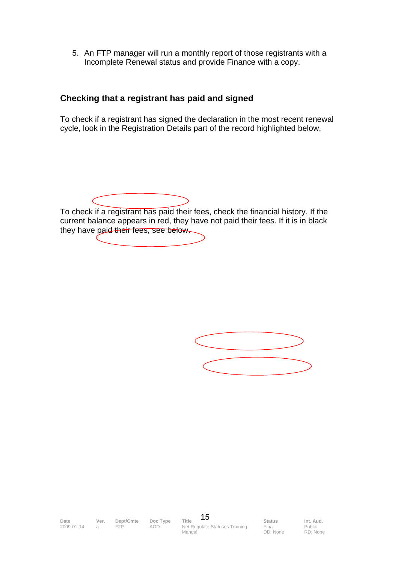5. An FTP manager will run a monthly report of those registrants with a Incomplete Renewal status and provide Finance with a copy.

#### **Checking that a registrant has paid and signed**

To check if a registrant has signed the declaration in the most recent renewal cycle, look in the Registration Details part of the record highlighted below.

To check if a registrant has paid their fees, check the financial history. If the current balance appears in red, they have not paid their fees. If it is in black they have paid their fees, see below.

Final DD: None

Public RD: None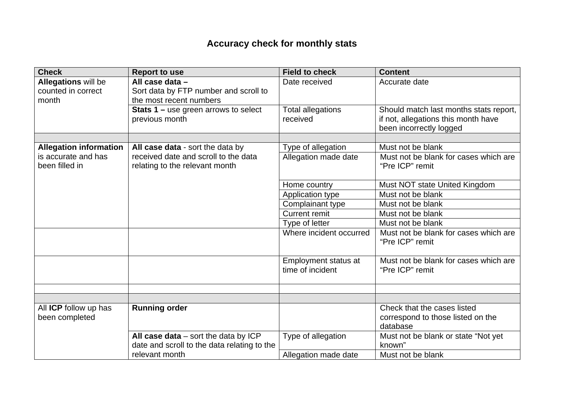#### **Accuracy check for monthly stats**

| <b>Check</b>                                       | <b>Report to use</b>                                                                  | <b>Field to check</b>                    | <b>Content</b>                                                                                           |
|----------------------------------------------------|---------------------------------------------------------------------------------------|------------------------------------------|----------------------------------------------------------------------------------------------------------|
| Allegations will be<br>counted in correct<br>month | All case data -<br>Sort data by FTP number and scroll to<br>the most recent numbers   | Date received                            | Accurate date                                                                                            |
|                                                    | <b>Stats 1 – use green arrows to select</b><br>previous month                         | <b>Total allegations</b><br>received     | Should match last months stats report,<br>if not, allegations this month have<br>been incorrectly logged |
|                                                    |                                                                                       |                                          |                                                                                                          |
| <b>Allegation information</b>                      | All case data - sort the data by                                                      | Type of allegation                       | Must not be blank                                                                                        |
| is accurate and has<br>been filled in              | received date and scroll to the data<br>relating to the relevant month                | Allegation made date                     | Must not be blank for cases which are<br>"Pre ICP" remit                                                 |
|                                                    |                                                                                       | Home country                             | Must NOT state United Kingdom                                                                            |
|                                                    |                                                                                       | Application type                         | Must not be blank                                                                                        |
|                                                    |                                                                                       | Complainant type                         | Must not be blank                                                                                        |
|                                                    |                                                                                       | <b>Current remit</b>                     | Must not be blank                                                                                        |
|                                                    |                                                                                       | Type of letter                           | Must not be blank                                                                                        |
|                                                    |                                                                                       | Where incident occurred                  | Must not be blank for cases which are<br>"Pre ICP" remit                                                 |
|                                                    |                                                                                       | Employment status at<br>time of incident | Must not be blank for cases which are<br>"Pre ICP" remit                                                 |
|                                                    |                                                                                       |                                          |                                                                                                          |
|                                                    |                                                                                       |                                          |                                                                                                          |
| All ICP follow up has<br>been completed            | <b>Running order</b>                                                                  |                                          | Check that the cases listed<br>correspond to those listed on the<br>database                             |
|                                                    | All case data $-$ sort the data by ICP<br>date and scroll to the data relating to the | Type of allegation                       | Must not be blank or state "Not yet<br>known"                                                            |
|                                                    | relevant month                                                                        | Allegation made date                     | Must not be blank                                                                                        |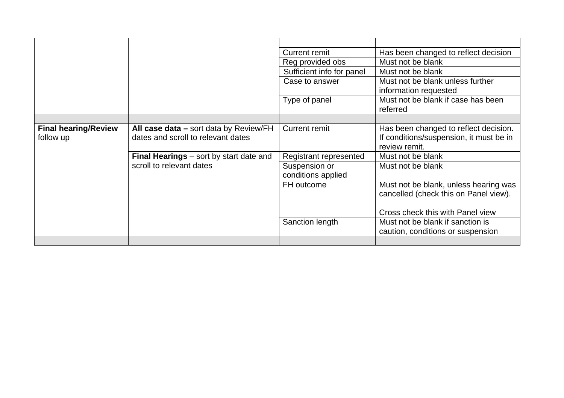|                             |                                                | <b>Current remit</b>      | Has been changed to reflect decision                                           |
|-----------------------------|------------------------------------------------|---------------------------|--------------------------------------------------------------------------------|
|                             |                                                | Reg provided obs          | Must not be blank                                                              |
|                             |                                                | Sufficient info for panel | Must not be blank                                                              |
|                             |                                                | Case to answer            | Must not be blank unless further                                               |
|                             |                                                |                           | information requested                                                          |
|                             |                                                | Type of panel             | Must not be blank if case has been<br>referred                                 |
|                             |                                                |                           |                                                                                |
| <b>Final hearing/Review</b> | All case data – sort data by Review/FH         | <b>Current remit</b>      | Has been changed to reflect decision.                                          |
| follow up                   | dates and scroll to relevant dates             |                           | If conditions/suspension, it must be in                                        |
|                             |                                                |                           | review remit.                                                                  |
|                             | <b>Final Hearings</b> – sort by start date and | Registrant represented    | Must not be blank                                                              |
|                             | scroll to relevant dates                       | Suspension or             | Must not be blank                                                              |
|                             |                                                | conditions applied        |                                                                                |
|                             |                                                | FH outcome                | Must not be blank, unless hearing was<br>cancelled (check this on Panel view). |
|                             |                                                |                           |                                                                                |
|                             |                                                |                           | Cross check this with Panel view                                               |
|                             |                                                | Sanction length           | Must not be blank if sanction is                                               |
|                             |                                                |                           | caution, conditions or suspension                                              |
|                             |                                                |                           |                                                                                |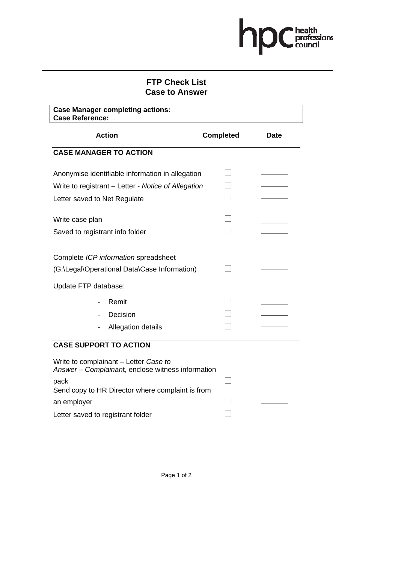## hpcheath

#### **FTP Check List Case to Answer**

| <b>Case Manager completing actions:</b><br><b>Case Reference:</b>                          |                  |             |  |  |  |  |
|--------------------------------------------------------------------------------------------|------------------|-------------|--|--|--|--|
| <b>Action</b>                                                                              | <b>Completed</b> | <b>Date</b> |  |  |  |  |
| <b>CASE MANAGER TO ACTION</b>                                                              |                  |             |  |  |  |  |
| Anonymise identifiable information in allegation                                           |                  |             |  |  |  |  |
| Write to registrant – Letter - Notice of Allegation                                        |                  |             |  |  |  |  |
| Letter saved to Net Regulate                                                               |                  |             |  |  |  |  |
| Write case plan                                                                            |                  |             |  |  |  |  |
| Saved to registrant info folder                                                            |                  |             |  |  |  |  |
| Complete ICP information spreadsheet<br>(G:\Legal\Operational Data\Case Information)       |                  |             |  |  |  |  |
| Update FTP database:                                                                       |                  |             |  |  |  |  |
| Remit                                                                                      |                  |             |  |  |  |  |
| Decision                                                                                   |                  |             |  |  |  |  |
| Allegation details                                                                         |                  |             |  |  |  |  |
| <b>CASE SUPPORT TO ACTION</b>                                                              |                  |             |  |  |  |  |
| Write to complainant - Letter Case to<br>Answer - Complainant, enclose witness information |                  |             |  |  |  |  |
| pack<br>Send copy to HR Director where complaint is from                                   |                  |             |  |  |  |  |
| an employer                                                                                |                  |             |  |  |  |  |

Letter saved to registrant folder  $\Box$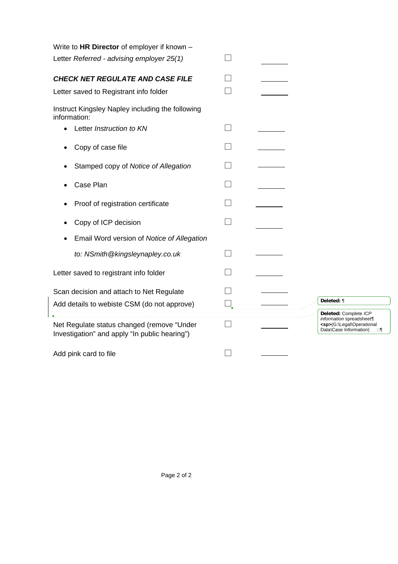| Write to HR Director of employer if known -                                                 |                                                                                     |
|---------------------------------------------------------------------------------------------|-------------------------------------------------------------------------------------|
| Letter Referred - advising employer 25(1)                                                   |                                                                                     |
| CHECK NET REGULATE AND CASE FILE                                                            |                                                                                     |
| Letter saved to Registrant info folder                                                      |                                                                                     |
| Instruct Kingsley Napley including the following<br>information:                            |                                                                                     |
| Letter Instruction to KN                                                                    |                                                                                     |
| Copy of case file                                                                           |                                                                                     |
| Stamped copy of Notice of Allegation                                                        |                                                                                     |
| Case Plan                                                                                   |                                                                                     |
| Proof of registration certificate                                                           |                                                                                     |
| Copy of ICP decision                                                                        |                                                                                     |
| Email Word version of Notice of Allegation                                                  |                                                                                     |
| to: NSmith@kingsleynapley.co.uk                                                             |                                                                                     |
| Letter saved to registrant info folder                                                      |                                                                                     |
| Scan decision and attach to Net Regulate                                                    |                                                                                     |
| Add details to webiste CSM (do not approve)                                                 | Deleted: ¶                                                                          |
| Net Regulate status changed (remove "Under<br>Investigation" and apply "In public hearing") | Deleted: Complete ICP<br>information spreadsheet¶<br><sp>(G:\Legal\Operational</sp> |
| Add pink card to file                                                                       |                                                                                     |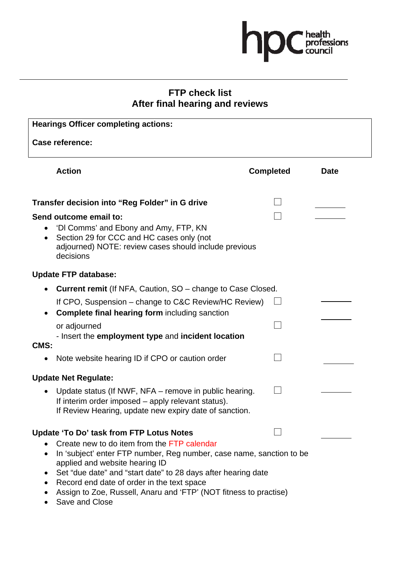

#### **FTP check list After final hearing and reviews**

| <b>Hearings Officer completing actions:</b>                                                                                                                                                                                                                                                                                                                                                             |                  |             |  |
|---------------------------------------------------------------------------------------------------------------------------------------------------------------------------------------------------------------------------------------------------------------------------------------------------------------------------------------------------------------------------------------------------------|------------------|-------------|--|
| Case reference:                                                                                                                                                                                                                                                                                                                                                                                         |                  |             |  |
| <b>Action</b>                                                                                                                                                                                                                                                                                                                                                                                           | <b>Completed</b> | <b>Date</b> |  |
| Transfer decision into "Reg Folder" in G drive                                                                                                                                                                                                                                                                                                                                                          |                  |             |  |
| Send outcome email to:<br>'DI Comms' and Ebony and Amy, FTP, KN<br>$\bullet$<br>Section 29 for CCC and HC cases only (not<br>adjourned) NOTE: review cases should include previous<br>decisions                                                                                                                                                                                                         |                  |             |  |
| <b>Update FTP database:</b>                                                                                                                                                                                                                                                                                                                                                                             |                  |             |  |
| <b>Current remit</b> (If NFA, Caution, SO – change to Case Closed.<br>If CPO, Suspension – change to C&C Review/HC Review)<br>Complete final hearing form including sanction<br>or adjourned<br>- Insert the employment type and incident location<br>CMS:                                                                                                                                              |                  |             |  |
| Note website hearing ID if CPO or caution order                                                                                                                                                                                                                                                                                                                                                         |                  |             |  |
| <b>Update Net Regulate:</b>                                                                                                                                                                                                                                                                                                                                                                             |                  |             |  |
| Update status (If NWF, NFA – remove in public hearing.<br>If interim order imposed – apply relevant status).<br>If Review Hearing, update new expiry date of sanction.                                                                                                                                                                                                                                  |                  |             |  |
| Update 'To Do' task from FTP Lotus Notes<br>Create new to do item from the FTP calendar<br>In 'subject' enter FTP number, Reg number, case name, sanction to be<br>applied and website hearing ID<br>Set "due date" and "start date" to 28 days after hearing date<br>Record end date of order in the text space<br>Assign to Zoe, Russell, Anaru and 'FTP' (NOT fitness to practise)<br>Save and Close |                  |             |  |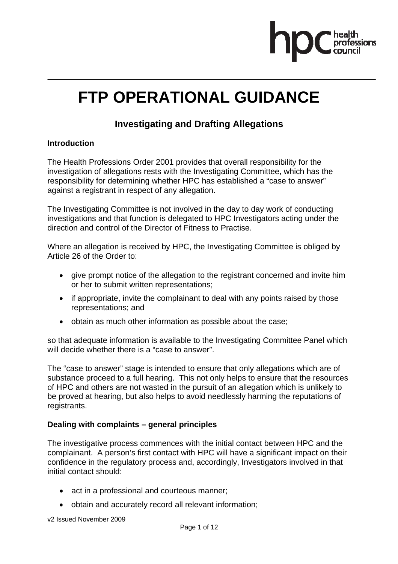

### **FTP OPERATIONAL GUIDANCE**

#### **Investigating and Drafting Allegations**

#### **Introduction**

The Health Professions Order 2001 provides that overall responsibility for the investigation of allegations rests with the Investigating Committee, which has the responsibility for determining whether HPC has established a "case to answer" against a registrant in respect of any allegation.

The Investigating Committee is not involved in the day to day work of conducting investigations and that function is delegated to HPC Investigators acting under the direction and control of the Director of Fitness to Practise.

Where an allegation is received by HPC, the Investigating Committee is obliged by Article 26 of the Order to:

- give prompt notice of the allegation to the registrant concerned and invite him or her to submit written representations;
- if appropriate, invite the complainant to deal with any points raised by those representations; and
- obtain as much other information as possible about the case;

so that adequate information is available to the Investigating Committee Panel which will decide whether there is a "case to answer".

The "case to answer" stage is intended to ensure that only allegations which are of substance proceed to a full hearing. This not only helps to ensure that the resources of HPC and others are not wasted in the pursuit of an allegation which is unlikely to be proved at hearing, but also helps to avoid needlessly harming the reputations of registrants.

#### **Dealing with complaints – general principles**

The investigative process commences with the initial contact between HPC and the complainant. A person's first contact with HPC will have a significant impact on their confidence in the regulatory process and, accordingly, Investigators involved in that initial contact should:

- act in a professional and courteous manner;
- obtain and accurately record all relevant information;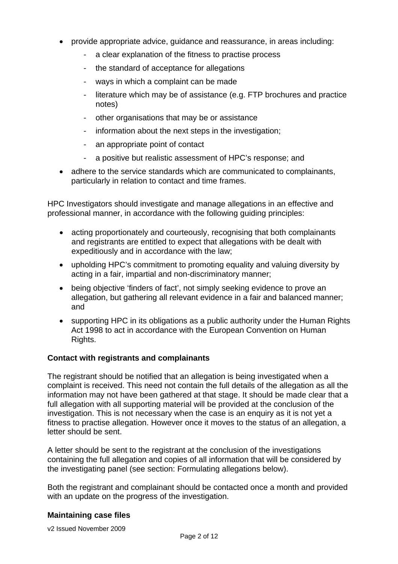- provide appropriate advice, guidance and reassurance, in areas including:
	- a clear explanation of the fitness to practise process
	- the standard of acceptance for allegations
	- ways in which a complaint can be made
	- literature which may be of assistance (e.g. FTP brochures and practice notes)
	- other organisations that may be or assistance
	- information about the next steps in the investigation;
	- an appropriate point of contact
	- a positive but realistic assessment of HPC's response; and
- adhere to the service standards which are communicated to complainants, particularly in relation to contact and time frames.

HPC Investigators should investigate and manage allegations in an effective and professional manner, in accordance with the following guiding principles:

- acting proportionately and courteously, recognising that both complainants and registrants are entitled to expect that allegations with be dealt with expeditiously and in accordance with the law;
- upholding HPC's commitment to promoting equality and valuing diversity by acting in a fair, impartial and non-discriminatory manner;
- being objective 'finders of fact', not simply seeking evidence to prove an allegation, but gathering all relevant evidence in a fair and balanced manner; and
- supporting HPC in its obligations as a public authority under the Human Rights Act 1998 to act in accordance with the European Convention on Human Rights.

#### **Contact with registrants and complainants**

The registrant should be notified that an allegation is being investigated when a complaint is received. This need not contain the full details of the allegation as all the information may not have been gathered at that stage. It should be made clear that a full allegation with all supporting material will be provided at the conclusion of the investigation. This is not necessary when the case is an enquiry as it is not yet a fitness to practise allegation. However once it moves to the status of an allegation, a letter should be sent.

A letter should be sent to the registrant at the conclusion of the investigations containing the full allegation and copies of all information that will be considered by the investigating panel (see section: Formulating allegations below).

Both the registrant and complainant should be contacted once a month and provided with an update on the progress of the investigation.

#### **Maintaining case files**

v2 Issued November 2009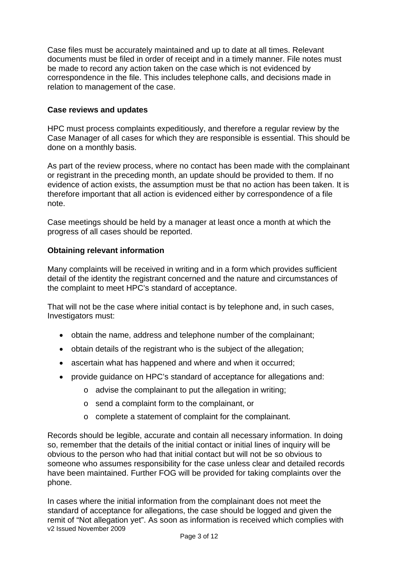Case files must be accurately maintained and up to date at all times. Relevant documents must be filed in order of receipt and in a timely manner. File notes must be made to record any action taken on the case which is not evidenced by correspondence in the file. This includes telephone calls, and decisions made in relation to management of the case.

#### **Case reviews and updates**

HPC must process complaints expeditiously, and therefore a regular review by the Case Manager of all cases for which they are responsible is essential. This should be done on a monthly basis.

As part of the review process, where no contact has been made with the complainant or registrant in the preceding month, an update should be provided to them. If no evidence of action exists, the assumption must be that no action has been taken. It is therefore important that all action is evidenced either by correspondence of a file note.

Case meetings should be held by a manager at least once a month at which the progress of all cases should be reported.

#### **Obtaining relevant information**

Many complaints will be received in writing and in a form which provides sufficient detail of the identity the registrant concerned and the nature and circumstances of the complaint to meet HPC's standard of acceptance.

That will not be the case where initial contact is by telephone and, in such cases, Investigators must:

- obtain the name, address and telephone number of the complainant;
- obtain details of the registrant who is the subject of the allegation;
- ascertain what has happened and where and when it occurred;
- provide guidance on HPC's standard of acceptance for allegations and:
	- o advise the complainant to put the allegation in writing;
	- o send a complaint form to the complainant, or
	- o complete a statement of complaint for the complainant.

Records should be legible, accurate and contain all necessary information. In doing so, remember that the details of the initial contact or initial lines of inquiry will be obvious to the person who had that initial contact but will not be so obvious to someone who assumes responsibility for the case unless clear and detailed records have been maintained. Further FOG will be provided for taking complaints over the phone.

v2 Issued November 2009 In cases where the initial information from the complainant does not meet the standard of acceptance for allegations, the case should be logged and given the remit of "Not allegation yet". As soon as information is received which complies with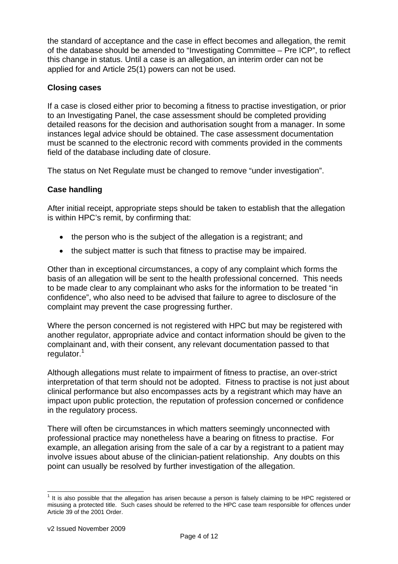the standard of acceptance and the case in effect becomes and allegation, the remit of the database should be amended to "Investigating Committee – Pre ICP", to reflect this change in status. Until a case is an allegation, an interim order can not be applied for and Article 25(1) powers can not be used.

#### **Closing cases**

If a case is closed either prior to becoming a fitness to practise investigation, or prior to an Investigating Panel, the case assessment should be completed providing detailed reasons for the decision and authorisation sought from a manager. In some instances legal advice should be obtained. The case assessment documentation must be scanned to the electronic record with comments provided in the comments field of the database including date of closure.

The status on Net Regulate must be changed to remove "under investigation".

#### **Case handling**

After initial receipt, appropriate steps should be taken to establish that the allegation is within HPC's remit, by confirming that:

- the person who is the subject of the allegation is a registrant; and
- the subject matter is such that fitness to practise may be impaired.

Other than in exceptional circumstances, a copy of any complaint which forms the basis of an allegation will be sent to the health professional concerned. This needs to be made clear to any complainant who asks for the information to be treated "in confidence", who also need to be advised that failure to agree to disclosure of the complaint may prevent the case progressing further.

Where the person concerned is not registered with HPC but may be registered with another regulator, appropriate advice and contact information should be given to the complainant and, with their consent, any relevant documentation passed to that regulator.<sup>1</sup>

Although allegations must relate to impairment of fitness to practise, an over-strict interpretation of that term should not be adopted. Fitness to practise is not just about clinical performance but also encompasses acts by a registrant which may have an impact upon public protection, the reputation of profession concerned or confidence in the regulatory process.

There will often be circumstances in which matters seemingly unconnected with professional practice may nonetheless have a bearing on fitness to practise. For example, an allegation arising from the sale of a car by a registrant to a patient may involve issues about abuse of the clinician-patient relationship. Any doubts on this point can usually be resolved by further investigation of the allegation.

<sup>1&</sup>lt;br><sup>1</sup> It is also possible that the allegation has arisen because a person is falsely claiming to be HPC registered or misusing a protected title. Such cases should be referred to the HPC case team responsible for offences under Article 39 of the 2001 Order.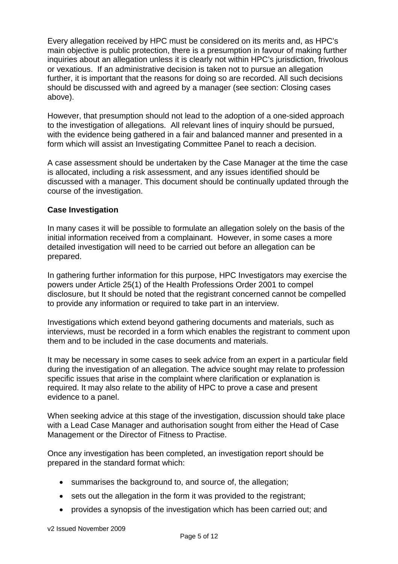Every allegation received by HPC must be considered on its merits and, as HPC's main objective is public protection, there is a presumption in favour of making further inquiries about an allegation unless it is clearly not within HPC's jurisdiction, frivolous or vexatious. If an administrative decision is taken not to pursue an allegation further, it is important that the reasons for doing so are recorded. All such decisions should be discussed with and agreed by a manager (see section: Closing cases above).

However, that presumption should not lead to the adoption of a one-sided approach to the investigation of allegations. All relevant lines of inquiry should be pursued, with the evidence being gathered in a fair and balanced manner and presented in a form which will assist an Investigating Committee Panel to reach a decision.

A case assessment should be undertaken by the Case Manager at the time the case is allocated, including a risk assessment, and any issues identified should be discussed with a manager. This document should be continually updated through the course of the investigation.

#### **Case Investigation**

In many cases it will be possible to formulate an allegation solely on the basis of the initial information received from a complainant. However, in some cases a more detailed investigation will need to be carried out before an allegation can be prepared.

In gathering further information for this purpose, HPC Investigators may exercise the powers under Article 25(1) of the Health Professions Order 2001 to compel disclosure, but It should be noted that the registrant concerned cannot be compelled to provide any information or required to take part in an interview.

Investigations which extend beyond gathering documents and materials, such as interviews, must be recorded in a form which enables the registrant to comment upon them and to be included in the case documents and materials.

It may be necessary in some cases to seek advice from an expert in a particular field during the investigation of an allegation. The advice sought may relate to profession specific issues that arise in the complaint where clarification or explanation is required. It may also relate to the ability of HPC to prove a case and present evidence to a panel.

When seeking advice at this stage of the investigation, discussion should take place with a Lead Case Manager and authorisation sought from either the Head of Case Management or the Director of Fitness to Practise.

Once any investigation has been completed, an investigation report should be prepared in the standard format which:

- summarises the background to, and source of, the allegation:
- sets out the allegation in the form it was provided to the registrant;
- provides a synopsis of the investigation which has been carried out; and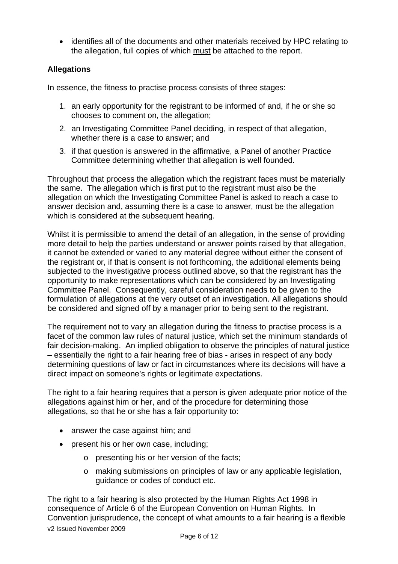• identifies all of the documents and other materials received by HPC relating to the allegation, full copies of which must be attached to the report.

#### **Allegations**

In essence, the fitness to practise process consists of three stages:

- 1. an early opportunity for the registrant to be informed of and, if he or she so chooses to comment on, the allegation;
- 2. an Investigating Committee Panel deciding, in respect of that allegation, whether there is a case to answer; and
- 3. if that question is answered in the affirmative, a Panel of another Practice Committee determining whether that allegation is well founded.

Throughout that process the allegation which the registrant faces must be materially the same. The allegation which is first put to the registrant must also be the allegation on which the Investigating Committee Panel is asked to reach a case to answer decision and, assuming there is a case to answer, must be the allegation which is considered at the subsequent hearing.

Whilst it is permissible to amend the detail of an allegation, in the sense of providing more detail to help the parties understand or answer points raised by that allegation, it cannot be extended or varied to any material degree without either the consent of the registrant or, if that is consent is not forthcoming, the additional elements being subjected to the investigative process outlined above, so that the registrant has the opportunity to make representations which can be considered by an Investigating Committee Panel. Consequently, careful consideration needs to be given to the formulation of allegations at the very outset of an investigation. All allegations should be considered and signed off by a manager prior to being sent to the registrant.

The requirement not to vary an allegation during the fitness to practise process is a facet of the common law rules of natural justice, which set the minimum standards of fair decision-making. An implied obligation to observe the principles of natural justice – essentially the right to a fair hearing free of bias - arises in respect of any body determining questions of law or fact in circumstances where its decisions will have a direct impact on someone's rights or legitimate expectations.

The right to a fair hearing requires that a person is given adequate prior notice of the allegations against him or her, and of the procedure for determining those allegations, so that he or she has a fair opportunity to:

- answer the case against him; and
- present his or her own case, including;
	- o presenting his or her version of the facts;
	- o making submissions on principles of law or any applicable legislation, guidance or codes of conduct etc.

v2 Issued November 2009 The right to a fair hearing is also protected by the Human Rights Act 1998 in consequence of Article 6 of the European Convention on Human Rights. In Convention jurisprudence, the concept of what amounts to a fair hearing is a flexible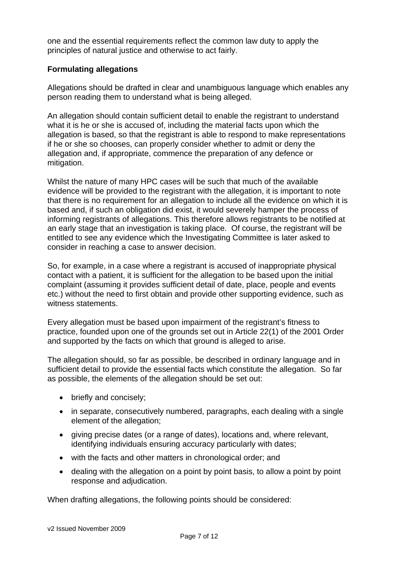one and the essential requirements reflect the common law duty to apply the principles of natural justice and otherwise to act fairly.

#### **Formulating allegations**

Allegations should be drafted in clear and unambiguous language which enables any person reading them to understand what is being alleged.

An allegation should contain sufficient detail to enable the registrant to understand what it is he or she is accused of, including the material facts upon which the allegation is based, so that the registrant is able to respond to make representations if he or she so chooses, can properly consider whether to admit or deny the allegation and, if appropriate, commence the preparation of any defence or mitigation.

Whilst the nature of many HPC cases will be such that much of the available evidence will be provided to the registrant with the allegation, it is important to note that there is no requirement for an allegation to include all the evidence on which it is based and, if such an obligation did exist, it would severely hamper the process of informing registrants of allegations. This therefore allows registrants to be notified at an early stage that an investigation is taking place. Of course, the registrant will be entitled to see any evidence which the Investigating Committee is later asked to consider in reaching a case to answer decision.

So, for example, in a case where a registrant is accused of inappropriate physical contact with a patient, it is sufficient for the allegation to be based upon the initial complaint (assuming it provides sufficient detail of date, place, people and events etc.) without the need to first obtain and provide other supporting evidence, such as witness statements.

Every allegation must be based upon impairment of the registrant's fitness to practice, founded upon one of the grounds set out in Article 22(1) of the 2001 Order and supported by the facts on which that ground is alleged to arise.

The allegation should, so far as possible, be described in ordinary language and in sufficient detail to provide the essential facts which constitute the allegation. So far as possible, the elements of the allegation should be set out:

- briefly and concisely;
- in separate, consecutively numbered, paragraphs, each dealing with a single element of the allegation;
- giving precise dates (or a range of dates), locations and, where relevant, identifying individuals ensuring accuracy particularly with dates;
- with the facts and other matters in chronological order; and
- dealing with the allegation on a point by point basis, to allow a point by point response and adjudication.

When drafting allegations, the following points should be considered: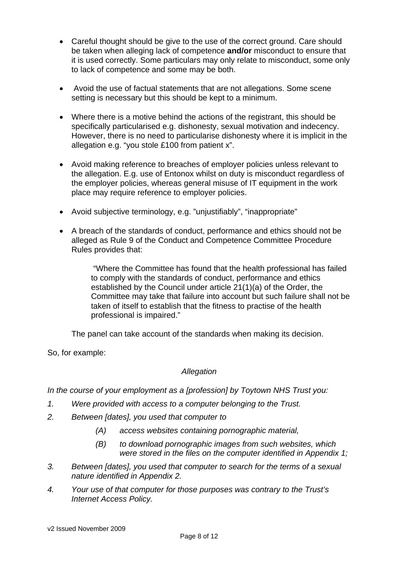- Careful thought should be give to the use of the correct ground. Care should be taken when alleging lack of competence **and/or** misconduct to ensure that it is used correctly. Some particulars may only relate to misconduct, some only to lack of competence and some may be both.
- Avoid the use of factual statements that are not allegations. Some scene setting is necessary but this should be kept to a minimum.
- Where there is a motive behind the actions of the registrant, this should be specifically particularised e.g. dishonesty, sexual motivation and indecency. However, there is no need to particularise dishonesty where it is implicit in the allegation e.g. "you stole £100 from patient x".
- Avoid making reference to breaches of employer policies unless relevant to the allegation. E.g. use of Entonox whilst on duty is misconduct regardless of the employer policies, whereas general misuse of IT equipment in the work place may require reference to employer policies.
- Avoid subjective terminology, e.g. "unjustifiably", "inappropriate"
- A breach of the standards of conduct, performance and ethics should not be alleged as Rule 9 of the Conduct and Competence Committee Procedure Rules provides that:

 "Where the Committee has found that the health professional has failed to comply with the standards of conduct, performance and ethics established by the Council under article 21(1)(a) of the Order, the Committee may take that failure into account but such failure shall not be taken of itself to establish that the fitness to practise of the health professional is impaired."

The panel can take account of the standards when making its decision.

So, for example:

#### *Allegation*

*In the course of your employment as a [profession] by Toytown NHS Trust you:* 

- *1. Were provided with access to a computer belonging to the Trust.*
- *2. Between [dates], you used that computer to* 
	- *(A) access websites containing pornographic material,*
	- *(B) to download pornographic images from such websites, which were stored in the files on the computer identified in Appendix 1;*
- *3. Between [dates], you used that computer to search for the terms of a sexual nature identified in Appendix 2.*
- *4. Your use of that computer for those purposes was contrary to the Trust's Internet Access Policy.*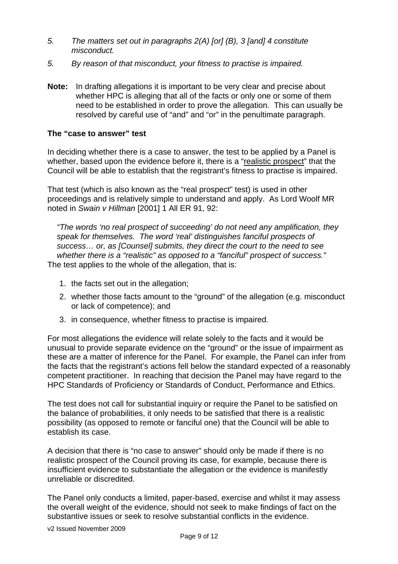- *5. The matters set out in paragraphs 2(A) [or] (B), 3 [and] 4 constitute misconduct.*
- *5. By reason of that misconduct, your fitness to practise is impaired.*
- **Note:** In drafting allegations it is important to be very clear and precise about whether HPC is alleging that all of the facts or only one or some of them need to be established in order to prove the allegation. This can usually be resolved by careful use of "and" and "or" in the penultimate paragraph.

#### **The "case to answer" test**

In deciding whether there is a case to answer, the test to be applied by a Panel is whether, based upon the evidence before it, there is a "realistic prospect" that the Council will be able to establish that the registrant's fitness to practise is impaired.

That test (which is also known as the "real prospect" test) is used in other proceedings and is relatively simple to understand and apply. As Lord Woolf MR noted in *Swain v Hillman* [2001] 1 All ER 91, 92:

*"The words 'no real prospect of succeeding' do not need any amplification, they speak for themselves. The word 'real' distinguishes fanciful prospects of success… or, as [Counsel] submits, they direct the court to the need to see whether there is a "realistic" as opposed to a "fanciful" prospect of success."*  The test applies to the whole of the allegation, that is:

- 1. the facts set out in the allegation;
- 2. whether those facts amount to the "ground" of the allegation (e.g. misconduct or lack of competence); and
- 3. in consequence, whether fitness to practise is impaired.

For most allegations the evidence will relate solely to the facts and it would be unusual to provide separate evidence on the "ground" or the issue of impairment as these are a matter of inference for the Panel. For example, the Panel can infer from the facts that the registrant's actions fell below the standard expected of a reasonably competent practitioner. In reaching that decision the Panel may have regard to the HPC Standards of Proficiency or Standards of Conduct, Performance and Ethics.

The test does not call for substantial inquiry or require the Panel to be satisfied on the balance of probabilities, it only needs to be satisfied that there is a realistic possibility (as opposed to remote or fanciful one) that the Council will be able to establish its case.

A decision that there is "no case to answer" should only be made if there is no realistic prospect of the Council proving its case, for example, because there is insufficient evidence to substantiate the allegation or the evidence is manifestly unreliable or discredited.

The Panel only conducts a limited, paper-based, exercise and whilst it may assess the overall weight of the evidence, should not seek to make findings of fact on the substantive issues or seek to resolve substantial conflicts in the evidence.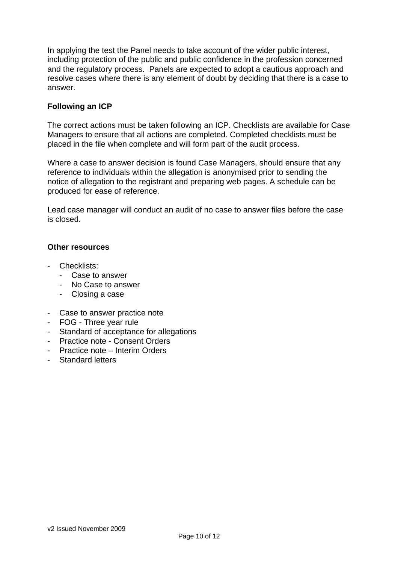In applying the test the Panel needs to take account of the wider public interest, including protection of the public and public confidence in the profession concerned and the regulatory process. Panels are expected to adopt a cautious approach and resolve cases where there is any element of doubt by deciding that there is a case to answer.

#### **Following an ICP**

The correct actions must be taken following an ICP. Checklists are available for Case Managers to ensure that all actions are completed. Completed checklists must be placed in the file when complete and will form part of the audit process.

Where a case to answer decision is found Case Managers, should ensure that any reference to individuals within the allegation is anonymised prior to sending the notice of allegation to the registrant and preparing web pages. A schedule can be produced for ease of reference.

Lead case manager will conduct an audit of no case to answer files before the case is closed.

#### **Other resources**

- Checklists:
	- Case to answer
	- No Case to answer
	- Closing a case
- Case to answer practice note
- FOG Three year rule
- Standard of acceptance for allegations
- Practice note Consent Orders
- Practice note Interim Orders
- Standard letters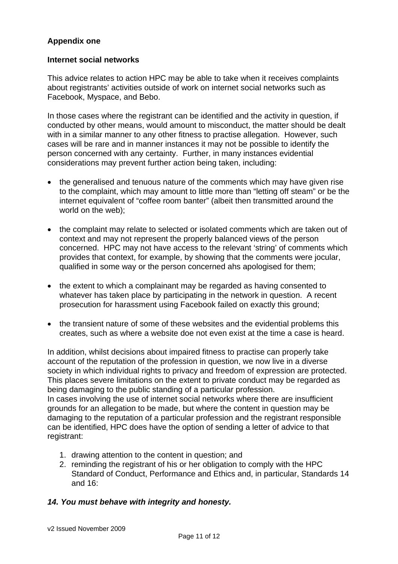#### **Appendix one**

#### **Internet social networks**

This advice relates to action HPC may be able to take when it receives complaints about registrants' activities outside of work on internet social networks such as Facebook, Myspace, and Bebo.

In those cases where the registrant can be identified and the activity in question, if conducted by other means, would amount to misconduct, the matter should be dealt with in a similar manner to any other fitness to practise allegation. However, such cases will be rare and in manner instances it may not be possible to identify the person concerned with any certainty. Further, in many instances evidential considerations may prevent further action being taken, including:

- the generalised and tenuous nature of the comments which may have given rise to the complaint, which may amount to little more than "letting off steam" or be the internet equivalent of "coffee room banter" (albeit then transmitted around the world on the web);
- the complaint may relate to selected or isolated comments which are taken out of context and may not represent the properly balanced views of the person concerned. HPC may not have access to the relevant 'string' of comments which provides that context, for example, by showing that the comments were jocular, qualified in some way or the person concerned ahs apologised for them;
- the extent to which a complainant may be regarded as having consented to whatever has taken place by participating in the network in question. A recent prosecution for harassment using Facebook failed on exactly this ground;
- the transient nature of some of these websites and the evidential problems this creates, such as where a website doe not even exist at the time a case is heard.

In addition, whilst decisions about impaired fitness to practise can properly take account of the reputation of the profession in question, we now live in a diverse society in which individual rights to privacy and freedom of expression are protected. This places severe limitations on the extent to private conduct may be regarded as being damaging to the public standing of a particular profession. In cases involving the use of internet social networks where there are insufficient

grounds for an allegation to be made, but where the content in question may be damaging to the reputation of a particular profession and the registrant responsible can be identified, HPC does have the option of sending a letter of advice to that registrant:

- 1. drawing attention to the content in question; and
- 2. reminding the registrant of his or her obligation to comply with the HPC Standard of Conduct, Performance and Ethics and, in particular, Standards 14 and 16:

#### *14. You must behave with integrity and honesty.*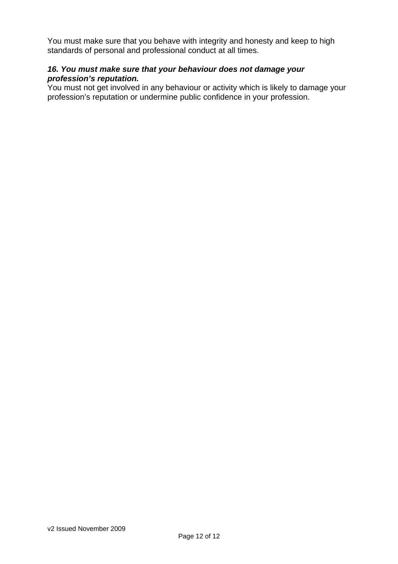You must make sure that you behave with integrity and honesty and keep to high standards of personal and professional conduct at all times.

#### *16. You must make sure that your behaviour does not damage your profession's reputation.*

You must not get involved in any behaviour or activity which is likely to damage your profession's reputation or undermine public confidence in your profession.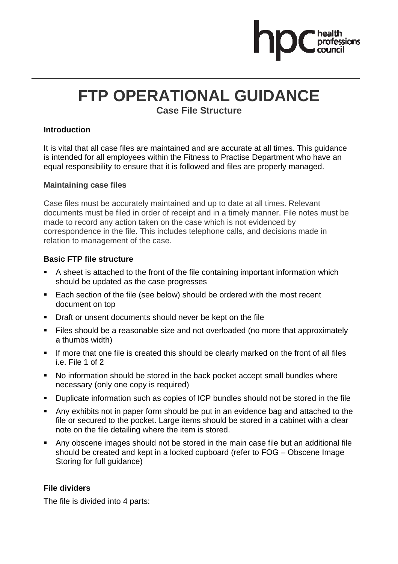# **FTP OPERATIONAL GUIDANCE**

**Case File Structure** 

#### **Introduction**

It is vital that all case files are maintained and are accurate at all times. This guidance is intended for all employees within the Fitness to Practise Department who have an equal responsibility to ensure that it is followed and files are properly managed.

#### **Maintaining case files**

Case files must be accurately maintained and up to date at all times. Relevant documents must be filed in order of receipt and in a timely manner. File notes must be made to record any action taken on the case which is not evidenced by correspondence in the file. This includes telephone calls, and decisions made in relation to management of the case.

#### **Basic FTP file structure**

- A sheet is attached to the front of the file containing important information which should be updated as the case progresses
- Each section of the file (see below) should be ordered with the most recent document on top
- **•** Draft or unsent documents should never be kept on the file
- Files should be a reasonable size and not overloaded (no more that approximately a thumbs width)
- If more that one file is created this should be clearly marked on the front of all files i.e. File 1 of 2
- No information should be stored in the back pocket accept small bundles where necessary (only one copy is required)
- Duplicate information such as copies of ICP bundles should not be stored in the file
- Any exhibits not in paper form should be put in an evidence bag and attached to the file or secured to the pocket. Large items should be stored in a cabinet with a clear note on the file detailing where the item is stored.
- Any obscene images should not be stored in the main case file but an additional file should be created and kept in a locked cupboard (refer to FOG – Obscene Image Storing for full guidance)

#### **File dividers**

The file is divided into 4 parts: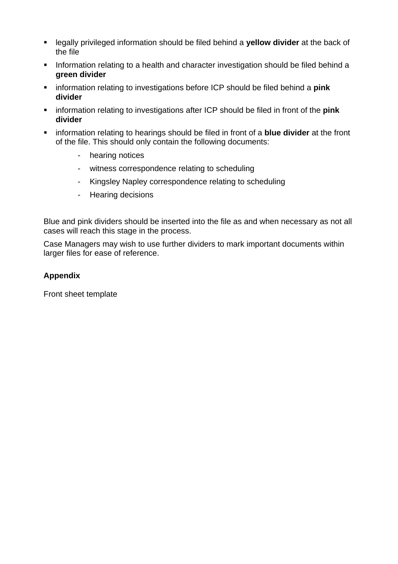- legally privileged information should be filed behind a **yellow divider** at the back of the file
- **Information relating to a health and character investigation should be filed behind a green divider**
- **EXECT** information relating to investigations before ICP should be filed behind a **pink divider**
- **EXECT** information relating to investigations after ICP should be filed in front of the **pink divider**
- information relating to hearings should be filed in front of a **blue divider** at the front of the file. This should only contain the following documents:
	- hearing notices
	- witness correspondence relating to scheduling
	- Kingsley Napley correspondence relating to scheduling
	- Hearing decisions

Blue and pink dividers should be inserted into the file as and when necessary as not all cases will reach this stage in the process.

Case Managers may wish to use further dividers to mark important documents within larger files for ease of reference.

#### **Appendix**

Front sheet template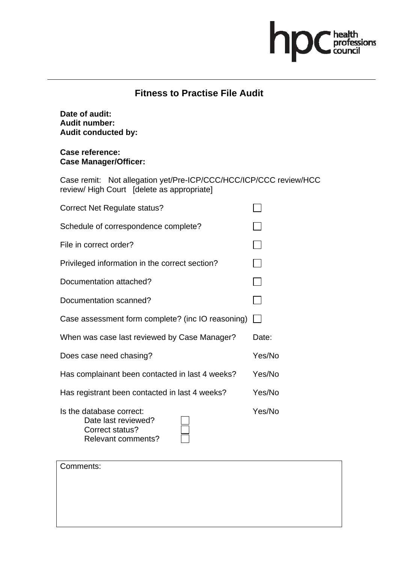

#### **Fitness to Practise File Audit**

**Date of audit: Audit number: Audit conducted by:** 

**Case reference: Case Manager/Officer:** 

Case remit: Not allegation yet/Pre-ICP/CCC/HCC/ICP/CCC review/HCC review/ High Court [delete as appropriate]

| Correct Net Regulate status?                                                             |        |
|------------------------------------------------------------------------------------------|--------|
| Schedule of correspondence complete?                                                     |        |
| File in correct order?                                                                   |        |
| Privileged information in the correct section?                                           |        |
| Documentation attached?                                                                  |        |
| Documentation scanned?                                                                   |        |
| Case assessment form complete? (inc IO reasoning)                                        |        |
| When was case last reviewed by Case Manager?                                             | Date:  |
| Does case need chasing?                                                                  | Yes/No |
| Has complainant been contacted in last 4 weeks?                                          | Yes/No |
| Has registrant been contacted in last 4 weeks?                                           | Yes/No |
| Is the database correct:<br>Date last reviewed?<br>Correct status?<br>Relevant comments? | Yes/No |

Comments: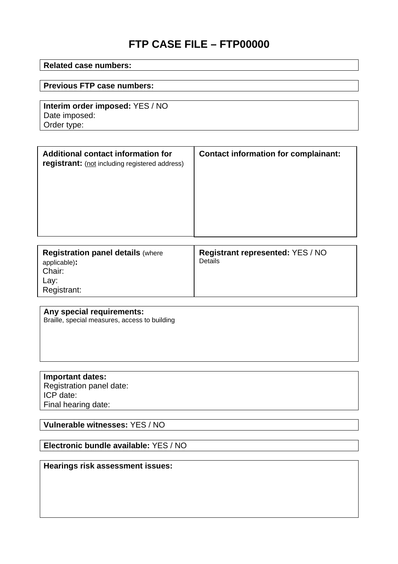# **FTP CASE FILE – FTP00000**

#### **Related case numbers:**

#### **Previous FTP case numbers:**

**Interim order imposed:** YES / NO Date imposed: Order type:

| Additional contact information for<br>registrant: (not including registered address) | <b>Contact information for complainant:</b> |
|--------------------------------------------------------------------------------------|---------------------------------------------|
|                                                                                      |                                             |

| <b>Registration panel details (where</b><br>applicable):<br>Chair:<br>Lay:<br>Registrant: | <b>Registrant represented: YES / NO</b><br>Details |
|-------------------------------------------------------------------------------------------|----------------------------------------------------|
|-------------------------------------------------------------------------------------------|----------------------------------------------------|

#### **Any special requirements:**

Braille, special measures, access to building

**Important dates:**  Registration panel date: ICP date: Final hearing date:

**Vulnerable witnesses:** YES / NO

**Electronic bundle available:** YES / NO

**Hearings risk assessment issues:**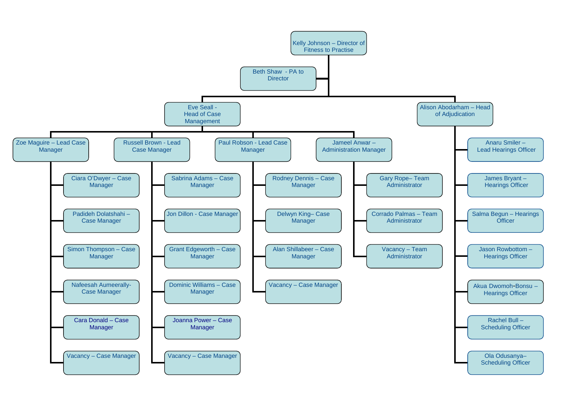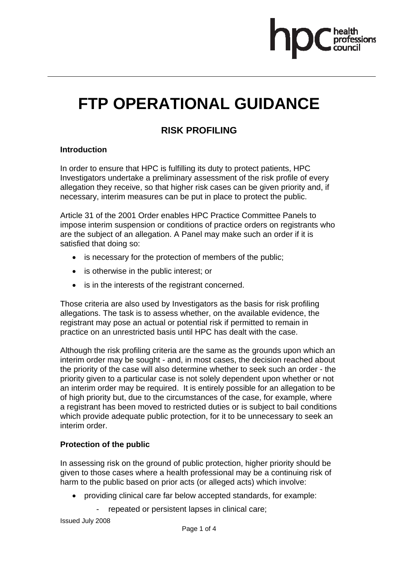

# **FTP OPERATIONAL GUIDANCE**

## **RISK PROFILING**

#### **Introduction**

In order to ensure that HPC is fulfilling its duty to protect patients, HPC Investigators undertake a preliminary assessment of the risk profile of every allegation they receive, so that higher risk cases can be given priority and, if necessary, interim measures can be put in place to protect the public.

Article 31 of the 2001 Order enables HPC Practice Committee Panels to impose interim suspension or conditions of practice orders on registrants who are the subject of an allegation. A Panel may make such an order if it is satisfied that doing so:

- is necessary for the protection of members of the public;
- is otherwise in the public interest; or
- is in the interests of the registrant concerned.

Those criteria are also used by Investigators as the basis for risk profiling allegations. The task is to assess whether, on the available evidence, the registrant may pose an actual or potential risk if permitted to remain in practice on an unrestricted basis until HPC has dealt with the case.

Although the risk profiling criteria are the same as the grounds upon which an interim order may be sought - and, in most cases, the decision reached about the priority of the case will also determine whether to seek such an order - the priority given to a particular case is not solely dependent upon whether or not an interim order may be required. It is entirely possible for an allegation to be of high priority but, due to the circumstances of the case, for example, where a registrant has been moved to restricted duties or is subject to bail conditions which provide adequate public protection, for it to be unnecessary to seek an interim order.

#### **Protection of the public**

In assessing risk on the ground of public protection, higher priority should be given to those cases where a health professional may be a continuing risk of harm to the public based on prior acts (or alleged acts) which involve:

- providing clinical care far below accepted standards, for example:
	- repeated or persistent lapses in clinical care;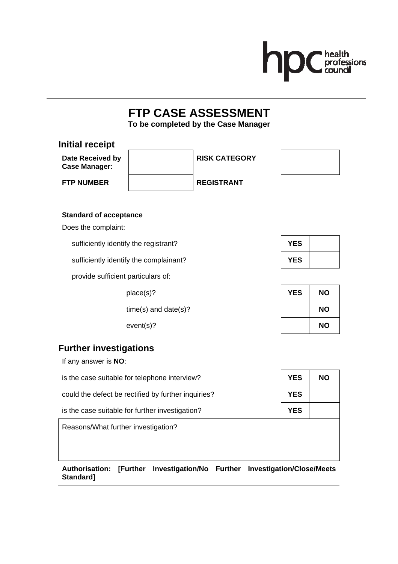

# **FTP CASE ASSESSMENT**

**To be completed by the Case Manager** 

| Date Received by<br><b>Case Manager:</b>                      | <b>RISK CATEGORY</b>       |           |  |
|---------------------------------------------------------------|----------------------------|-----------|--|
| <b>FTP NUMBER</b>                                             | <b>REGISTRANT</b>          |           |  |
|                                                               |                            |           |  |
| <b>Standard of acceptance</b><br>Does the complaint:          |                            |           |  |
| sufficiently identify the registrant?                         | <b>YES</b>                 |           |  |
| sufficiently identify the complainant?<br><b>YES</b>          |                            |           |  |
| provide sufficient particulars of:                            |                            |           |  |
| place(s)?                                                     | <b>YES</b>                 | <b>NO</b> |  |
|                                                               | $time(s)$ and date $(s)$ ? | <b>NO</b> |  |
| $event(s)$ ?                                                  |                            | <b>NO</b> |  |
| <b>Further investigations</b>                                 |                            |           |  |
| If any answer is NO:                                          |                            |           |  |
| is the case suitable for telephone interview?<br><b>YES</b>   |                            |           |  |
| could the defect be rectified by further inquiries?           | <b>YES</b>                 |           |  |
| is the case suitable for further investigation?<br><b>YES</b> |                            |           |  |
| Reasons/What further investigation?                           |                            |           |  |

**Standard]** 

**Authorisation: [Further Investigation/No Further Investigation/Close/Meets**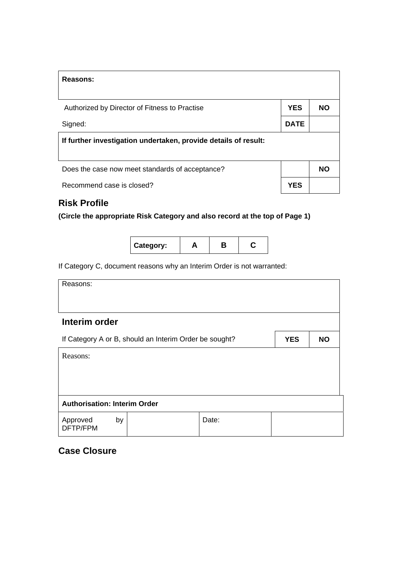| Reasons:                                                        |             |           |
|-----------------------------------------------------------------|-------------|-----------|
|                                                                 |             |           |
| Authorized by Director of Fitness to Practise                   | <b>YES</b>  | NΟ        |
| Signed:                                                         | <b>DATE</b> |           |
| If further investigation undertaken, provide details of result: |             |           |
|                                                                 |             |           |
| Does the case now meet standards of acceptance?                 |             | <b>NO</b> |
| Recommend case is closed?                                       | <b>YES</b>  |           |
|                                                                 |             |           |

## **Risk Profile**

**(Circle the appropriate Risk Category and also record at the top of Page 1)** 

| Category: |  |  |  |
|-----------|--|--|--|
|-----------|--|--|--|

If Category C, document reasons why an Interim Order is not warranted:

Reasons:

| Interim order                       |  |  |                                                        |  |            |           |
|-------------------------------------|--|--|--------------------------------------------------------|--|------------|-----------|
|                                     |  |  | If Category A or B, should an Interim Order be sought? |  | <b>YES</b> | <b>NO</b> |
| Reasons:                            |  |  |                                                        |  |            |           |
|                                     |  |  |                                                        |  |            |           |
|                                     |  |  |                                                        |  |            |           |
|                                     |  |  |                                                        |  |            |           |
|                                     |  |  |                                                        |  |            |           |
| <b>Authorisation: Interim Order</b> |  |  |                                                        |  |            |           |

#### **Case Closure**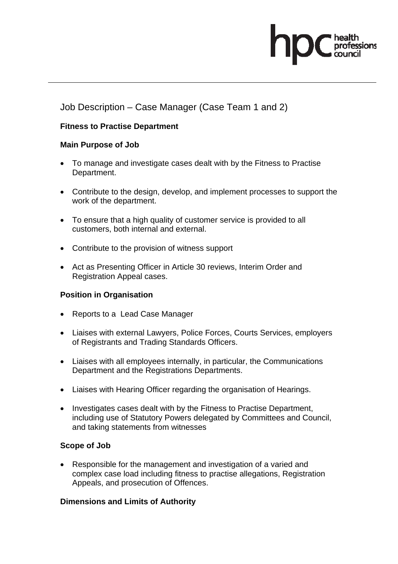## Job Description – Case Manager (Case Team 1 and 2)

#### **Fitness to Practise Department**

#### **Main Purpose of Job**

- To manage and investigate cases dealt with by the Fitness to Practise Department.
- Contribute to the design, develop, and implement processes to support the work of the department.
- To ensure that a high quality of customer service is provided to all customers, both internal and external.
- Contribute to the provision of witness support
- Act as Presenting Officer in Article 30 reviews, Interim Order and Registration Appeal cases.

#### **Position in Organisation**

- Reports to a Lead Case Manager
- Liaises with external Lawyers, Police Forces, Courts Services, employers of Registrants and Trading Standards Officers.
- Liaises with all employees internally, in particular, the Communications Department and the Registrations Departments.
- Liaises with Hearing Officer regarding the organisation of Hearings.
- Investigates cases dealt with by the Fitness to Practise Department, including use of Statutory Powers delegated by Committees and Council, and taking statements from witnesses

#### **Scope of Job**

• Responsible for the management and investigation of a varied and complex case load including fitness to practise allegations, Registration Appeals, and prosecution of Offences.

#### **Dimensions and Limits of Authority**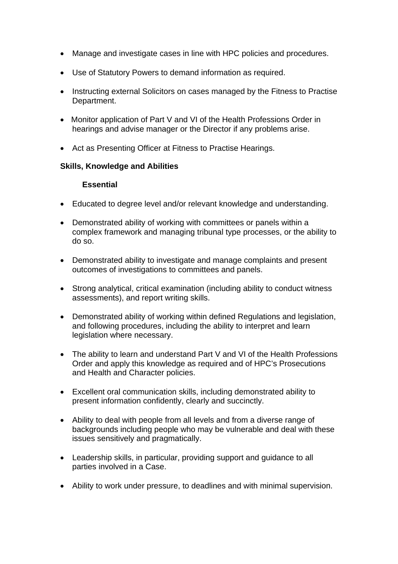- Manage and investigate cases in line with HPC policies and procedures.
- Use of Statutory Powers to demand information as required.
- Instructing external Solicitors on cases managed by the Fitness to Practise Department.
- Monitor application of Part V and VI of the Health Professions Order in hearings and advise manager or the Director if any problems arise.
- Act as Presenting Officer at Fitness to Practise Hearings.

#### **Skills, Knowledge and Abilities**

#### **Essential**

- Educated to degree level and/or relevant knowledge and understanding.
- Demonstrated ability of working with committees or panels within a complex framework and managing tribunal type processes, or the ability to do so.
- Demonstrated ability to investigate and manage complaints and present outcomes of investigations to committees and panels.
- Strong analytical, critical examination (including ability to conduct witness assessments), and report writing skills.
- Demonstrated ability of working within defined Regulations and legislation, and following procedures, including the ability to interpret and learn legislation where necessary.
- The ability to learn and understand Part V and VI of the Health Professions Order and apply this knowledge as required and of HPC's Prosecutions and Health and Character policies.
- Excellent oral communication skills, including demonstrated ability to present information confidently, clearly and succinctly.
- Ability to deal with people from all levels and from a diverse range of backgrounds including people who may be vulnerable and deal with these issues sensitively and pragmatically.
- Leadership skills, in particular, providing support and guidance to all parties involved in a Case.
- Ability to work under pressure, to deadlines and with minimal supervision.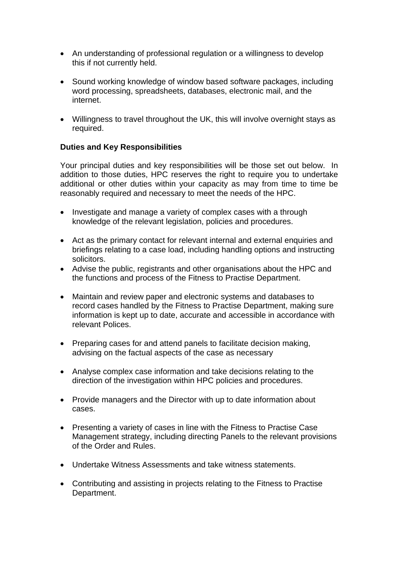- An understanding of professional regulation or a willingness to develop this if not currently held.
- Sound working knowledge of window based software packages, including word processing, spreadsheets, databases, electronic mail, and the internet.
- Willingness to travel throughout the UK, this will involve overnight stays as required.

#### **Duties and Key Responsibilities**

Your principal duties and key responsibilities will be those set out below. In addition to those duties. HPC reserves the right to require you to undertake additional or other duties within your capacity as may from time to time be reasonably required and necessary to meet the needs of the HPC.

- Investigate and manage a variety of complex cases with a through knowledge of the relevant legislation, policies and procedures.
- Act as the primary contact for relevant internal and external enquiries and briefings relating to a case load, including handling options and instructing solicitors.
- Advise the public, registrants and other organisations about the HPC and the functions and process of the Fitness to Practise Department.
- Maintain and review paper and electronic systems and databases to record cases handled by the Fitness to Practise Department, making sure information is kept up to date, accurate and accessible in accordance with relevant Polices.
- Preparing cases for and attend panels to facilitate decision making, advising on the factual aspects of the case as necessary
- Analyse complex case information and take decisions relating to the direction of the investigation within HPC policies and procedures.
- Provide managers and the Director with up to date information about cases.
- Presenting a variety of cases in line with the Fitness to Practise Case Management strategy, including directing Panels to the relevant provisions of the Order and Rules.
- Undertake Witness Assessments and take witness statements.
- Contributing and assisting in projects relating to the Fitness to Practise Department.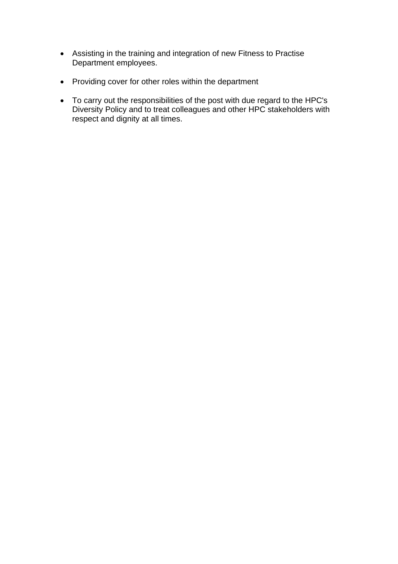- Assisting in the training and integration of new Fitness to Practise Department employees.
- Providing cover for other roles within the department
- To carry out the responsibilities of the post with due regard to the HPC's Diversity Policy and to treat colleagues and other HPC stakeholders with respect and dignity at all times.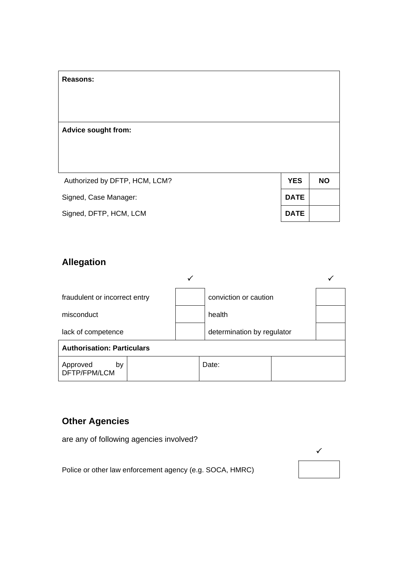| <b>Reasons:</b>               |             |           |
|-------------------------------|-------------|-----------|
| <b>Advice sought from:</b>    |             |           |
| Authorized by DFTP, HCM, LCM? | <b>YES</b>  | <b>NO</b> |
| Signed, Case Manager:         | <b>DATE</b> |           |
| Signed, DFTP, HCM, LCM        | <b>DATE</b> |           |

# **Allegation**

| fraudulent or incorrect entry     | conviction or caution      |  |
|-----------------------------------|----------------------------|--|
| misconduct                        | health                     |  |
| lack of competence                | determination by regulator |  |
| <b>Authorisation: Particulars</b> |                            |  |
| Approved<br>by<br>DFTP/FPM/LCM    | Date:                      |  |

# **Other Agencies**

are any of following agencies involved?

Police or other law enforcement agency (e.g. SOCA, HMRC)

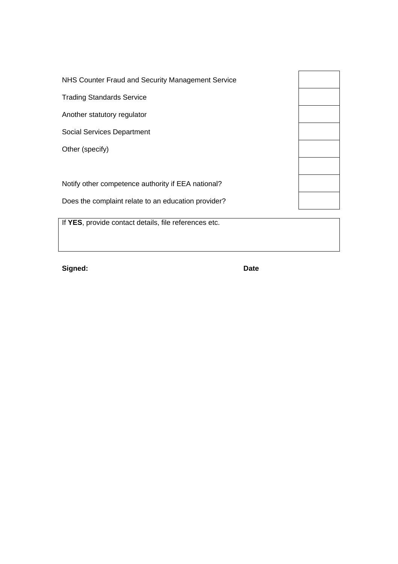NHS Counter Fraud and Security Management Service Trading Standards Service Another statutory regulator Social Services Department Other (specify)

Notify other competence authority if EEA national?

Does the complaint relate to an education provider?

If **YES**, provide contact details, file references etc.

**Signed: Date**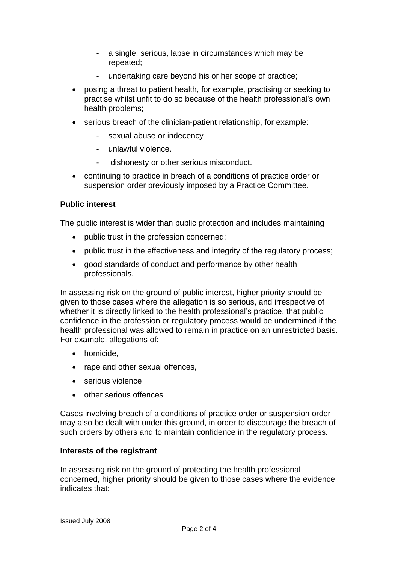- a single, serious, lapse in circumstances which may be repeated;
- undertaking care beyond his or her scope of practice;
- posing a threat to patient health, for example, practising or seeking to practise whilst unfit to do so because of the health professional's own health problems;
- serious breach of the clinician-patient relationship, for example:
	- sexual abuse or indecency
	- unlawful violence.
	- dishonesty or other serious misconduct.
- continuing to practice in breach of a conditions of practice order or suspension order previously imposed by a Practice Committee.

#### **Public interest**

The public interest is wider than public protection and includes maintaining

- public trust in the profession concerned;
- public trust in the effectiveness and integrity of the regulatory process;
- good standards of conduct and performance by other health professionals.

In assessing risk on the ground of public interest, higher priority should be given to those cases where the allegation is so serious, and irrespective of whether it is directly linked to the health professional's practice, that public confidence in the profession or regulatory process would be undermined if the health professional was allowed to remain in practice on an unrestricted basis. For example, allegations of:

- homicide,
- rape and other sexual offences.
- serious violence
- other serious offences

Cases involving breach of a conditions of practice order or suspension order may also be dealt with under this ground, in order to discourage the breach of such orders by others and to maintain confidence in the regulatory process.

#### **Interests of the registrant**

In assessing risk on the ground of protecting the health professional concerned, higher priority should be given to those cases where the evidence indicates that: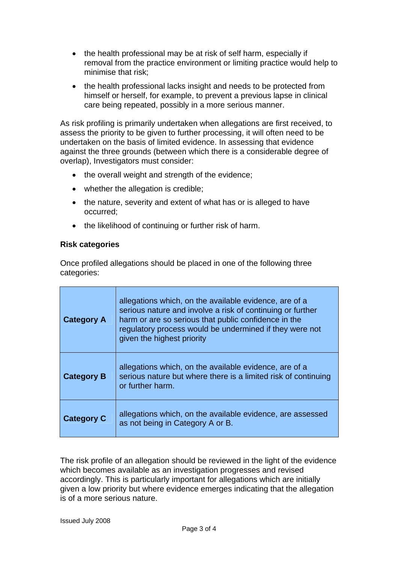- the health professional may be at risk of self harm, especially if removal from the practice environment or limiting practice would help to minimise that risk;
- the health professional lacks insight and needs to be protected from himself or herself, for example, to prevent a previous lapse in clinical care being repeated, possibly in a more serious manner.

As risk profiling is primarily undertaken when allegations are first received, to assess the priority to be given to further processing, it will often need to be undertaken on the basis of limited evidence. In assessing that evidence against the three grounds (between which there is a considerable degree of overlap), Investigators must consider:

- the overall weight and strength of the evidence;
- whether the allegation is credible;
- the nature, severity and extent of what has or is alleged to have occurred;
- the likelihood of continuing or further risk of harm.

#### **Risk categories**

Once profiled allegations should be placed in one of the following three categories:

| <b>Category A</b> | allegations which, on the available evidence, are of a<br>serious nature and involve a risk of continuing or further<br>harm or are so serious that public confidence in the<br>regulatory process would be undermined if they were not<br>given the highest priority |
|-------------------|-----------------------------------------------------------------------------------------------------------------------------------------------------------------------------------------------------------------------------------------------------------------------|
| <b>Category B</b> | allegations which, on the available evidence, are of a<br>serious nature but where there is a limited risk of continuing<br>or further harm.                                                                                                                          |
| <b>Category C</b> | allegations which, on the available evidence, are assessed<br>as not being in Category A or B.                                                                                                                                                                        |

The risk profile of an allegation should be reviewed in the light of the evidence which becomes available as an investigation progresses and revised accordingly. This is particularly important for allegations which are initially given a low priority but where evidence emerges indicating that the allegation is of a more serious nature.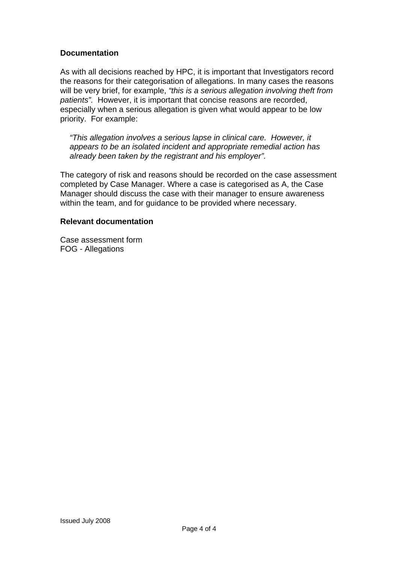#### **Documentation**

As with all decisions reached by HPC, it is important that Investigators record the reasons for their categorisation of allegations. In many cases the reasons will be very brief, for example, *"this is a serious allegation involving theft from patients".* However, it is important that concise reasons are recorded, especially when a serious allegation is given what would appear to be low priority. For example:

*"This allegation involves a serious lapse in clinical care. However, it appears to be an isolated incident and appropriate remedial action has already been taken by the registrant and his employer".* 

The category of risk and reasons should be recorded on the case assessment completed by Case Manager. Where a case is categorised as A, the Case Manager should discuss the case with their manager to ensure awareness within the team, and for guidance to be provided where necessary.

#### **Relevant documentation**

Case assessment form FOG - Allegations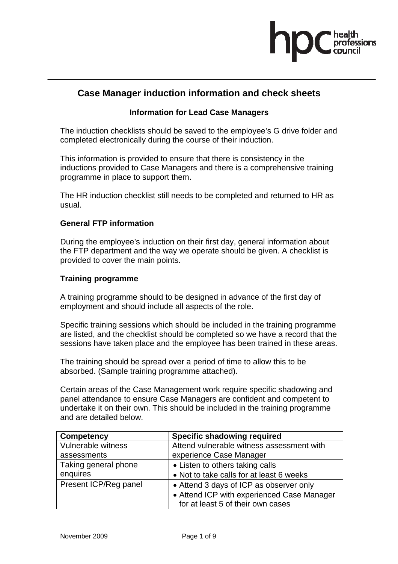

#### **Case Manager induction information and check sheets**

#### **Information for Lead Case Managers**

The induction checklists should be saved to the employee's G drive folder and completed electronically during the course of their induction.

This information is provided to ensure that there is consistency in the inductions provided to Case Managers and there is a comprehensive training programme in place to support them.

The HR induction checklist still needs to be completed and returned to HR as usual.

#### **General FTP information**

During the employee's induction on their first day, general information about the FTP department and the way we operate should be given. A checklist is provided to cover the main points.

#### **Training programme**

A training programme should to be designed in advance of the first day of employment and should include all aspects of the role.

Specific training sessions which should be included in the training programme are listed, and the checklist should be completed so we have a record that the sessions have taken place and the employee has been trained in these areas.

The training should be spread over a period of time to allow this to be absorbed. (Sample training programme attached).

Certain areas of the Case Management work require specific shadowing and panel attendance to ensure Case Managers are confident and competent to undertake it on their own. This should be included in the training programme and are detailed below.

| <b>Competency</b>     | <b>Specific shadowing required</b>         |
|-----------------------|--------------------------------------------|
| Vulnerable witness    | Attend vulnerable witness assessment with  |
| assessments           | experience Case Manager                    |
| Taking general phone  | • Listen to others taking calls            |
| enquires              | • Not to take calls for at least 6 weeks   |
| Present ICP/Reg panel | • Attend 3 days of ICP as observer only    |
|                       | • Attend ICP with experienced Case Manager |
|                       | for at least 5 of their own cases          |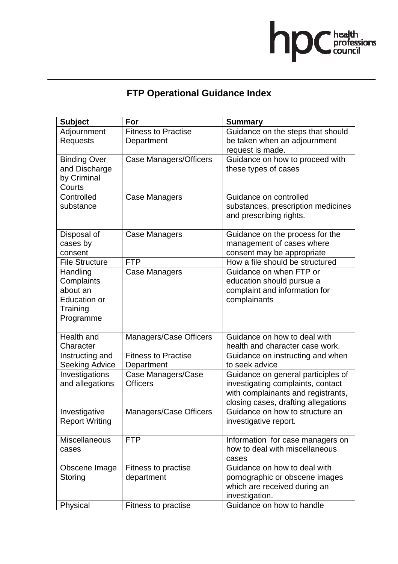

# **FTP Operational Guidance Index**

| <b>Subject</b>        | For                           | <b>Summary</b>                      |
|-----------------------|-------------------------------|-------------------------------------|
| Adjournment           | <b>Fitness to Practise</b>    | Guidance on the steps that should   |
| <b>Requests</b>       | Department                    | be taken when an adjournment        |
|                       |                               | request is made.                    |
| <b>Binding Over</b>   | <b>Case Managers/Officers</b> | Guidance on how to proceed with     |
| and Discharge         |                               | these types of cases                |
| by Criminal           |                               |                                     |
| Courts                |                               |                                     |
| Controlled            | <b>Case Managers</b>          | Guidance on controlled              |
| substance             |                               | substances, prescription medicines  |
|                       |                               | and prescribing rights.             |
| Disposal of           | Case Managers                 | Guidance on the process for the     |
| cases by              |                               | management of cases where           |
| consent               |                               | consent may be appropriate          |
| <b>File Structure</b> | <b>FTP</b>                    | How a file should be structured     |
| Handling              | <b>Case Managers</b>          | Guidance on when FTP or             |
| Complaints            |                               | education should pursue a           |
| about an              |                               | complaint and information for       |
| <b>Education or</b>   |                               | complainants                        |
| Training              |                               |                                     |
| Programme             |                               |                                     |
|                       |                               |                                     |
| Health and            | Managers/Case Officers        | Guidance on how to deal with        |
| Character             |                               | health and character case work.     |
| Instructing and       | <b>Fitness to Practise</b>    | Guidance on instructing and when    |
| <b>Seeking Advice</b> | Department                    | to seek advice                      |
| Investigations        | Case Managers/Case            | Guidance on general participles of  |
| and allegations       | <b>Officers</b>               | investigating complaints, contact   |
|                       |                               | with complainants and registrants,  |
|                       |                               | closing cases, drafting allegations |
| Investigative         | Managers/Case Officers        | Guidance on how to structure an     |
| <b>Report Writing</b> |                               | investigative report.               |
| <b>Miscellaneous</b>  | <b>FTP</b>                    | Information for case managers on    |
| cases                 |                               | how to deal with miscellaneous      |
|                       |                               | cases                               |
| Obscene Image         | Fitness to practise           | Guidance on how to deal with        |
| Storing               | department                    | pornographic or obscene images      |
|                       |                               | which are received during an        |
|                       |                               | investigation.                      |
| Physical              | Fitness to practise           | Guidance on how to handle           |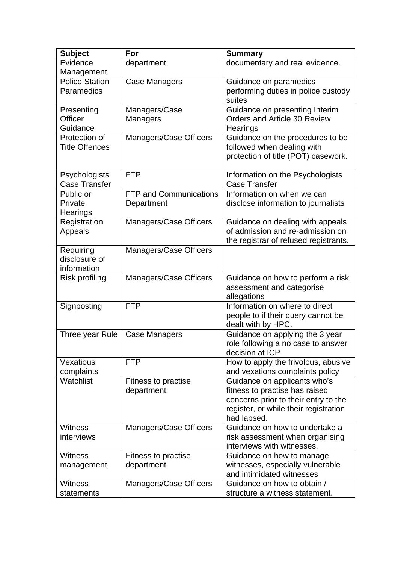| <b>Subject</b>          | For                           | <b>Summary</b>                                                       |
|-------------------------|-------------------------------|----------------------------------------------------------------------|
| Evidence                | department                    | documentary and real evidence.                                       |
| Management              |                               |                                                                      |
| <b>Police Station</b>   | <b>Case Managers</b>          | Guidance on paramedics                                               |
| Paramedics              |                               | performing duties in police custody                                  |
|                         |                               | suites                                                               |
| Presenting              | Managers/Case                 | Guidance on presenting Interim                                       |
| Officer                 | Managers                      | <b>Orders and Article 30 Review</b>                                  |
| Guidance                |                               | Hearings                                                             |
| Protection of           | Managers/Case Officers        | Guidance on the procedures to be                                     |
| <b>Title Offences</b>   |                               | followed when dealing with                                           |
|                         |                               | protection of title (POT) casework.                                  |
|                         |                               |                                                                      |
| Psychologists           | <b>FTP</b>                    | Information on the Psychologists                                     |
| <b>Case Transfer</b>    |                               | <b>Case Transfer</b>                                                 |
| Public or               | <b>FTP and Communications</b> | Information on when we can                                           |
| Private                 | Department                    | disclose information to journalists                                  |
| Hearings                |                               |                                                                      |
| Registration<br>Appeals | Managers/Case Officers        | Guidance on dealing with appeals<br>of admission and re-admission on |
|                         |                               | the registrar of refused registrants.                                |
| Requiring               | Managers/Case Officers        |                                                                      |
| disclosure of           |                               |                                                                      |
| information             |                               |                                                                      |
| Risk profiling          | Managers/Case Officers        | Guidance on how to perform a risk                                    |
|                         |                               | assessment and categorise                                            |
|                         |                               | allegations                                                          |
| Signposting             | <b>FTP</b>                    | Information on where to direct                                       |
|                         |                               | people to if their query cannot be                                   |
|                         |                               | dealt with by HPC.                                                   |
| Three year Rule         | Case Managers                 | Guidance on applying the 3 year                                      |
|                         |                               | role following a no case to answer                                   |
|                         |                               | decision at ICP                                                      |
| Vexatious               | <b>FTP</b>                    | How to apply the frivolous, abusive                                  |
| complaints              |                               | and vexations complaints policy                                      |
| Watchlist               | Fitness to practise           | Guidance on applicants who's                                         |
|                         | department                    | fitness to practise has raised                                       |
|                         |                               | concerns prior to their entry to the                                 |
|                         |                               | register, or while their registration                                |
|                         |                               | had lapsed.                                                          |
| <b>Witness</b>          | Managers/Case Officers        | Guidance on how to undertake a                                       |
| interviews              |                               | risk assessment when organising<br>interviews with witnesses.        |
| <b>Witness</b>          | Fitness to practise           | Guidance on how to manage                                            |
| management              | department                    | witnesses, especially vulnerable                                     |
|                         |                               | and intimidated witnesses                                            |
| <b>Witness</b>          | Managers/Case Officers        | Guidance on how to obtain /                                          |
| statements              |                               | structure a witness statement.                                       |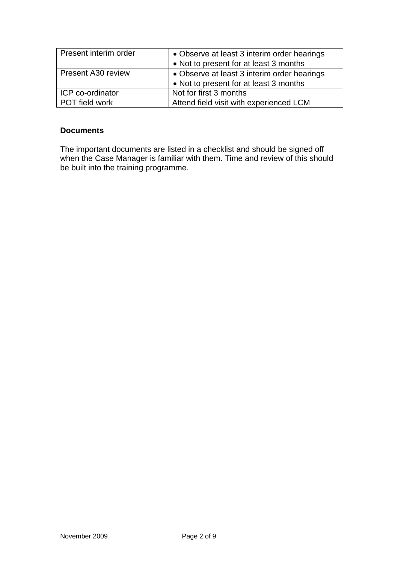| Present interim order     | • Observe at least 3 interim order hearings<br>• Not to present for at least 3 months |
|---------------------------|---------------------------------------------------------------------------------------|
| <b>Present A30 review</b> | • Observe at least 3 interim order hearings<br>• Not to present for at least 3 months |
| ICP co-ordinator          | Not for first 3 months                                                                |
| POT field work            | Attend field visit with experienced LCM                                               |

#### **Documents**

The important documents are listed in a checklist and should be signed off when the Case Manager is familiar with them. Time and review of this should be built into the training programme.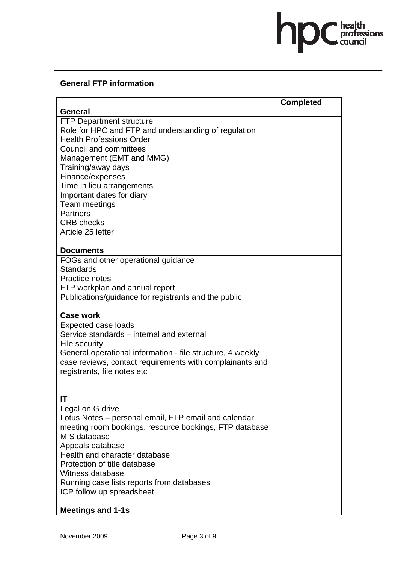# hpC health

#### **General FTP information**

|                                                            | <b>Completed</b> |
|------------------------------------------------------------|------------------|
| <b>General</b>                                             |                  |
| <b>FTP Department structure</b>                            |                  |
| Role for HPC and FTP and understanding of regulation       |                  |
| <b>Health Professions Order</b>                            |                  |
| <b>Council and committees</b>                              |                  |
| Management (EMT and MMG)                                   |                  |
| Training/away days                                         |                  |
| Finance/expenses<br>Time in lieu arrangements              |                  |
| Important dates for diary                                  |                  |
| Team meetings                                              |                  |
| <b>Partners</b>                                            |                  |
| <b>CRB</b> checks                                          |                  |
| Article 25 letter                                          |                  |
|                                                            |                  |
| <b>Documents</b>                                           |                  |
| FOGs and other operational guidance                        |                  |
| <b>Standards</b>                                           |                  |
| Practice notes                                             |                  |
| FTP workplan and annual report                             |                  |
| Publications/guidance for registrants and the public       |                  |
| <b>Case work</b>                                           |                  |
| <b>Expected case loads</b>                                 |                  |
| Service standards – internal and external                  |                  |
| File security                                              |                  |
| General operational information - file structure, 4 weekly |                  |
| case reviews, contact requirements with complainants and   |                  |
| registrants, file notes etc                                |                  |
|                                                            |                  |
| IT                                                         |                  |
| Legal on G drive                                           |                  |
| Lotus Notes – personal email, FTP email and calendar,      |                  |
| meeting room bookings, resource bookings, FTP database     |                  |
| MIS database                                               |                  |
| Appeals database                                           |                  |
| Health and character database                              |                  |
| Protection of title database                               |                  |
| Witness database                                           |                  |
| Running case lists reports from databases                  |                  |
| ICP follow up spreadsheet                                  |                  |
| <b>Meetings and 1-1s</b>                                   |                  |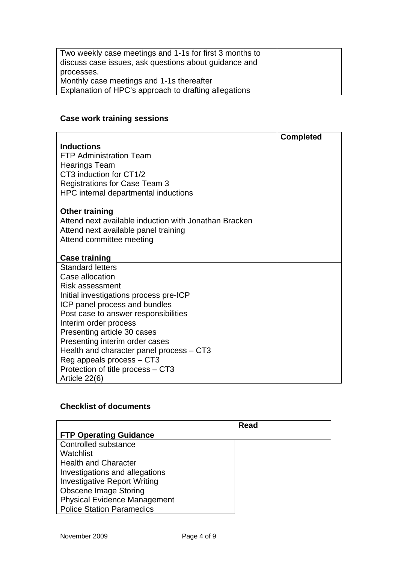| Two weekly case meetings and 1-1s for first 3 months to<br>discuss case issues, ask questions about guidance and |  |
|------------------------------------------------------------------------------------------------------------------|--|
| processes.                                                                                                       |  |
| Monthly case meetings and 1-1s thereafter                                                                        |  |
| Explanation of HPC's approach to drafting allegations                                                            |  |

# **Case work training sessions**

|                                                       | <b>Completed</b> |
|-------------------------------------------------------|------------------|
| <b>Inductions</b>                                     |                  |
| <b>FTP Administration Team</b>                        |                  |
| <b>Hearings Team</b>                                  |                  |
| CT3 induction for CT1/2                               |                  |
| <b>Registrations for Case Team 3</b>                  |                  |
| HPC internal departmental inductions                  |                  |
|                                                       |                  |
| <b>Other training</b>                                 |                  |
| Attend next available induction with Jonathan Bracken |                  |
| Attend next available panel training                  |                  |
| Attend committee meeting                              |                  |
|                                                       |                  |
| <b>Case training</b>                                  |                  |
| <b>Standard letters</b>                               |                  |
| Case allocation                                       |                  |
| Risk assessment                                       |                  |
| Initial investigations process pre-ICP                |                  |
| ICP panel process and bundles                         |                  |
| Post case to answer responsibilities                  |                  |
| Interim order process                                 |                  |
| Presenting article 30 cases                           |                  |
| Presenting interim order cases                        |                  |
| Health and character panel process – CT3              |                  |
| Reg appeals process - CT3                             |                  |
| Protection of title process – CT3                     |                  |
| Article 22(6)                                         |                  |

#### **Checklist of documents**

|                                     | Read |
|-------------------------------------|------|
| <b>FTP Operating Guidance</b>       |      |
| Controlled substance                |      |
| Watchlist                           |      |
| <b>Health and Character</b>         |      |
| Investigations and allegations      |      |
| <b>Investigative Report Writing</b> |      |
| <b>Obscene Image Storing</b>        |      |
| <b>Physical Evidence Management</b> |      |
| <b>Police Station Paramedics</b>    |      |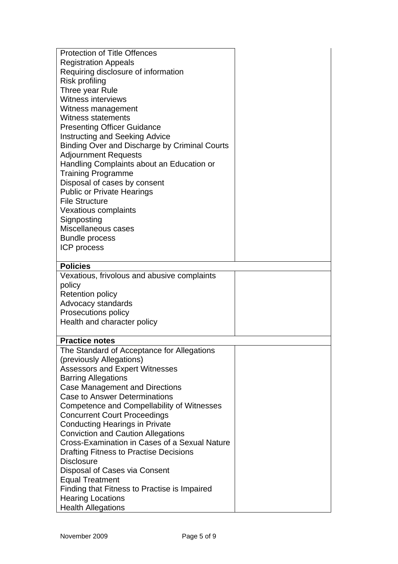| <b>Protection of Title Offences</b>                                           |  |
|-------------------------------------------------------------------------------|--|
| <b>Registration Appeals</b>                                                   |  |
| Requiring disclosure of information                                           |  |
| <b>Risk profiling</b>                                                         |  |
| Three year Rule                                                               |  |
| <b>Witness interviews</b>                                                     |  |
| Witness management                                                            |  |
| <b>Witness statements</b>                                                     |  |
| <b>Presenting Officer Guidance</b>                                            |  |
| <b>Instructing and Seeking Advice</b>                                         |  |
| Binding Over and Discharge by Criminal Courts                                 |  |
| <b>Adjournment Requests</b>                                                   |  |
| Handling Complaints about an Education or                                     |  |
| <b>Training Programme</b>                                                     |  |
| Disposal of cases by consent                                                  |  |
| <b>Public or Private Hearings</b>                                             |  |
| <b>File Structure</b>                                                         |  |
| <b>Vexatious complaints</b>                                                   |  |
| Signposting                                                                   |  |
| Miscellaneous cases                                                           |  |
| <b>Bundle process</b>                                                         |  |
| ICP process                                                                   |  |
|                                                                               |  |
| <b>Policies</b>                                                               |  |
| Vexatious, frivolous and abusive complaints                                   |  |
| policy                                                                        |  |
| <b>Retention policy</b>                                                       |  |
| Advocacy standards                                                            |  |
| Prosecutions policy                                                           |  |
| Health and character policy                                                   |  |
|                                                                               |  |
| <b>Practice notes</b>                                                         |  |
| The Standard of Acceptance for Allegations                                    |  |
| (previously Allegations)                                                      |  |
| <b>Assessors and Expert Witnesses</b>                                         |  |
| <b>Barring Allegations</b>                                                    |  |
| <b>Case Management and Directions</b><br><b>Case to Answer Determinations</b> |  |
|                                                                               |  |
| Competence and Compellability of Witnesses                                    |  |
| <b>Concurrent Court Proceedings</b>                                           |  |
| <b>Conducting Hearings in Private</b>                                         |  |
| <b>Conviction and Caution Allegations</b>                                     |  |
| Cross-Examination in Cases of a Sexual Nature                                 |  |
| <b>Drafting Fitness to Practise Decisions</b><br><b>Disclosure</b>            |  |
|                                                                               |  |
| Disposal of Cases via Consent                                                 |  |
| <b>Equal Treatment</b>                                                        |  |
| Finding that Fitness to Practise is Impaired                                  |  |
| <b>Hearing Locations</b><br><b>Health Allegations</b>                         |  |
|                                                                               |  |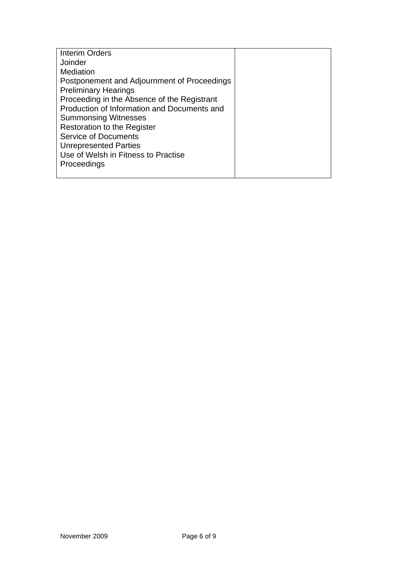| <b>Interim Orders</b>                       |  |
|---------------------------------------------|--|
| Joinder                                     |  |
| Mediation                                   |  |
| Postponement and Adjournment of Proceedings |  |
| <b>Preliminary Hearings</b>                 |  |
| Proceeding in the Absence of the Registrant |  |
| Production of Information and Documents and |  |
| <b>Summonsing Witnesses</b>                 |  |
| <b>Restoration to the Register</b>          |  |
| <b>Service of Documents</b>                 |  |
| <b>Unrepresented Parties</b>                |  |
| Use of Welsh in Fitness to Practise         |  |
| Proceedings                                 |  |
|                                             |  |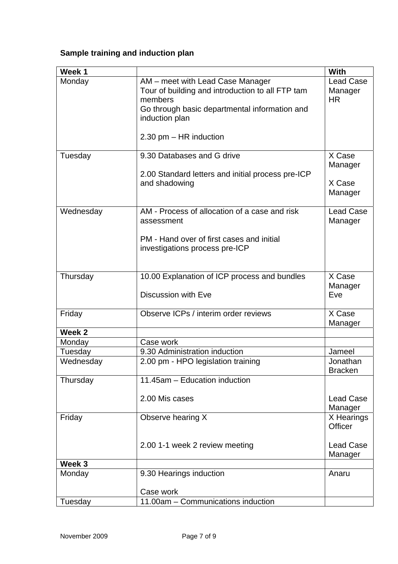# **Sample training and induction plan**

| Week 1            |                                                                                                                                                                    | With                                     |
|-------------------|--------------------------------------------------------------------------------------------------------------------------------------------------------------------|------------------------------------------|
| Monday            | AM – meet with Lead Case Manager<br>Tour of building and introduction to all FTP tam<br>members<br>Go through basic departmental information and<br>induction plan | <b>Lead Case</b><br>Manager<br><b>HR</b> |
|                   | 2.30 pm - HR induction                                                                                                                                             |                                          |
| Tuesday           | 9.30 Databases and G drive                                                                                                                                         | X Case<br>Manager                        |
|                   | 2.00 Standard letters and initial process pre-ICP<br>and shadowing                                                                                                 | X Case<br>Manager                        |
| Wednesday         | AM - Process of allocation of a case and risk<br>assessment                                                                                                        | <b>Lead Case</b><br>Manager              |
|                   | PM - Hand over of first cases and initial<br>investigations process pre-ICP                                                                                        |                                          |
| Thursday          | 10.00 Explanation of ICP process and bundles<br><b>Discussion with Eve</b>                                                                                         | X Case<br>Manager<br>Eve                 |
| Friday            | Observe ICPs / interim order reviews                                                                                                                               | X Case<br>Manager                        |
| Week <sub>2</sub> |                                                                                                                                                                    |                                          |
| Monday            | Case work                                                                                                                                                          |                                          |
| Tuesday           | 9.30 Administration induction                                                                                                                                      | Jameel                                   |
| Wednesday         | 2.00 pm - HPO legislation training                                                                                                                                 | Jonathan<br><b>Bracken</b>               |
| Thursday          | 11.45am - Education induction                                                                                                                                      |                                          |
|                   | 2.00 Mis cases                                                                                                                                                     | <b>Lead Case</b><br>Manager              |
| Friday            | Observe hearing X                                                                                                                                                  | X Hearings<br>Officer                    |
|                   | 2.00 1-1 week 2 review meeting                                                                                                                                     | <b>Lead Case</b><br>Manager              |
| Week <sub>3</sub> |                                                                                                                                                                    |                                          |
| Monday            | 9.30 Hearings induction                                                                                                                                            | Anaru                                    |
|                   | Case work                                                                                                                                                          |                                          |
| Tuesday           | 11.00am - Communications induction                                                                                                                                 |                                          |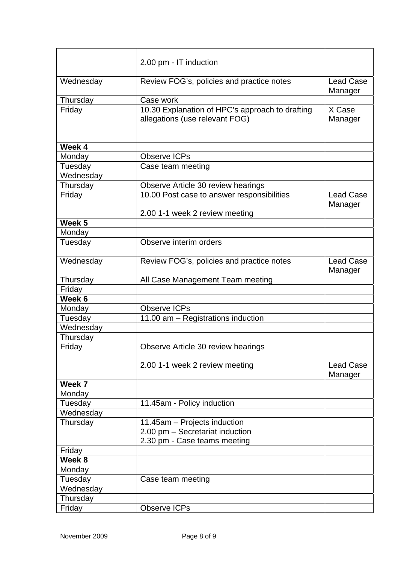|                   | 2.00 pm - IT induction                                                            |                             |
|-------------------|-----------------------------------------------------------------------------------|-----------------------------|
| Wednesday         | Review FOG's, policies and practice notes                                         | <b>Lead Case</b><br>Manager |
| Thursday          | Case work                                                                         |                             |
| Friday            | 10.30 Explanation of HPC's approach to drafting<br>allegations (use relevant FOG) | X Case<br>Manager           |
| Week 4            |                                                                                   |                             |
| Monday            | <b>Observe ICPs</b>                                                               |                             |
| Tuesday           | Case team meeting                                                                 |                             |
| Wednesday         |                                                                                   |                             |
| Thursday          | Observe Article 30 review hearings                                                |                             |
| Friday            | 10.00 Post case to answer responsibilities                                        | <b>Lead Case</b><br>Manager |
|                   | 2.00 1-1 week 2 review meeting                                                    |                             |
| Week <sub>5</sub> |                                                                                   |                             |
| Monday            |                                                                                   |                             |
| Tuesday           | Observe interim orders                                                            |                             |
| Wednesday         | Review FOG's, policies and practice notes                                         | <b>Lead Case</b><br>Manager |
| Thursday          | All Case Management Team meeting                                                  |                             |
| Friday            |                                                                                   |                             |
| Week 6            |                                                                                   |                             |
| Monday            | <b>Observe ICPs</b>                                                               |                             |
| Tuesday           | 11.00 am - Registrations induction                                                |                             |
| Wednesday         |                                                                                   |                             |
| Thursday          |                                                                                   |                             |
| Friday            | Observe Article 30 review hearings                                                |                             |
|                   | 2.00 1-1 week 2 review meeting                                                    | <b>Lead Case</b><br>Manager |
| Week 7            |                                                                                   |                             |
| Monday            |                                                                                   |                             |
| Tuesday           | 11.45am - Policy induction                                                        |                             |
| Wednesday         |                                                                                   |                             |
| Thursday          | 11.45am - Projects induction                                                      |                             |
|                   | 2.00 pm - Secretariat induction                                                   |                             |
|                   | 2.30 pm - Case teams meeting                                                      |                             |
| Friday            |                                                                                   |                             |
| Week 8            |                                                                                   |                             |
| Monday            |                                                                                   |                             |
| Tuesday           | Case team meeting                                                                 |                             |
| Wednesday         |                                                                                   |                             |
| Thursday          |                                                                                   |                             |
| Friday            | <b>Observe ICPs</b>                                                               |                             |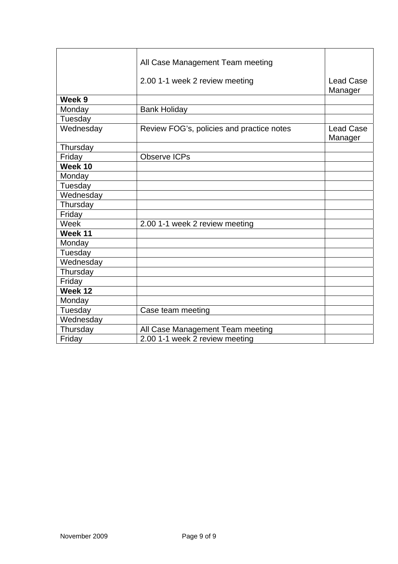|                   | All Case Management Team meeting          |                             |
|-------------------|-------------------------------------------|-----------------------------|
|                   |                                           |                             |
|                   | 2.00 1-1 week 2 review meeting            | <b>Lead Case</b><br>Manager |
| Week <sub>9</sub> |                                           |                             |
| Monday            | <b>Bank Holiday</b>                       |                             |
| Tuesday           |                                           |                             |
| Wednesday         | Review FOG's, policies and practice notes | <b>Lead Case</b><br>Manager |
| Thursday          |                                           |                             |
| Friday            | <b>Observe ICPs</b>                       |                             |
| Week 10           |                                           |                             |
| Monday            |                                           |                             |
| Tuesday           |                                           |                             |
| Wednesday         |                                           |                             |
| Thursday          |                                           |                             |
| Friday            |                                           |                             |
| Week              | 2.00 1-1 week 2 review meeting            |                             |
| Week $11$         |                                           |                             |
| Monday            |                                           |                             |
| Tuesday           |                                           |                             |
| Wednesday         |                                           |                             |
| Thursday          |                                           |                             |
| Friday            |                                           |                             |
| Week 12           |                                           |                             |
| Monday            |                                           |                             |
| Tuesday           | Case team meeting                         |                             |
| Wednesday         |                                           |                             |
| Thursday          | All Case Management Team meeting          |                             |
| Friday            | 2.00 1-1 week 2 review meeting            |                             |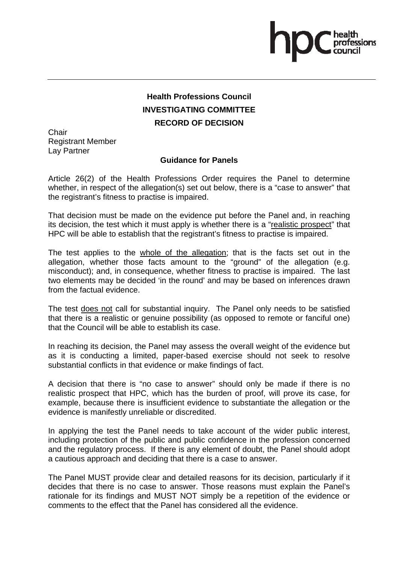## **Health Professions Council INVESTIGATING COMMITTEE RECORD OF DECISION**

**Chair** Registrant Member Lay Partner

#### **Guidance for Panels**

Article 26(2) of the Health Professions Order requires the Panel to determine whether, in respect of the allegation(s) set out below, there is a "case to answer" that the registrant's fitness to practise is impaired.

That decision must be made on the evidence put before the Panel and, in reaching its decision, the test which it must apply is whether there is a "realistic prospect" that HPC will be able to establish that the registrant's fitness to practise is impaired.

The test applies to the whole of the allegation; that is the facts set out in the allegation, whether those facts amount to the "ground" of the allegation (e.g. misconduct); and, in consequence, whether fitness to practise is impaired. The last two elements may be decided 'in the round' and may be based on inferences drawn from the factual evidence.

The test does not call for substantial inquiry. The Panel only needs to be satisfied that there is a realistic or genuine possibility (as opposed to remote or fanciful one) that the Council will be able to establish its case.

In reaching its decision, the Panel may assess the overall weight of the evidence but as it is conducting a limited, paper-based exercise should not seek to resolve substantial conflicts in that evidence or make findings of fact.

A decision that there is "no case to answer" should only be made if there is no realistic prospect that HPC, which has the burden of proof, will prove its case, for example, because there is insufficient evidence to substantiate the allegation or the evidence is manifestly unreliable or discredited.

In applying the test the Panel needs to take account of the wider public interest, including protection of the public and public confidence in the profession concerned and the regulatory process. If there is any element of doubt, the Panel should adopt a cautious approach and deciding that there is a case to answer.

The Panel MUST provide clear and detailed reasons for its decision, particularly if it decides that there is no case to answer. Those reasons must explain the Panel's rationale for its findings and MUST NOT simply be a repetition of the evidence or comments to the effect that the Panel has considered all the evidence.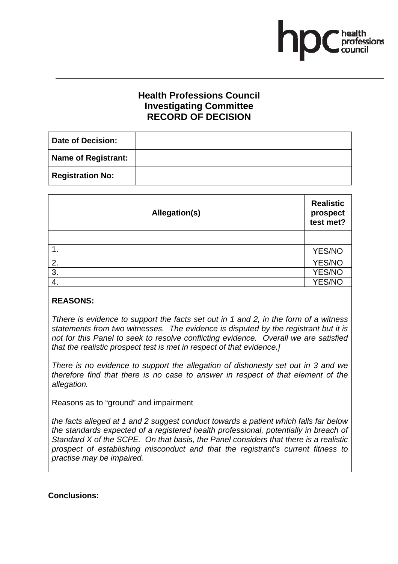## **Health Professions Council Investigating Committee RECORD OF DECISION**

| <b>Date of Decision:</b>   |  |
|----------------------------|--|
| <b>Name of Registrant:</b> |  |
| <b>Registration No:</b>    |  |

|    | Allegation(s) | <b>Realistic</b><br>prospect<br>test met? |
|----|---------------|-------------------------------------------|
|    |               |                                           |
| 1. |               | YES/NO                                    |
| 2. |               | YES/NO                                    |
| 3. |               | YES/NO                                    |
| 4. |               | <b>YES/NO</b>                             |

#### **REASONS:**

*Tthere is evidence to support the facts set out in 1 and 2, in the form of a witness statements from two witnesses. The evidence is disputed by the registrant but it is not for this Panel to seek to resolve conflicting evidence. Overall we are satisfied that the realistic prospect test is met in respect of that evidence.]* 

*There is no evidence to support the allegation of dishonesty set out in 3 and we therefore find that there is no case to answer in respect of that element of the allegation.*

Reasons as to "ground" and impairment

*the facts alleged at 1 and 2 suggest conduct towards a patient which falls far below the standards expected of a registered health professional, potentially in breach of Standard X of the SCPE. On that basis, the Panel considers that there is a realistic prospect of establishing misconduct and that the registrant's current fitness to practise may be impaired.* 

**Conclusions:**